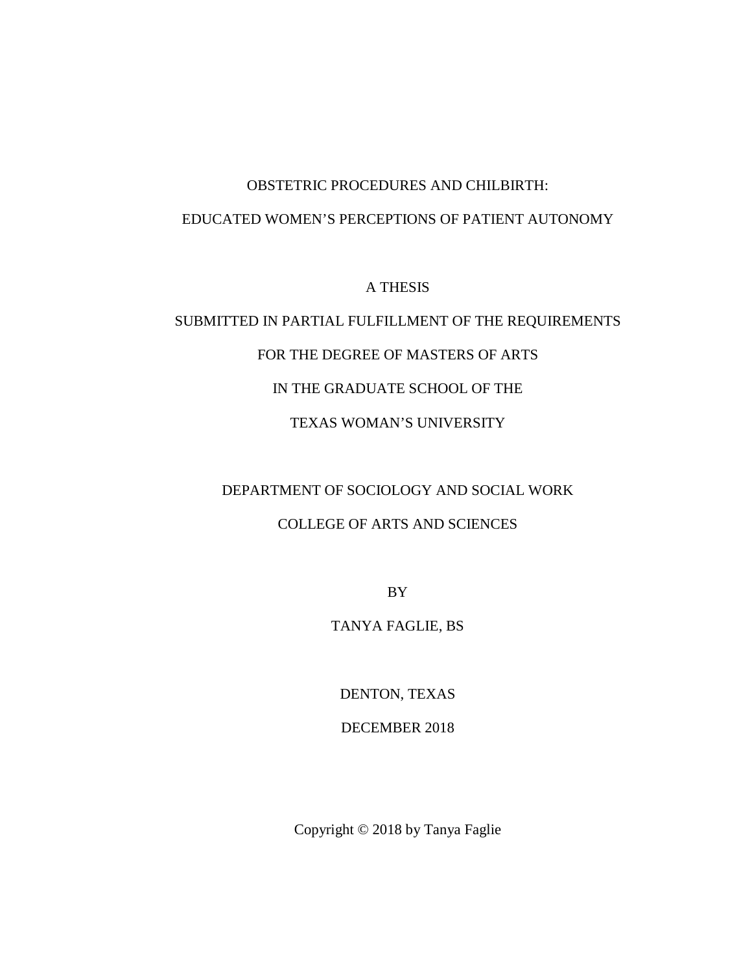## OBSTETRIC PROCEDURES AND CHILBIRTH:

#### EDUCATED WOMEN'S PERCEPTIONS OF PATIENT AUTONOMY

A THESIS

# SUBMITTED IN PARTIAL FULFILLMENT OF THE REQUIREMENTS FOR THE DEGREE OF MASTERS OF ARTS IN THE GRADUATE SCHOOL OF THE TEXAS WOMAN'S UNIVERSITY

# DEPARTMENT OF SOCIOLOGY AND SOCIAL WORK

## COLLEGE OF ARTS AND SCIENCES

BY

## TANYA FAGLIE, BS

DENTON, TEXAS

DECEMBER 2018

Copyright © 2018 by Tanya Faglie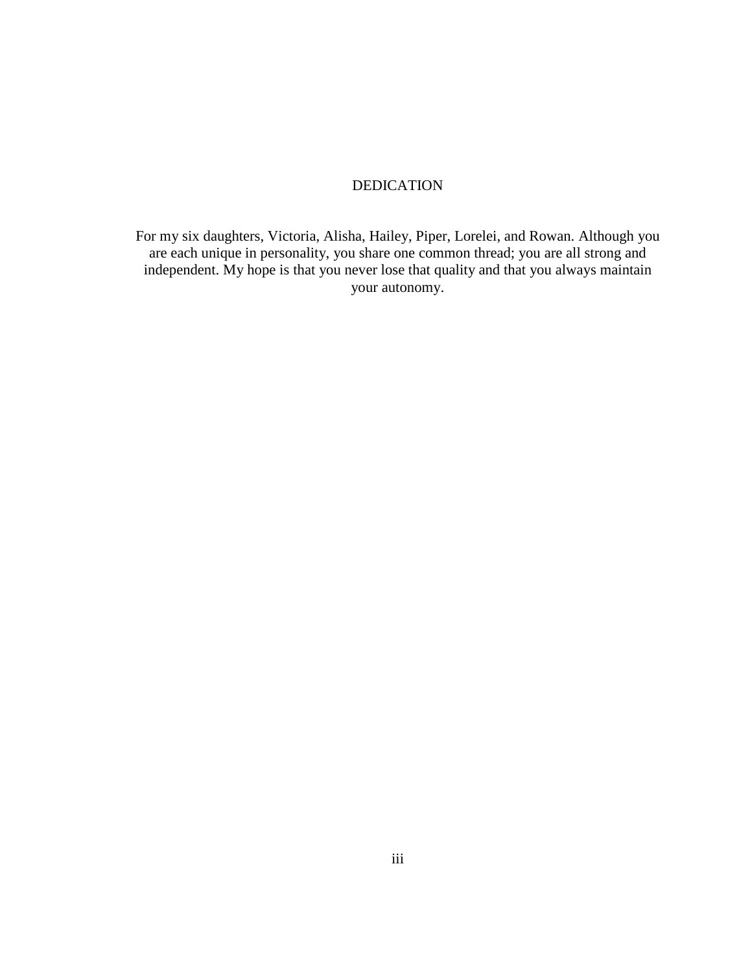### DEDICATION

For my six daughters, Victoria, Alisha, Hailey, Piper, Lorelei, and Rowan. Although you are each unique in personality, you share one common thread; you are all strong and independent. My hope is that you never lose that quality and that you always maintain your autonomy.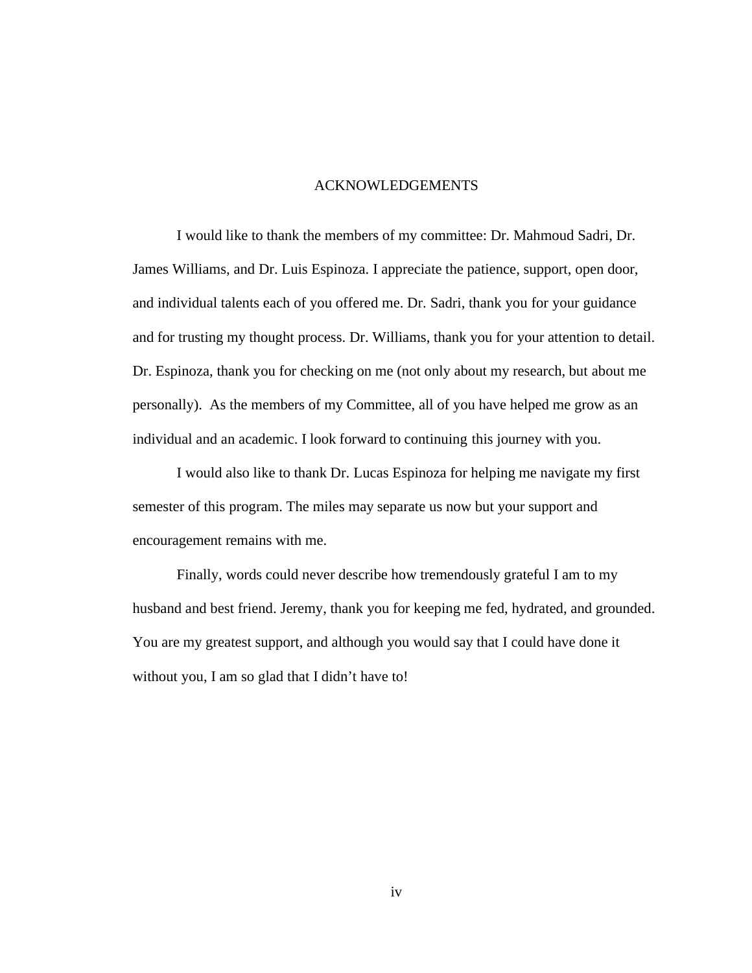#### ACKNOWLEDGEMENTS

I would like to thank the members of my committee: Dr. Mahmoud Sadri, Dr. James Williams, and Dr. Luis Espinoza. I appreciate the patience, support, open door, and individual talents each of you offered me. Dr. Sadri, thank you for your guidance and for trusting my thought process. Dr. Williams, thank you for your attention to detail. Dr. Espinoza, thank you for checking on me (not only about my research, but about me personally). As the members of my Committee, all of you have helped me grow as an individual and an academic. I look forward to continuing this journey with you.

I would also like to thank Dr. Lucas Espinoza for helping me navigate my first semester of this program. The miles may separate us now but your support and encouragement remains with me.

Finally, words could never describe how tremendously grateful I am to my husband and best friend. Jeremy, thank you for keeping me fed, hydrated, and grounded. You are my greatest support, and although you would say that I could have done it without you, I am so glad that I didn't have to!

iv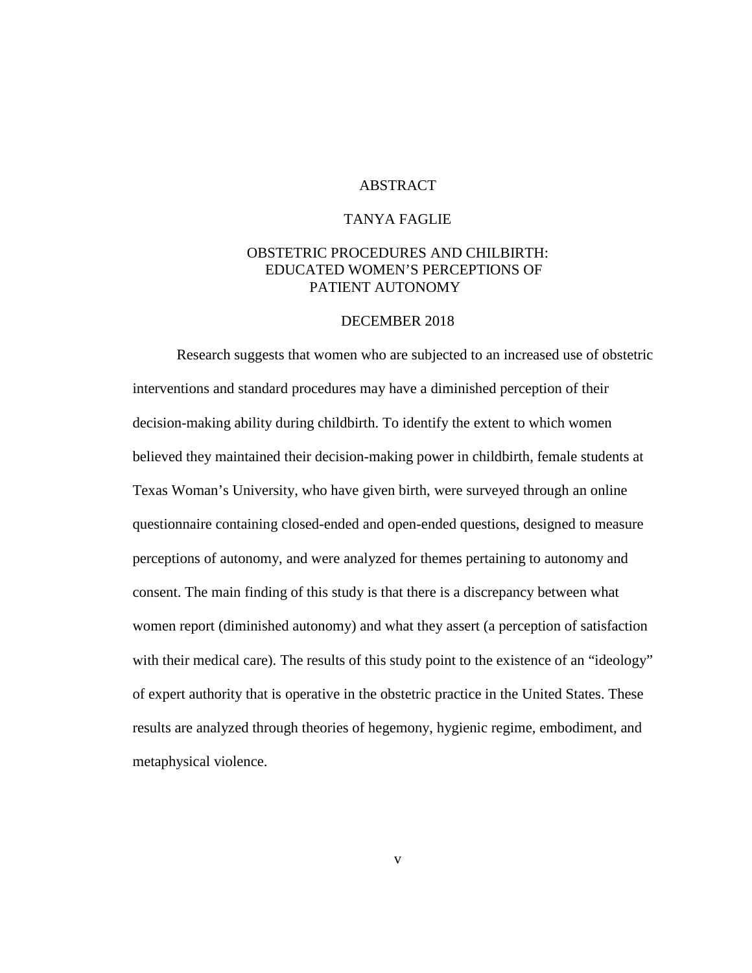#### **ABSTRACT**

#### TANYA FAGLIE

#### OBSTETRIC PROCEDURES AND CHILBIRTH: EDUCATED WOMEN'S PERCEPTIONS OF PATIENT AUTONOMY

#### DECEMBER 2018

Research suggests that women who are subjected to an increased use of obstetric interventions and standard procedures may have a diminished perception of their decision-making ability during childbirth. To identify the extent to which women believed they maintained their decision-making power in childbirth, female students at Texas Woman's University, who have given birth, were surveyed through an online questionnaire containing closed-ended and open-ended questions, designed to measure perceptions of autonomy, and were analyzed for themes pertaining to autonomy and consent. The main finding of this study is that there is a discrepancy between what women report (diminished autonomy) and what they assert (a perception of satisfaction with their medical care). The results of this study point to the existence of an "ideology" of expert authority that is operative in the obstetric practice in the United States. These results are analyzed through theories of hegemony, hygienic regime, embodiment, and metaphysical violence.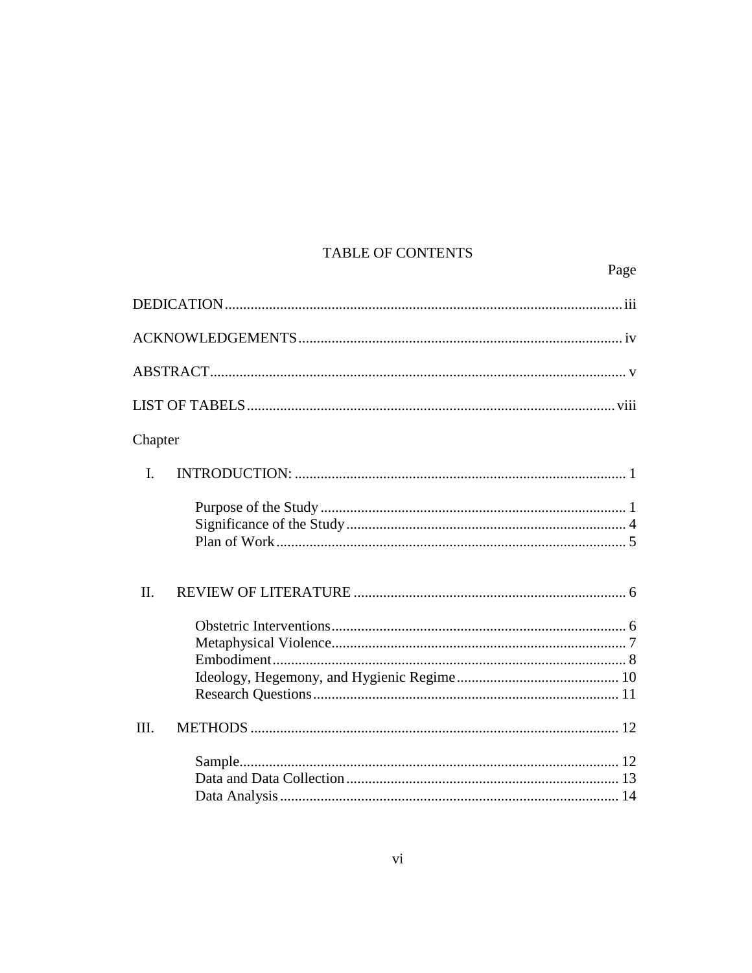## TABLE OF CONTENTS

Page

| Chapter |  |
|---------|--|
| I.      |  |
|         |  |
| II.     |  |
|         |  |
| III.    |  |
|         |  |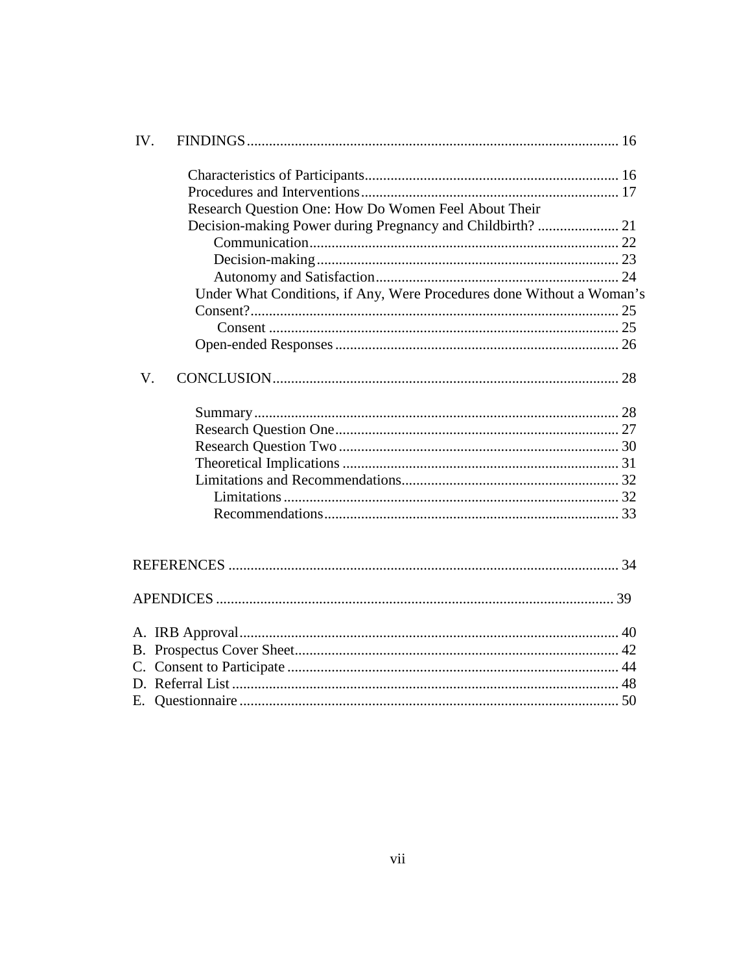| IV.         |                                                                       |  |
|-------------|-----------------------------------------------------------------------|--|
|             |                                                                       |  |
|             |                                                                       |  |
|             | Research Question One: How Do Women Feel About Their                  |  |
|             |                                                                       |  |
|             |                                                                       |  |
|             |                                                                       |  |
|             |                                                                       |  |
|             | Under What Conditions, if Any, Were Procedures done Without a Woman's |  |
|             |                                                                       |  |
|             |                                                                       |  |
|             |                                                                       |  |
|             |                                                                       |  |
| $V_{\cdot}$ |                                                                       |  |
|             |                                                                       |  |
|             |                                                                       |  |
|             |                                                                       |  |
|             |                                                                       |  |
|             |                                                                       |  |
|             |                                                                       |  |
|             |                                                                       |  |
|             |                                                                       |  |
|             |                                                                       |  |
|             |                                                                       |  |
|             |                                                                       |  |
|             |                                                                       |  |
|             |                                                                       |  |
|             |                                                                       |  |
|             |                                                                       |  |
|             | E. Questionnaire                                                      |  |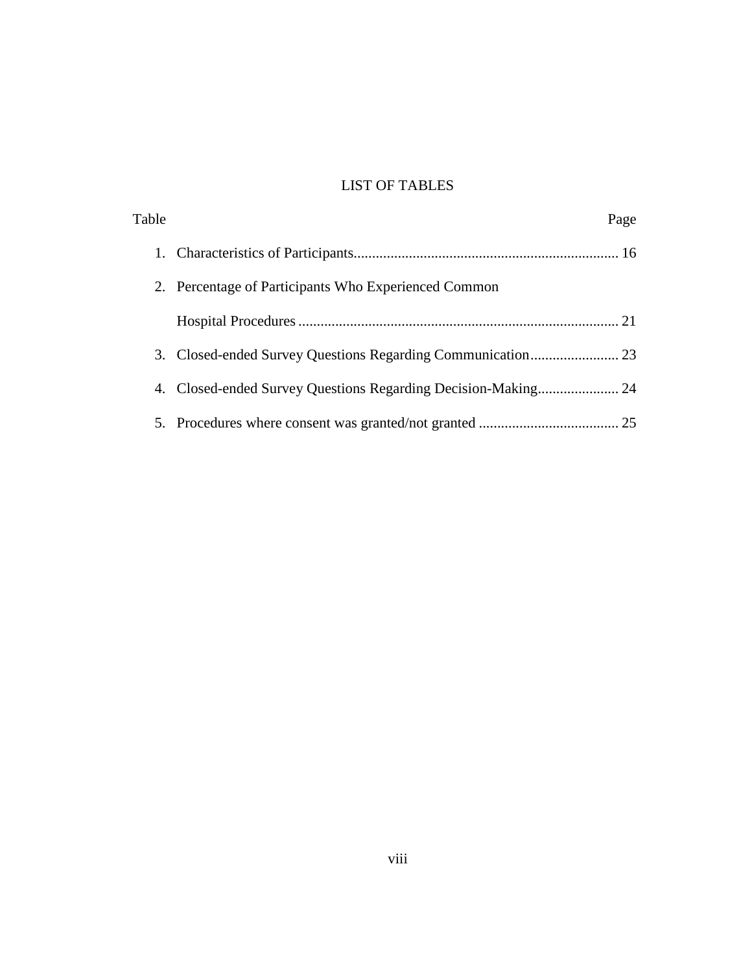## LIST OF TABLES

| Table |                                                      | Page |
|-------|------------------------------------------------------|------|
|       |                                                      |      |
|       | 2. Percentage of Participants Who Experienced Common |      |
|       |                                                      |      |
|       |                                                      |      |
|       |                                                      |      |
|       |                                                      |      |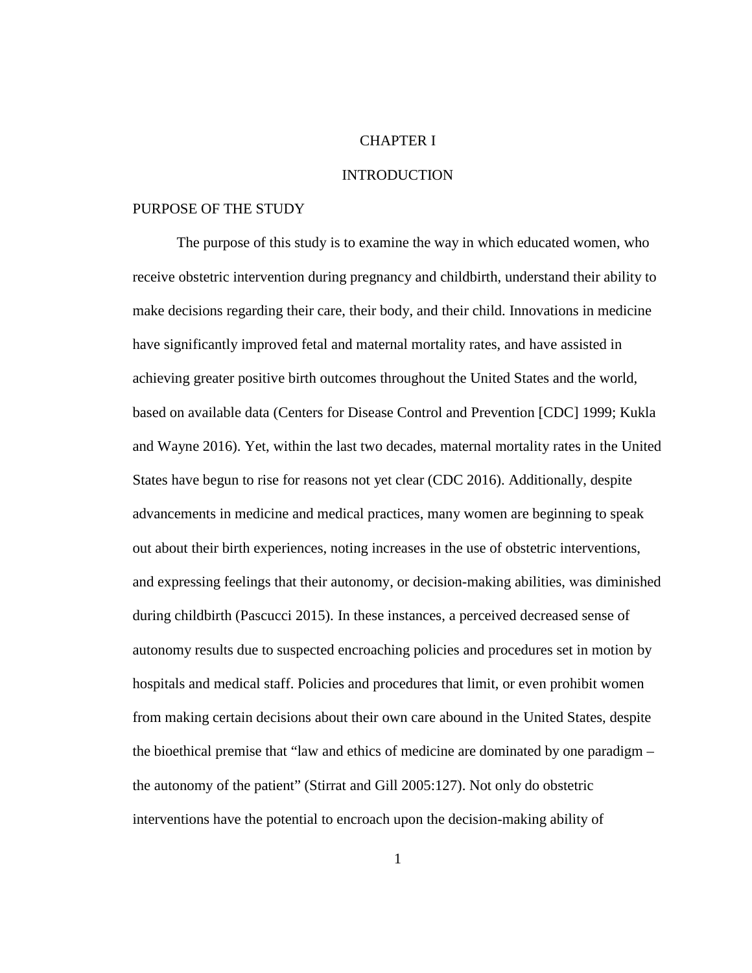#### CHAPTER I

#### INTRODUCTION

#### PURPOSE OF THE STUDY

The purpose of this study is to examine the way in which educated women, who receive obstetric intervention during pregnancy and childbirth, understand their ability to make decisions regarding their care, their body, and their child. Innovations in medicine have significantly improved fetal and maternal mortality rates, and have assisted in achieving greater positive birth outcomes throughout the United States and the world, based on available data (Centers for Disease Control and Prevention [CDC] 1999; Kukla and Wayne 2016). Yet, within the last two decades, maternal mortality rates in the United States have begun to rise for reasons not yet clear (CDC 2016). Additionally, despite advancements in medicine and medical practices, many women are beginning to speak out about their birth experiences, noting increases in the use of obstetric interventions, and expressing feelings that their autonomy, or decision-making abilities, was diminished during childbirth (Pascucci 2015). In these instances, a perceived decreased sense of autonomy results due to suspected encroaching policies and procedures set in motion by hospitals and medical staff. Policies and procedures that limit, or even prohibit women from making certain decisions about their own care abound in the United States, despite the bioethical premise that "law and ethics of medicine are dominated by one paradigm – the autonomy of the patient" (Stirrat and Gill 2005:127). Not only do obstetric interventions have the potential to encroach upon the decision-making ability of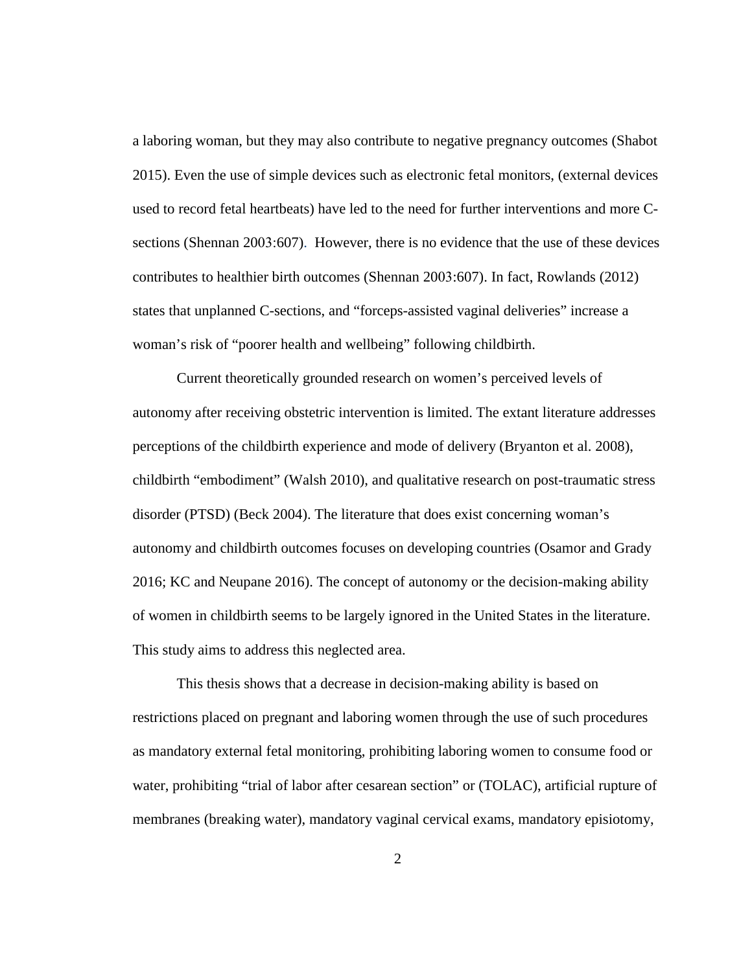a laboring woman, but they may also contribute to negative pregnancy outcomes (Shabot 2015). Even the use of simple devices such as electronic fetal monitors, (external devices used to record fetal heartbeats) have led to the need for further interventions and more Csections (Shennan 2003:607). However, there is no evidence that the use of these devices contributes to healthier birth outcomes (Shennan 2003:607). In fact, Rowlands (2012) states that unplanned C-sections, and "forceps-assisted vaginal deliveries" increase a woman's risk of "poorer health and wellbeing" following childbirth.

Current theoretically grounded research on women's perceived levels of autonomy after receiving obstetric intervention is limited. The extant literature addresses perceptions of the childbirth experience and mode of delivery (Bryanton et al. 2008), childbirth "embodiment" (Walsh 2010), and qualitative research on post-traumatic stress disorder (PTSD) (Beck 2004). The literature that does exist concerning woman's autonomy and childbirth outcomes focuses on developing countries (Osamor and Grady 2016; KC and Neupane 2016). The concept of autonomy or the decision-making ability of women in childbirth seems to be largely ignored in the United States in the literature. This study aims to address this neglected area.

This thesis shows that a decrease in decision-making ability is based on restrictions placed on pregnant and laboring women through the use of such procedures as mandatory external fetal monitoring, prohibiting laboring women to consume food or water, prohibiting "trial of labor after cesarean section" or (TOLAC), artificial rupture of membranes (breaking water), mandatory vaginal cervical exams, mandatory episiotomy,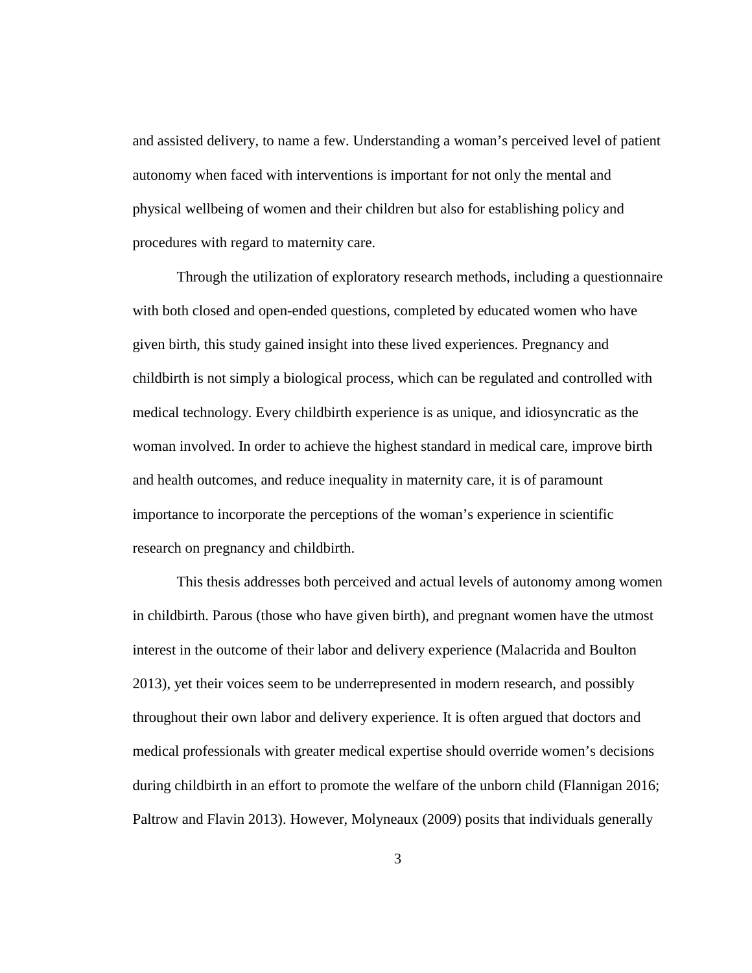and assisted delivery, to name a few. Understanding a woman's perceived level of patient autonomy when faced with interventions is important for not only the mental and physical wellbeing of women and their children but also for establishing policy and procedures with regard to maternity care.

Through the utilization of exploratory research methods, including a questionnaire with both closed and open-ended questions, completed by educated women who have given birth, this study gained insight into these lived experiences. Pregnancy and childbirth is not simply a biological process, which can be regulated and controlled with medical technology. Every childbirth experience is as unique, and idiosyncratic as the woman involved. In order to achieve the highest standard in medical care, improve birth and health outcomes, and reduce inequality in maternity care, it is of paramount importance to incorporate the perceptions of the woman's experience in scientific research on pregnancy and childbirth.

This thesis addresses both perceived and actual levels of autonomy among women in childbirth. Parous (those who have given birth), and pregnant women have the utmost interest in the outcome of their labor and delivery experience (Malacrida and Boulton 2013), yet their voices seem to be underrepresented in modern research, and possibly throughout their own labor and delivery experience. It is often argued that doctors and medical professionals with greater medical expertise should override women's decisions during childbirth in an effort to promote the welfare of the unborn child (Flannigan 2016; Paltrow and Flavin 2013). However, Molyneaux (2009) posits that individuals generally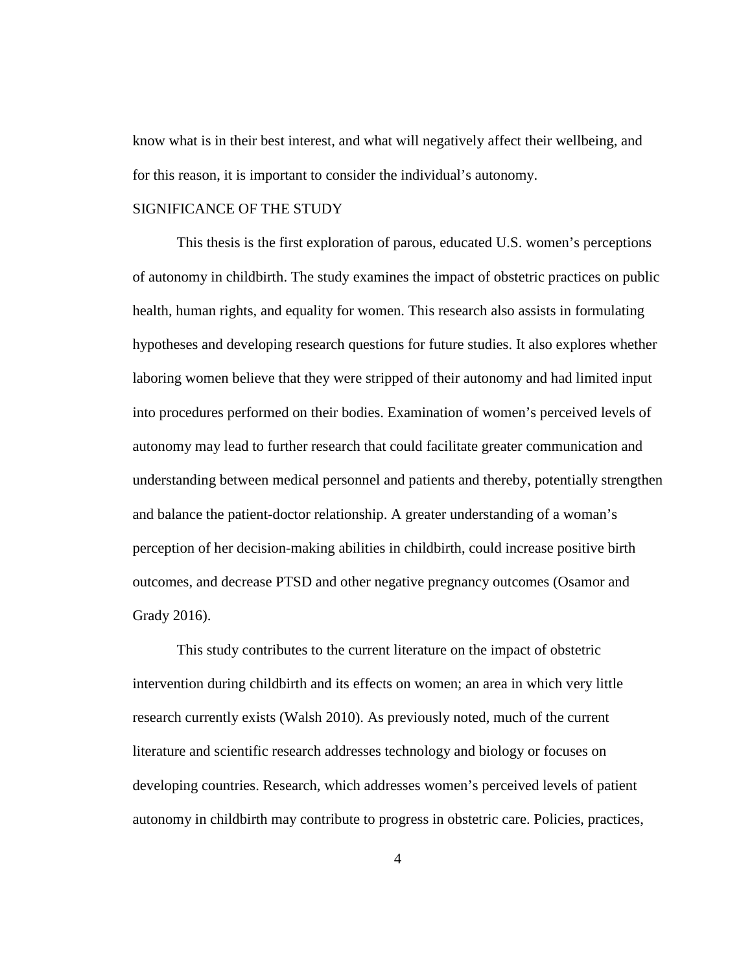know what is in their best interest, and what will negatively affect their wellbeing, and for this reason, it is important to consider the individual's autonomy.

#### SIGNIFICANCE OF THE STUDY

This thesis is the first exploration of parous, educated U.S. women's perceptions of autonomy in childbirth. The study examines the impact of obstetric practices on public health, human rights, and equality for women. This research also assists in formulating hypotheses and developing research questions for future studies. It also explores whether laboring women believe that they were stripped of their autonomy and had limited input into procedures performed on their bodies. Examination of women's perceived levels of autonomy may lead to further research that could facilitate greater communication and understanding between medical personnel and patients and thereby, potentially strengthen and balance the patient-doctor relationship. A greater understanding of a woman's perception of her decision-making abilities in childbirth, could increase positive birth outcomes, and decrease PTSD and other negative pregnancy outcomes (Osamor and Grady 2016).

This study contributes to the current literature on the impact of obstetric intervention during childbirth and its effects on women; an area in which very little research currently exists (Walsh 2010). As previously noted, much of the current literature and scientific research addresses technology and biology or focuses on developing countries. Research, which addresses women's perceived levels of patient autonomy in childbirth may contribute to progress in obstetric care. Policies, practices,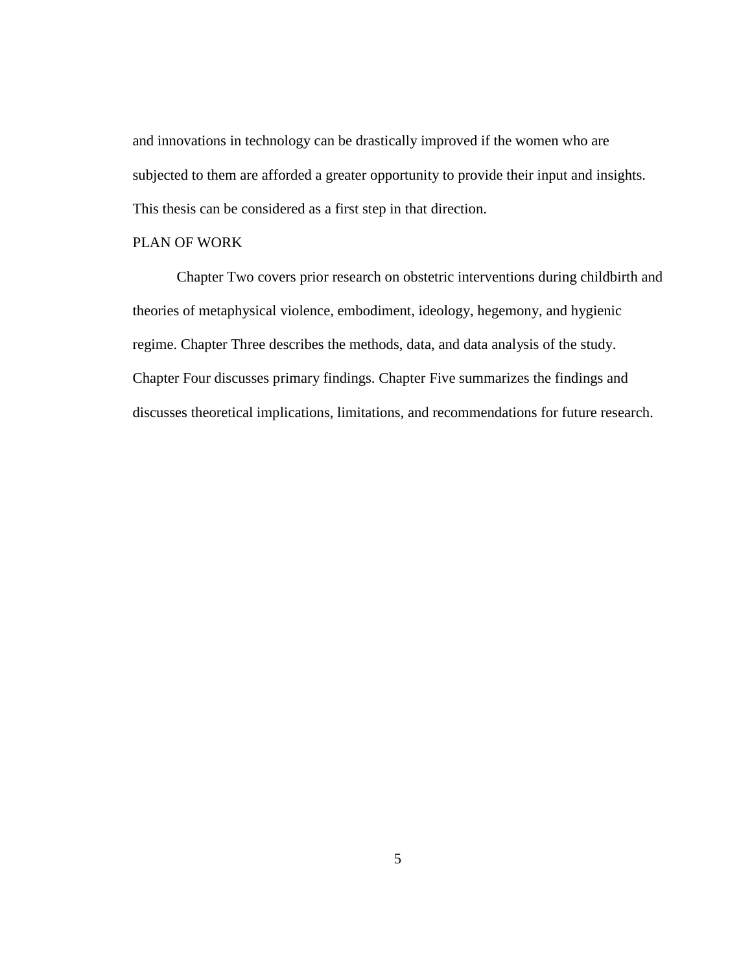and innovations in technology can be drastically improved if the women who are subjected to them are afforded a greater opportunity to provide their input and insights. This thesis can be considered as a first step in that direction.

#### PLAN OF WORK

Chapter Two covers prior research on obstetric interventions during childbirth and theories of metaphysical violence, embodiment, ideology, hegemony, and hygienic regime. Chapter Three describes the methods, data, and data analysis of the study. Chapter Four discusses primary findings. Chapter Five summarizes the findings and discusses theoretical implications, limitations, and recommendations for future research.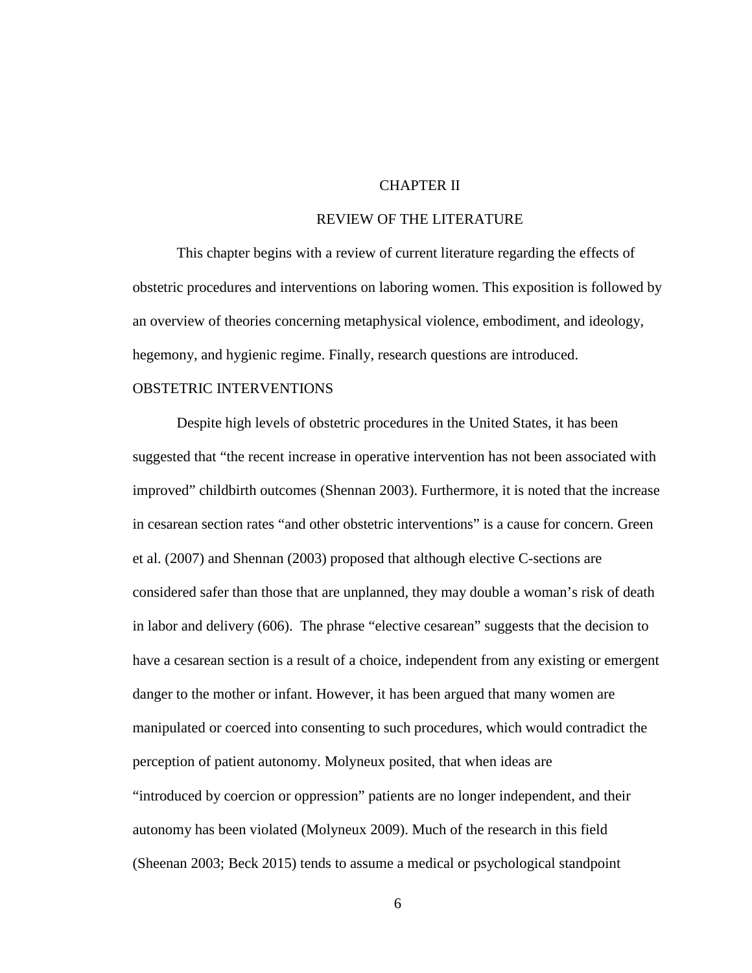#### CHAPTER II

## REVIEW OF THE LITERATURE

This chapter begins with a review of current literature regarding the effects of obstetric procedures and interventions on laboring women. This exposition is followed by an overview of theories concerning metaphysical violence, embodiment, and ideology, hegemony, and hygienic regime. Finally, research questions are introduced.

#### OBSTETRIC INTERVENTIONS

Despite high levels of obstetric procedures in the United States, it has been suggested that "the recent increase in operative intervention has not been associated with improved" childbirth outcomes (Shennan 2003). Furthermore, it is noted that the increase in cesarean section rates "and other obstetric interventions" is a cause for concern. Green et al. (2007) and Shennan (2003) proposed that although elective C-sections are considered safer than those that are unplanned, they may double a woman's risk of death in labor and delivery (606). The phrase "elective cesarean" suggests that the decision to have a cesarean section is a result of a choice, independent from any existing or emergent danger to the mother or infant. However, it has been argued that many women are manipulated or coerced into consenting to such procedures, which would contradict the perception of patient autonomy. Molyneux posited, that when ideas are "introduced by coercion or oppression" patients are no longer independent, and their autonomy has been violated (Molyneux 2009). Much of the research in this field (Sheenan 2003; Beck 2015) tends to assume a medical or psychological standpoint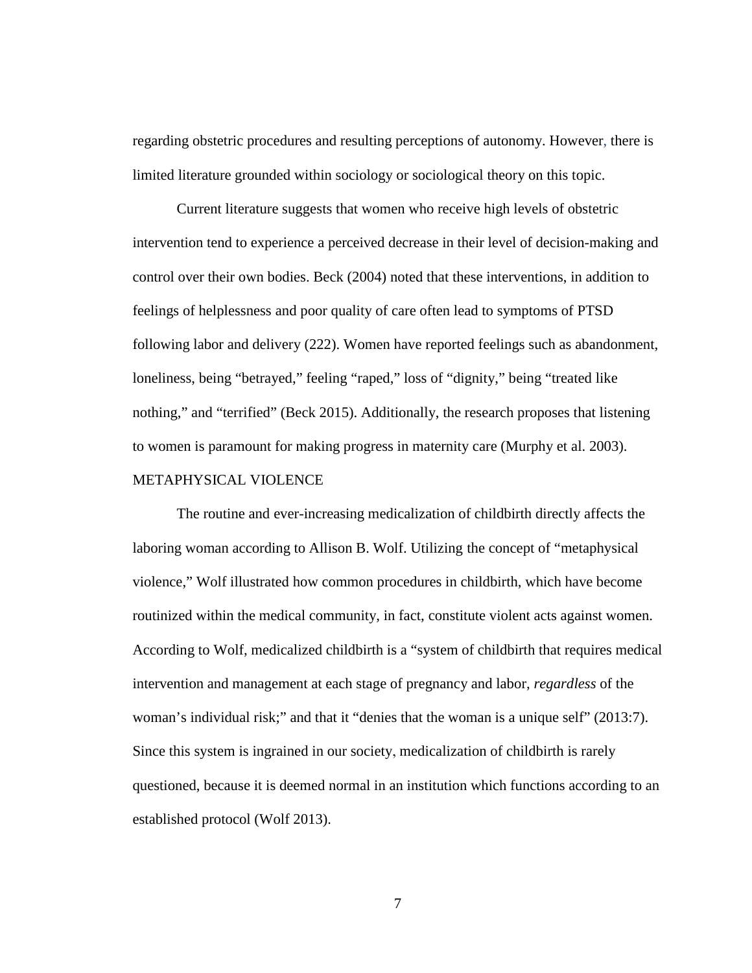regarding obstetric procedures and resulting perceptions of autonomy. However, there is limited literature grounded within sociology or sociological theory on this topic.

Current literature suggests that women who receive high levels of obstetric intervention tend to experience a perceived decrease in their level of decision-making and control over their own bodies. Beck (2004) noted that these interventions, in addition to feelings of helplessness and poor quality of care often lead to symptoms of PTSD following labor and delivery (222). Women have reported feelings such as abandonment, loneliness, being "betrayed," feeling "raped," loss of "dignity," being "treated like nothing," and "terrified" (Beck 2015). Additionally, the research proposes that listening to women is paramount for making progress in maternity care (Murphy et al. 2003). METAPHYSICAL VIOLENCE

The routine and ever-increasing medicalization of childbirth directly affects the laboring woman according to Allison B. Wolf. Utilizing the concept of "metaphysical violence," Wolf illustrated how common procedures in childbirth, which have become routinized within the medical community, in fact, constitute violent acts against women. According to Wolf, medicalized childbirth is a "system of childbirth that requires medical intervention and management at each stage of pregnancy and labor, *regardless* of the woman's individual risk;" and that it "denies that the woman is a unique self" (2013:7). Since this system is ingrained in our society, medicalization of childbirth is rarely questioned, because it is deemed normal in an institution which functions according to an established protocol (Wolf 2013).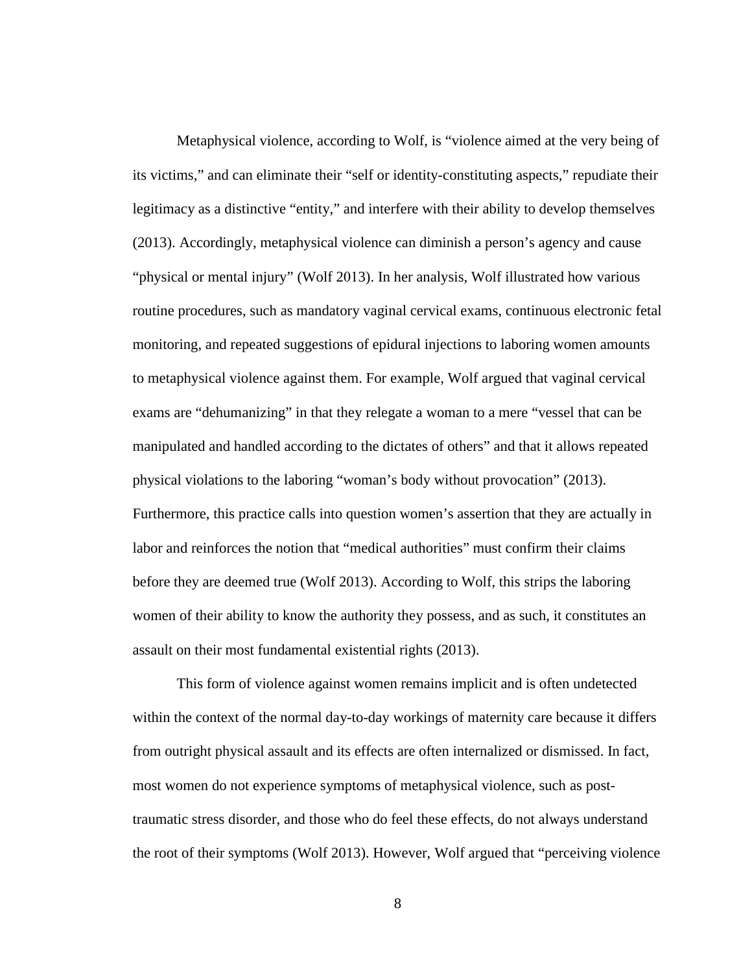Metaphysical violence, according to Wolf, is "violence aimed at the very being of its victims," and can eliminate their "self or identity-constituting aspects," repudiate their legitimacy as a distinctive "entity," and interfere with their ability to develop themselves (2013). Accordingly, metaphysical violence can diminish a person's agency and cause "physical or mental injury" (Wolf 2013). In her analysis, Wolf illustrated how various routine procedures, such as mandatory vaginal cervical exams, continuous electronic fetal monitoring, and repeated suggestions of epidural injections to laboring women amounts to metaphysical violence against them. For example, Wolf argued that vaginal cervical exams are "dehumanizing" in that they relegate a woman to a mere "vessel that can be manipulated and handled according to the dictates of others" and that it allows repeated physical violations to the laboring "woman's body without provocation" (2013). Furthermore, this practice calls into question women's assertion that they are actually in labor and reinforces the notion that "medical authorities" must confirm their claims before they are deemed true (Wolf 2013). According to Wolf, this strips the laboring women of their ability to know the authority they possess, and as such, it constitutes an assault on their most fundamental existential rights (2013).

This form of violence against women remains implicit and is often undetected within the context of the normal day-to-day workings of maternity care because it differs from outright physical assault and its effects are often internalized or dismissed. In fact, most women do not experience symptoms of metaphysical violence, such as posttraumatic stress disorder, and those who do feel these effects, do not always understand the root of their symptoms (Wolf 2013). However, Wolf argued that "perceiving violence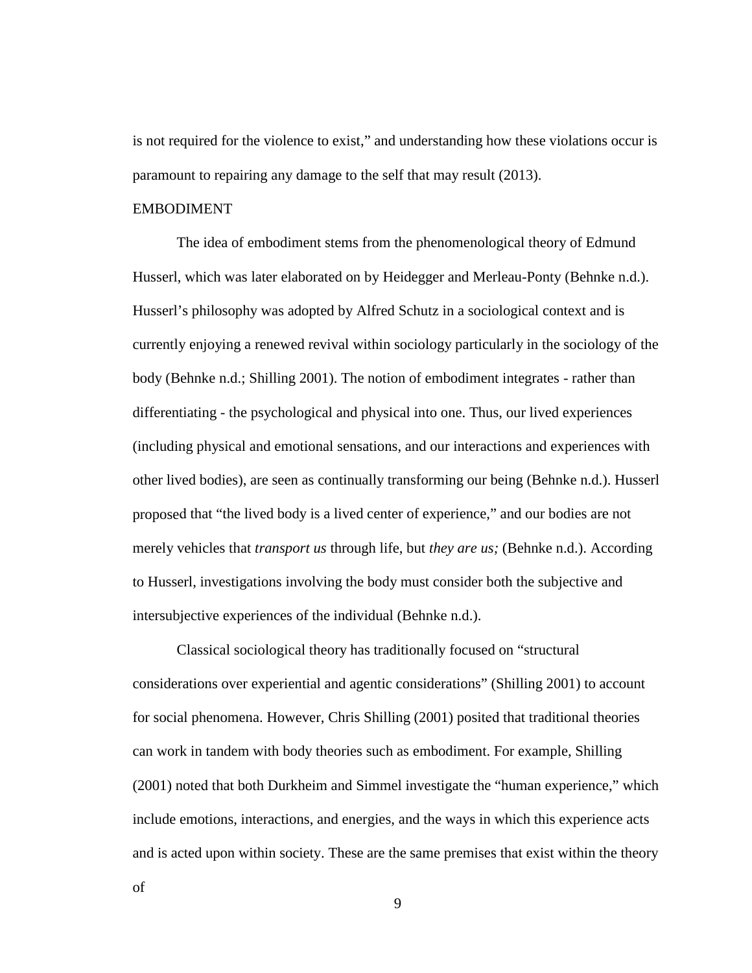is not required for the violence to exist," and understanding how these violations occur is paramount to repairing any damage to the self that may result (2013).

#### EMBODIMENT

The idea of embodiment stems from the phenomenological theory of Edmund Husserl, which was later elaborated on by Heidegger and Merleau-Ponty (Behnke n.d.). Husserl's philosophy was adopted by Alfred Schutz in a sociological context and is currently enjoying a renewed revival within sociology particularly in the sociology of the body (Behnke n.d.; Shilling 2001). The notion of embodiment integrates - rather than differentiating - the psychological and physical into one. Thus, our lived experiences (including physical and emotional sensations, and our interactions and experiences with other lived bodies), are seen as continually transforming our being (Behnke n.d.). Husserl proposed that "the lived body is a lived center of experience," and our bodies are not merely vehicles that *transport us* through life, but *they are us;* (Behnke n.d.). According to Husserl, investigations involving the body must consider both the subjective and intersubjective experiences of the individual (Behnke n.d.).

Classical sociological theory has traditionally focused on "structural considerations over experiential and agentic considerations" (Shilling 2001) to account for social phenomena. However, Chris Shilling (2001) posited that traditional theories can work in tandem with body theories such as embodiment. For example, Shilling (2001) noted that both Durkheim and Simmel investigate the "human experience," which include emotions, interactions, and energies, and the ways in which this experience acts and is acted upon within society. These are the same premises that exist within the theory

of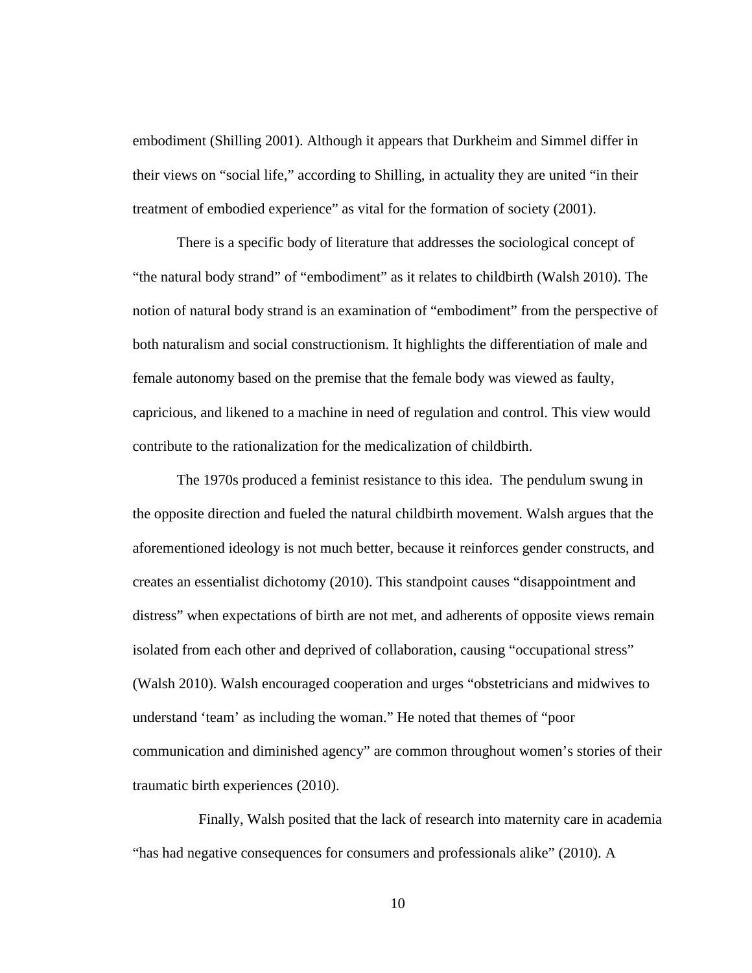embodiment (Shilling 2001). Although it appears that Durkheim and Simmel differ in their views on "social life," according to Shilling, in actuality they are united "in their treatment of embodied experience" as vital for the formation of society (2001).

There is a specific body of literature that addresses the sociological concept of "the natural body strand" of "embodiment" as it relates to childbirth (Walsh 2010). The notion of natural body strand is an examination of "embodiment" from the perspective of both naturalism and social constructionism. It highlights the differentiation of male and female autonomy based on the premise that the female body was viewed as faulty, capricious, and likened to a machine in need of regulation and control. This view would contribute to the rationalization for the medicalization of childbirth.

The 1970s produced a feminist resistance to this idea. The pendulum swung in the opposite direction and fueled the natural childbirth movement. Walsh argues that the aforementioned ideology is not much better, because it reinforces gender constructs, and creates an essentialist dichotomy (2010). This standpoint causes "disappointment and distress" when expectations of birth are not met, and adherents of opposite views remain isolated from each other and deprived of collaboration, causing "occupational stress" (Walsh 2010). Walsh encouraged cooperation and urges "obstetricians and midwives to understand 'team' as including the woman." He noted that themes of "poor communication and diminished agency" are common throughout women's stories of their traumatic birth experiences (2010).

Finally, Walsh posited that the lack of research into maternity care in academia "has had negative consequences for consumers and professionals alike" (2010). A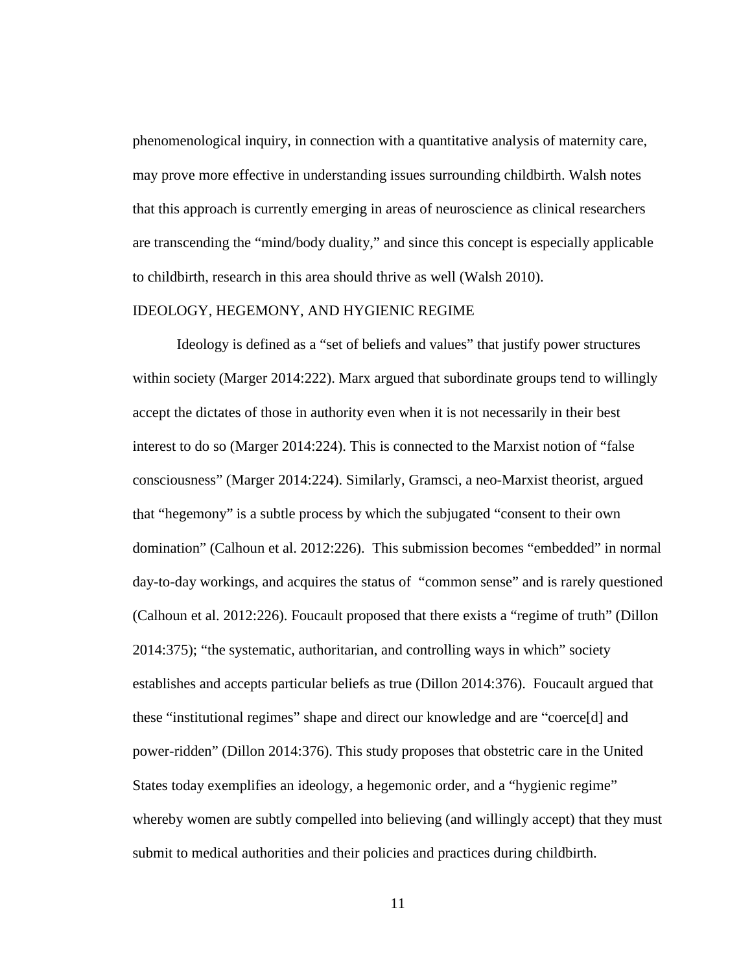phenomenological inquiry, in connection with a quantitative analysis of maternity care, may prove more effective in understanding issues surrounding childbirth. Walsh notes that this approach is currently emerging in areas of neuroscience as clinical researchers are transcending the "mind/body duality," and since this concept is especially applicable to childbirth, research in this area should thrive as well (Walsh 2010).

#### IDEOLOGY, HEGEMONY, AND HYGIENIC REGIME

Ideology is defined as a "set of beliefs and values" that justify power structures within society (Marger 2014:222). Marx argued that subordinate groups tend to willingly accept the dictates of those in authority even when it is not necessarily in their best interest to do so (Marger 2014:224). This is connected to the Marxist notion of "false consciousness" (Marger 2014:224). Similarly, Gramsci, a neo-Marxist theorist, argued that "hegemony" is a subtle process by which the subjugated "consent to their own domination" (Calhoun et al. 2012:226). This submission becomes "embedded" in normal day-to-day workings, and acquires the status of "common sense" and is rarely questioned (Calhoun et al. 2012:226). Foucault proposed that there exists a "regime of truth" (Dillon 2014:375); "the systematic, authoritarian, and controlling ways in which" society establishes and accepts particular beliefs as true (Dillon 2014:376). Foucault argued that these "institutional regimes" shape and direct our knowledge and are "coerce[d] and power-ridden" (Dillon 2014:376). This study proposes that obstetric care in the United States today exemplifies an ideology, a hegemonic order, and a "hygienic regime" whereby women are subtly compelled into believing (and willingly accept) that they must submit to medical authorities and their policies and practices during childbirth.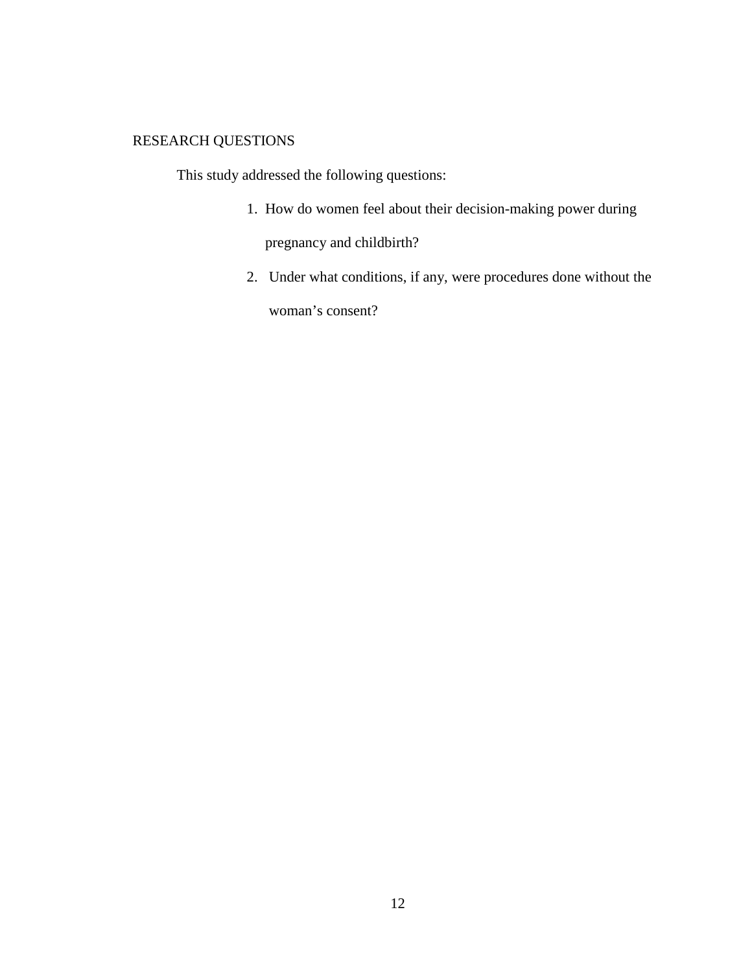## RESEARCH QUESTIONS

This study addressed the following questions:

- 1. How do women feel about their decision-making power during pregnancy and childbirth?
- 2. Under what conditions, if any, were procedures done without the woman's consent?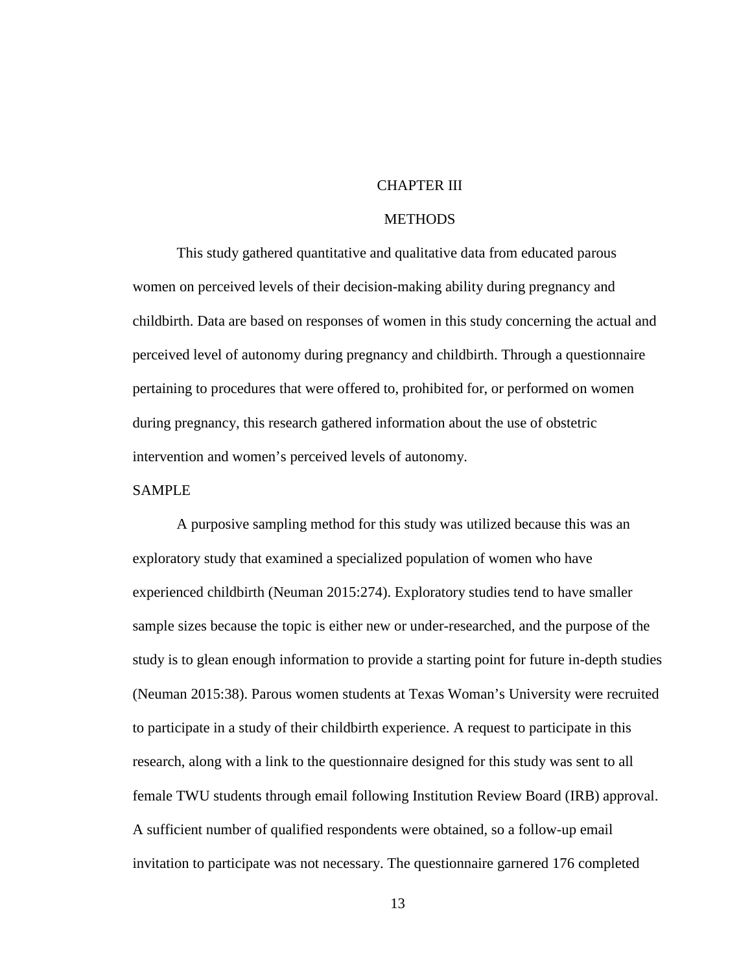#### CHAPTER III

#### **METHODS**

This study gathered quantitative and qualitative data from educated parous women on perceived levels of their decision-making ability during pregnancy and childbirth. Data are based on responses of women in this study concerning the actual and perceived level of autonomy during pregnancy and childbirth. Through a questionnaire pertaining to procedures that were offered to, prohibited for, or performed on women during pregnancy, this research gathered information about the use of obstetric intervention and women's perceived levels of autonomy.

#### SAMPLE

A purposive sampling method for this study was utilized because this was an exploratory study that examined a specialized population of women who have experienced childbirth (Neuman 2015:274). Exploratory studies tend to have smaller sample sizes because the topic is either new or under-researched, and the purpose of the study is to glean enough information to provide a starting point for future in-depth studies (Neuman 2015:38). Parous women students at Texas Woman's University were recruited to participate in a study of their childbirth experience. A request to participate in this research, along with a link to the questionnaire designed for this study was sent to all female TWU students through email following Institution Review Board (IRB) approval. A sufficient number of qualified respondents were obtained, so a follow-up email invitation to participate was not necessary. The questionnaire garnered 176 completed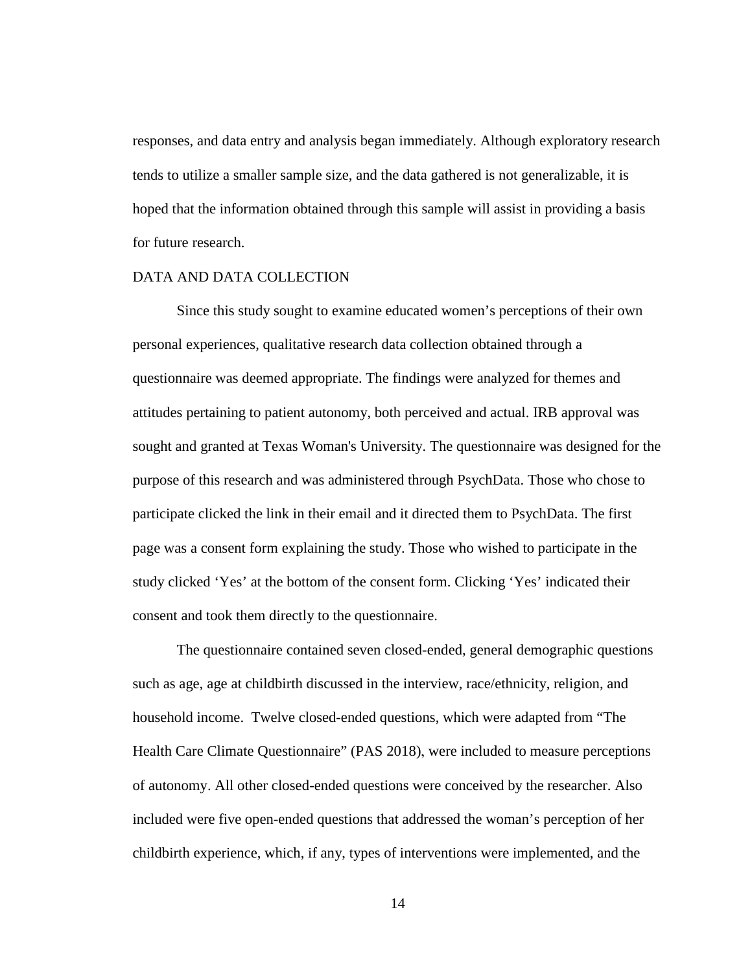responses, and data entry and analysis began immediately. Although exploratory research tends to utilize a smaller sample size, and the data gathered is not generalizable, it is hoped that the information obtained through this sample will assist in providing a basis for future research.

#### DATA AND DATA COLLECTION

Since this study sought to examine educated women's perceptions of their own personal experiences, qualitative research data collection obtained through a questionnaire was deemed appropriate. The findings were analyzed for themes and attitudes pertaining to patient autonomy, both perceived and actual. IRB approval was sought and granted at Texas Woman's University. The questionnaire was designed for the purpose of this research and was administered through PsychData. Those who chose to participate clicked the link in their email and it directed them to PsychData. The first page was a consent form explaining the study. Those who wished to participate in the study clicked 'Yes' at the bottom of the consent form. Clicking 'Yes' indicated their consent and took them directly to the questionnaire.

The questionnaire contained seven closed-ended, general demographic questions such as age, age at childbirth discussed in the interview, race/ethnicity, religion, and household income. Twelve closed-ended questions, which were adapted from "The Health Care Climate Questionnaire" (PAS 2018), were included to measure perceptions of autonomy. All other closed-ended questions were conceived by the researcher. Also included were five open-ended questions that addressed the woman's perception of her childbirth experience, which, if any, types of interventions were implemented, and the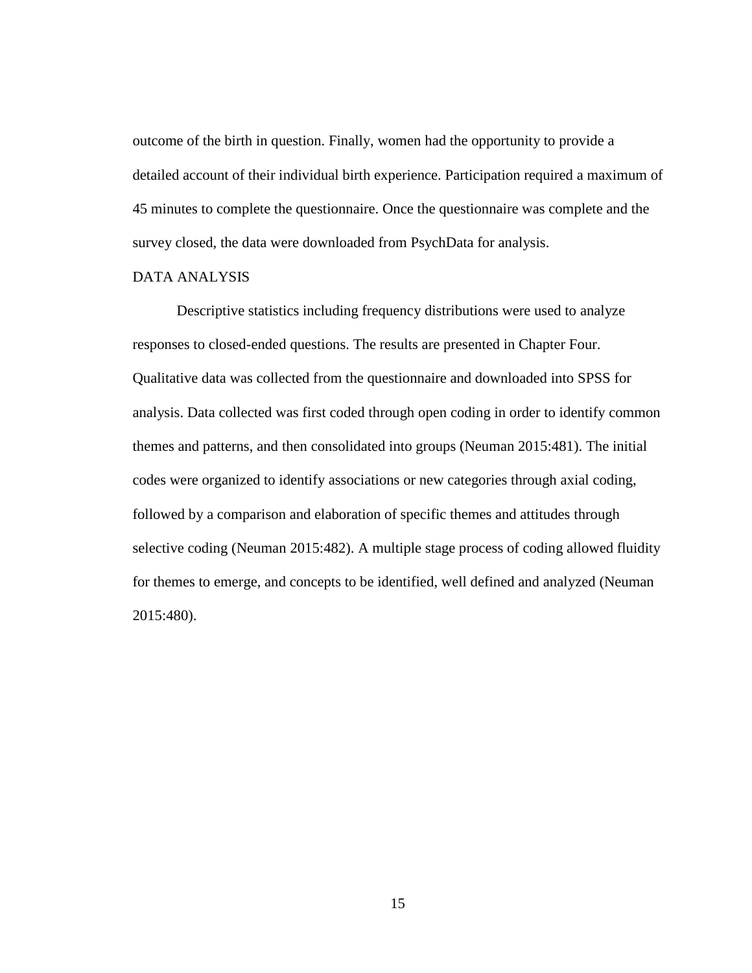outcome of the birth in question. Finally, women had the opportunity to provide a detailed account of their individual birth experience. Participation required a maximum of 45 minutes to complete the questionnaire. Once the questionnaire was complete and the survey closed, the data were downloaded from PsychData for analysis.

#### DATA ANALYSIS

Descriptive statistics including frequency distributions were used to analyze responses to closed-ended questions. The results are presented in Chapter Four. Qualitative data was collected from the questionnaire and downloaded into SPSS for analysis. Data collected was first coded through open coding in order to identify common themes and patterns, and then consolidated into groups (Neuman 2015:481). The initial codes were organized to identify associations or new categories through axial coding, followed by a comparison and elaboration of specific themes and attitudes through selective coding (Neuman 2015:482). A multiple stage process of coding allowed fluidity for themes to emerge, and concepts to be identified, well defined and analyzed (Neuman 2015:480).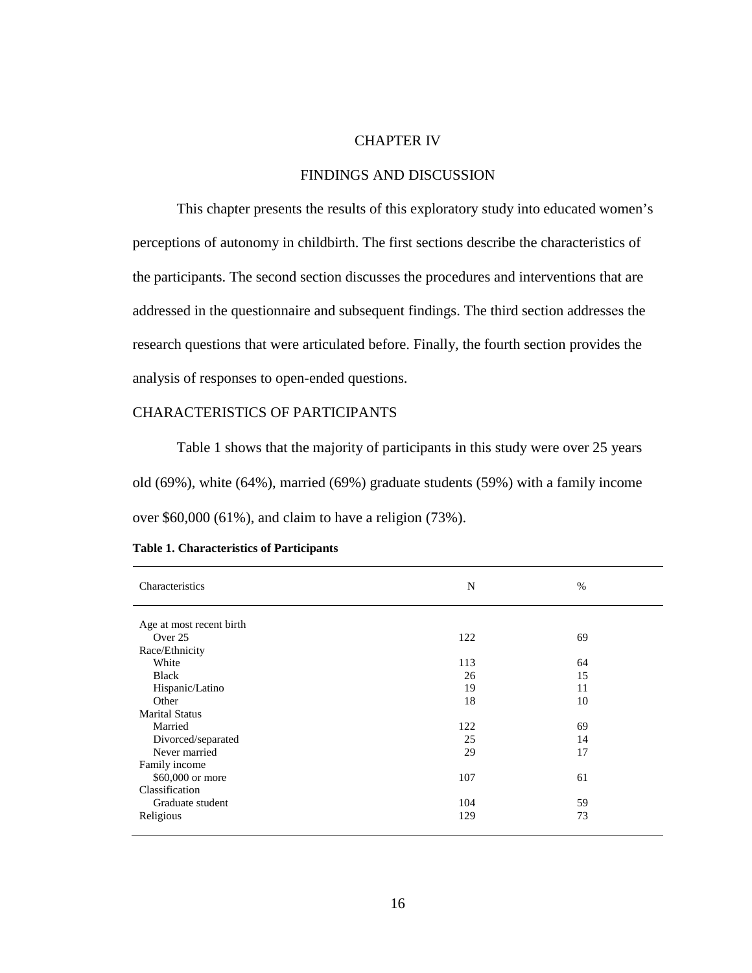#### CHAPTER IV

#### FINDINGS AND DISCUSSION

This chapter presents the results of this exploratory study into educated women's perceptions of autonomy in childbirth. The first sections describe the characteristics of the participants. The second section discusses the procedures and interventions that are addressed in the questionnaire and subsequent findings. The third section addresses the research questions that were articulated before. Finally, the fourth section provides the analysis of responses to open-ended questions.

#### CHARACTERISTICS OF PARTICIPANTS

Table 1 shows that the majority of participants in this study were over 25 years old (69%), white (64%), married (69%) graduate students (59%) with a family income over \$60,000 (61%), and claim to have a religion (73%).

| Characteristics          | N   | $\%$ |
|--------------------------|-----|------|
| Age at most recent birth |     |      |
| Over 25                  | 122 | 69   |
|                          |     |      |
| Race/Ethnicity           |     |      |
| White                    | 113 | 64   |
| <b>Black</b>             | 26  | 15   |
| Hispanic/Latino          | 19  | 11   |
| Other                    | 18  | 10   |
| <b>Marital Status</b>    |     |      |
| Married                  | 122 | 69   |
| Divorced/separated       | 25  | 14   |
| Never married            | 29  | 17   |
| Family income            |     |      |
| \$60,000 or more         | 107 | 61   |
| Classification           |     |      |
| Graduate student         | 104 | 59   |
| Religious                | 129 | 73   |
|                          |     |      |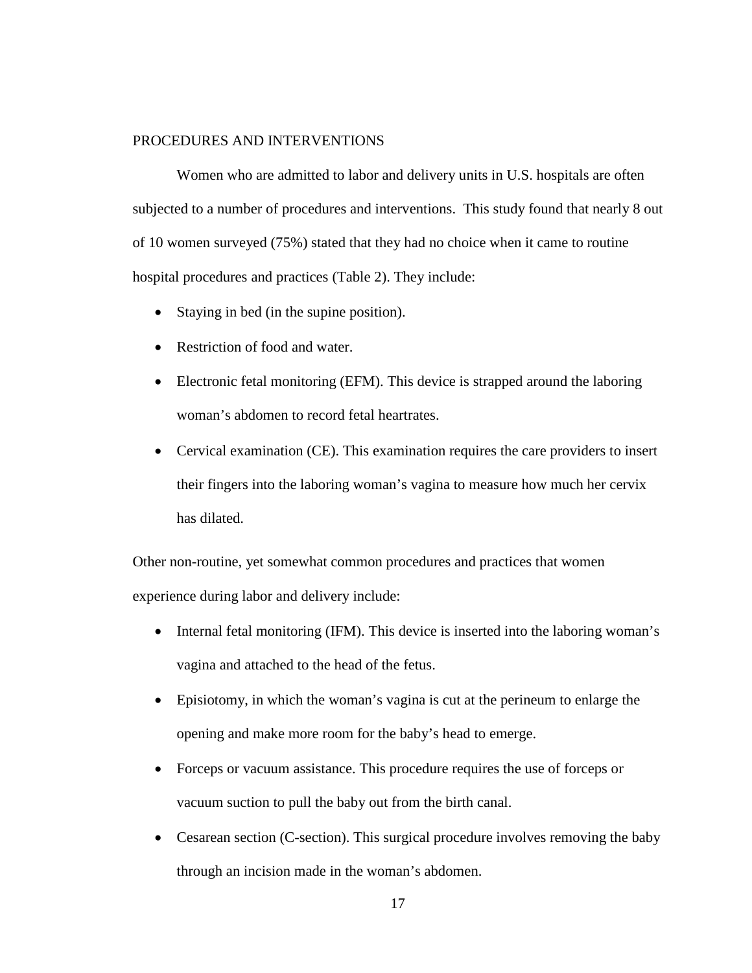#### PROCEDURES AND INTERVENTIONS

Women who are admitted to labor and delivery units in U.S. hospitals are often subjected to a number of procedures and interventions. This study found that nearly 8 out of 10 women surveyed (75%) stated that they had no choice when it came to routine hospital procedures and practices (Table 2). They include:

- Staying in bed (in the supine position).
- Restriction of food and water.
- Electronic fetal monitoring (EFM). This device is strapped around the laboring woman's abdomen to record fetal heartrates.
- Cervical examination (CE). This examination requires the care providers to insert their fingers into the laboring woman's vagina to measure how much her cervix has dilated.

Other non-routine, yet somewhat common procedures and practices that women experience during labor and delivery include:

- Internal fetal monitoring (IFM). This device is inserted into the laboring woman's vagina and attached to the head of the fetus.
- Episiotomy, in which the woman's vagina is cut at the perineum to enlarge the opening and make more room for the baby's head to emerge.
- Forceps or vacuum assistance. This procedure requires the use of forceps or vacuum suction to pull the baby out from the birth canal.
- Cesarean section (C-section). This surgical procedure involves removing the baby through an incision made in the woman's abdomen.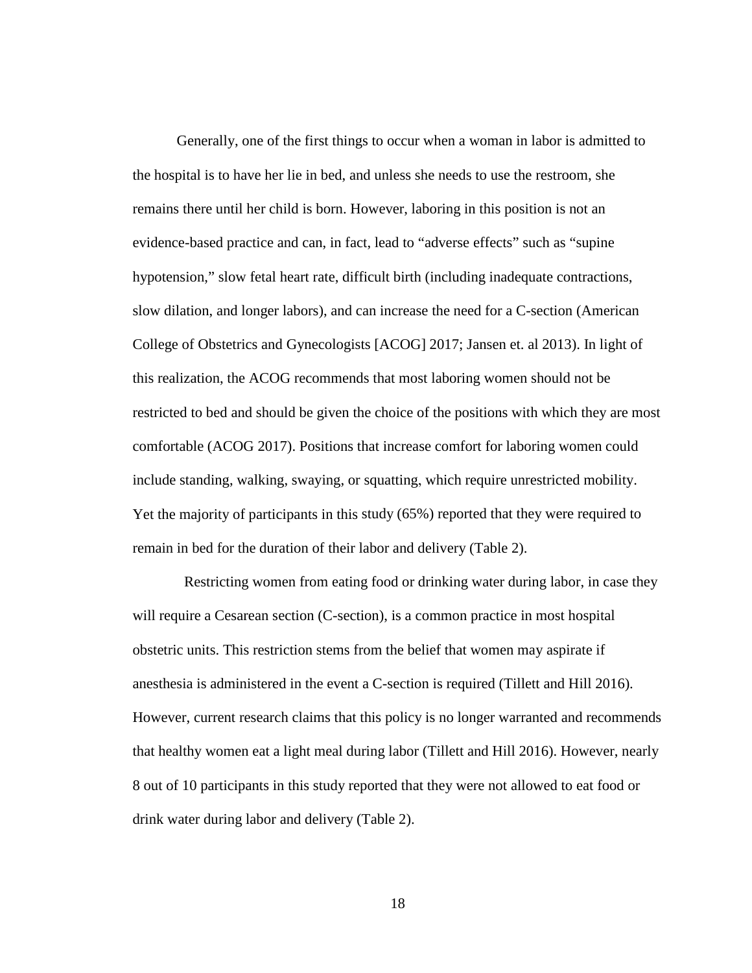Generally, one of the first things to occur when a woman in labor is admitted to the hospital is to have her lie in bed, and unless she needs to use the restroom, she remains there until her child is born. However, laboring in this position is not an evidence-based practice and can, in fact, lead to "adverse effects" such as "supine hypotension," slow fetal heart rate, difficult birth (including inadequate contractions, slow dilation, and longer labors), and can increase the need for a C-section (American College of Obstetrics and Gynecologists [ACOG] 2017; Jansen et. al 2013). In light of this realization, the ACOG recommends that most laboring women should not be restricted to bed and should be given the choice of the positions with which they are most comfortable (ACOG 2017). Positions that increase comfort for laboring women could include standing, walking, swaying, or squatting, which require unrestricted mobility. Yet the majority of participants in this study (65%) reported that they were required to remain in bed for the duration of their labor and delivery (Table 2).

 Restricting women from eating food or drinking water during labor, in case they will require a Cesarean section (C-section), is a common practice in most hospital obstetric units. This restriction stems from the belief that women may aspirate if anesthesia is administered in the event a C-section is required (Tillett and Hill 2016). However, current research claims that this policy is no longer warranted and recommends that healthy women eat a light meal during labor (Tillett and Hill 2016). However, nearly 8 out of 10 participants in this study reported that they were not allowed to eat food or drink water during labor and delivery (Table 2).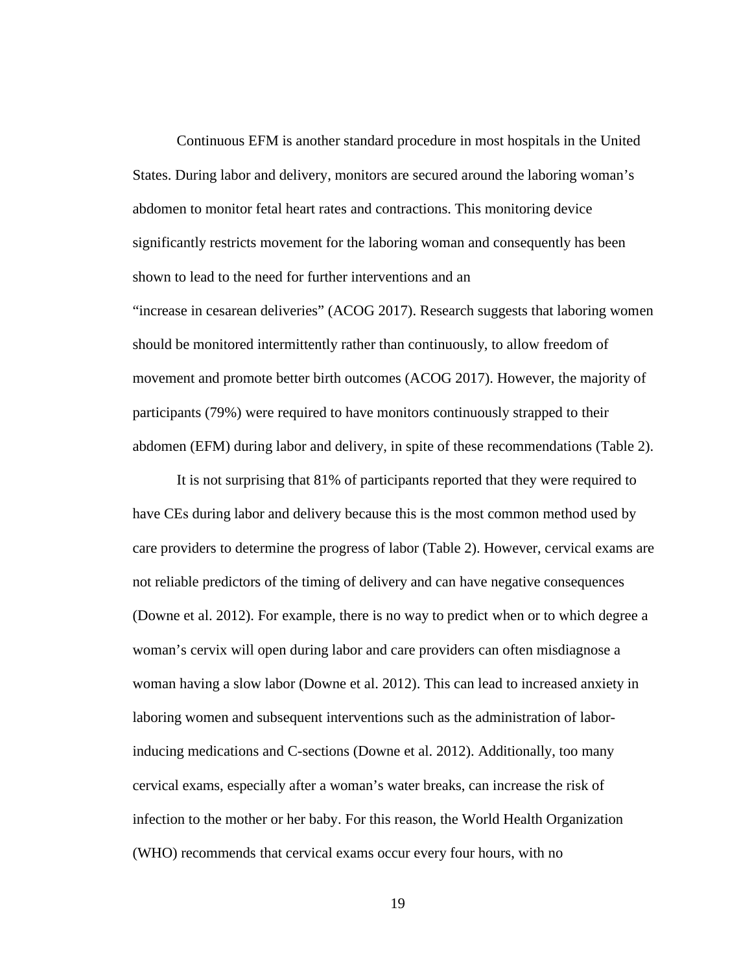Continuous EFM is another standard procedure in most hospitals in the United States. During labor and delivery, monitors are secured around the laboring woman's abdomen to monitor fetal heart rates and contractions. This monitoring device significantly restricts movement for the laboring woman and consequently has been shown to lead to the need for further interventions and an "increase in cesarean deliveries" (ACOG 2017). Research suggests that laboring women should be monitored intermittently rather than continuously, to allow freedom of movement and promote better birth outcomes (ACOG 2017). However, the majority of participants (79%) were required to have monitors continuously strapped to their abdomen (EFM) during labor and delivery, in spite of these recommendations (Table 2).

It is not surprising that 81% of participants reported that they were required to have CEs during labor and delivery because this is the most common method used by care providers to determine the progress of labor (Table 2). However, cervical exams are not reliable predictors of the timing of delivery and can have negative consequences (Downe et al. 2012). For example, there is no way to predict when or to which degree a woman's cervix will open during labor and care providers can often misdiagnose a woman having a slow labor (Downe et al. 2012). This can lead to increased anxiety in laboring women and subsequent interventions such as the administration of laborinducing medications and C-sections (Downe et al. 2012). Additionally, too many cervical exams, especially after a woman's water breaks, can increase the risk of infection to the mother or her baby. For this reason, the World Health Organization (WHO) recommends that cervical exams occur every four hours, with no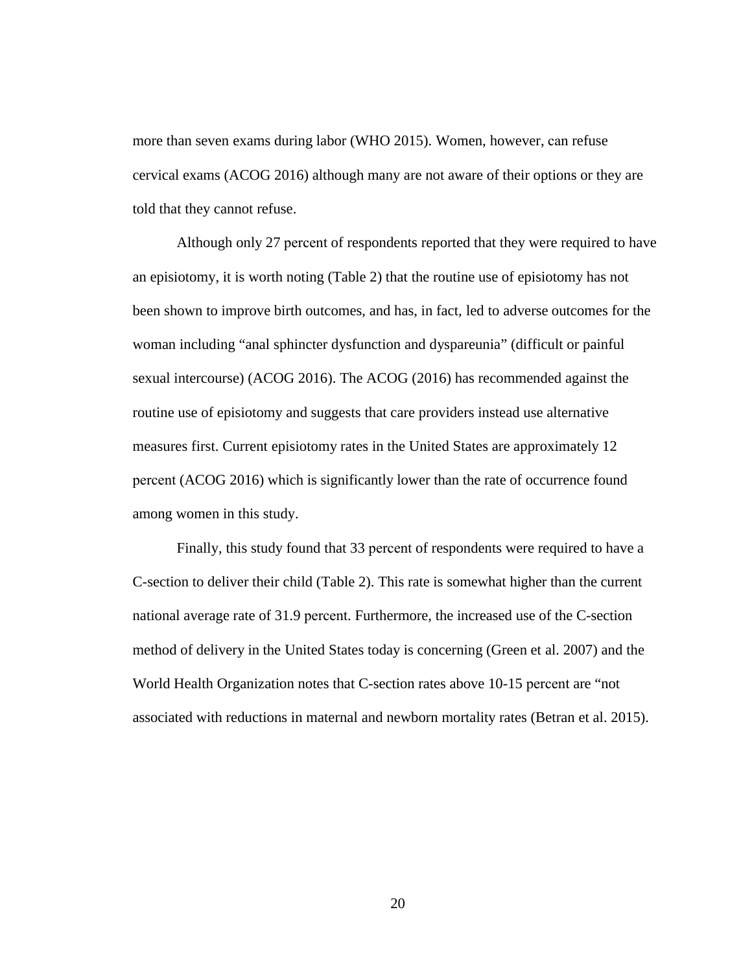more than seven exams during labor (WHO 2015). Women, however, can refuse cervical exams (ACOG 2016) although many are not aware of their options or they are told that they cannot refuse.

Although only 27 percent of respondents reported that they were required to have an episiotomy, it is worth noting (Table 2) that the routine use of episiotomy has not been shown to improve birth outcomes, and has, in fact, led to adverse outcomes for the woman including "anal sphincter dysfunction and dyspareunia" (difficult or painful sexual intercourse) (ACOG 2016). The ACOG (2016) has recommended against the routine use of episiotomy and suggests that care providers instead use alternative measures first. Current episiotomy rates in the United States are approximately 12 percent (ACOG 2016) which is significantly lower than the rate of occurrence found among women in this study.

Finally, this study found that 33 percent of respondents were required to have a C-section to deliver their child (Table 2). This rate is somewhat higher than the current national average rate of 31.9 percent. Furthermore, the increased use of the C-section method of delivery in the United States today is concerning (Green et al. 2007) and the World Health Organization notes that C-section rates above 10-15 percent are "not associated with reductions in maternal and newborn mortality rates (Betran et al. 2015).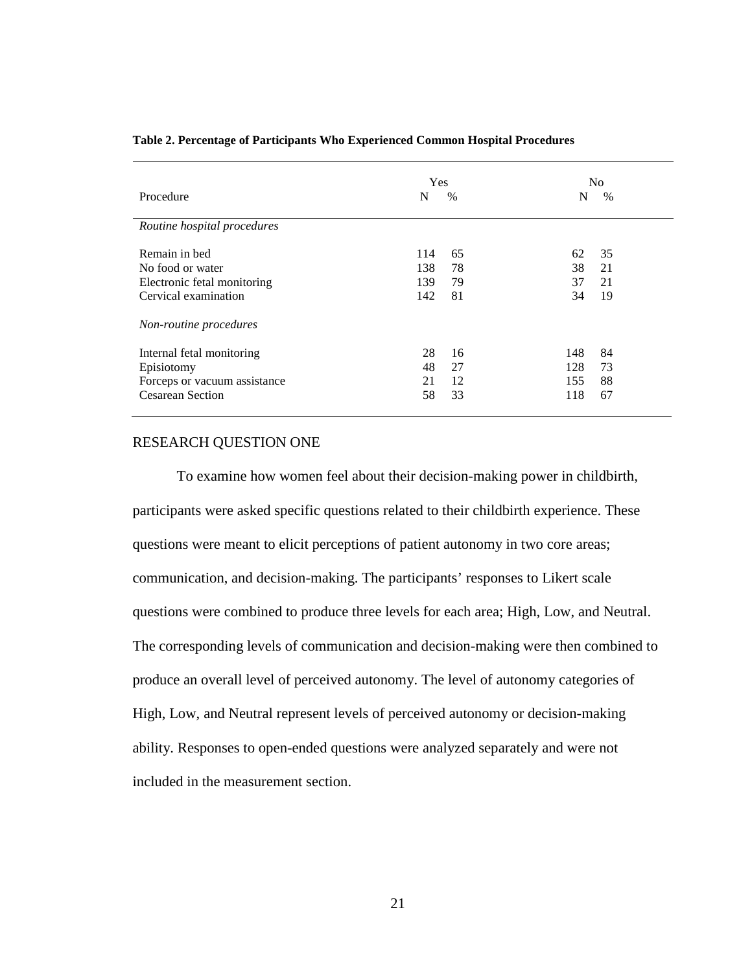| Procedure                    | <b>Yes</b><br>N | $\frac{0}{0}$ | N   | N <sub>o</sub><br>$\%$ |
|------------------------------|-----------------|---------------|-----|------------------------|
| Routine hospital procedures  |                 |               |     |                        |
| Remain in bed                | 114             | 65            | 62  | 35                     |
| No food or water             | 138             | 78            | 38  | 21                     |
| Electronic fetal monitoring  | 139             | 79            | 37  | 21                     |
| Cervical examination         | 142             | 81            | 34  | 19                     |
| Non-routine procedures       |                 |               |     |                        |
| Internal fetal monitoring    | 28              | 16            | 148 | 84                     |
| Episiotomy                   | 48              | 27            | 128 | 73                     |
| Forceps or vacuum assistance | 21              | 12            | 155 | 88                     |
| <b>Cesarean Section</b>      | 58              | 33            | 118 | 67                     |

#### **Table 2. Percentage of Participants Who Experienced Common Hospital Procedures**

#### RESEARCH QUESTION ONE

To examine how women feel about their decision-making power in childbirth, participants were asked specific questions related to their childbirth experience. These questions were meant to elicit perceptions of patient autonomy in two core areas; communication, and decision-making. The participants' responses to Likert scale questions were combined to produce three levels for each area; High, Low, and Neutral. The corresponding levels of communication and decision-making were then combined to produce an overall level of perceived autonomy. The level of autonomy categories of High, Low, and Neutral represent levels of perceived autonomy or decision-making ability. Responses to open-ended questions were analyzed separately and were not included in the measurement section.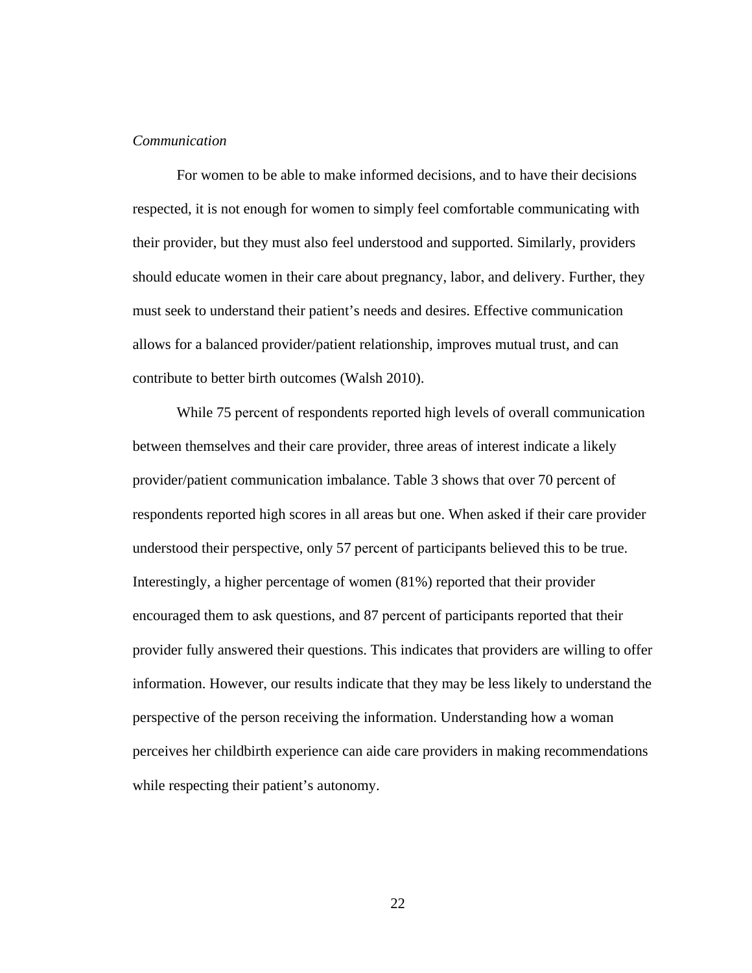#### *Communication*

For women to be able to make informed decisions, and to have their decisions respected, it is not enough for women to simply feel comfortable communicating with their provider, but they must also feel understood and supported. Similarly, providers should educate women in their care about pregnancy, labor, and delivery. Further, they must seek to understand their patient's needs and desires. Effective communication allows for a balanced provider/patient relationship, improves mutual trust, and can contribute to better birth outcomes (Walsh 2010).

While 75 percent of respondents reported high levels of overall communication between themselves and their care provider, three areas of interest indicate a likely provider/patient communication imbalance. Table 3 shows that over 70 percent of respondents reported high scores in all areas but one. When asked if their care provider understood their perspective, only 57 percent of participants believed this to be true. Interestingly, a higher percentage of women (81%) reported that their provider encouraged them to ask questions, and 87 percent of participants reported that their provider fully answered their questions. This indicates that providers are willing to offer information. However, our results indicate that they may be less likely to understand the perspective of the person receiving the information. Understanding how a woman perceives her childbirth experience can aide care providers in making recommendations while respecting their patient's autonomy.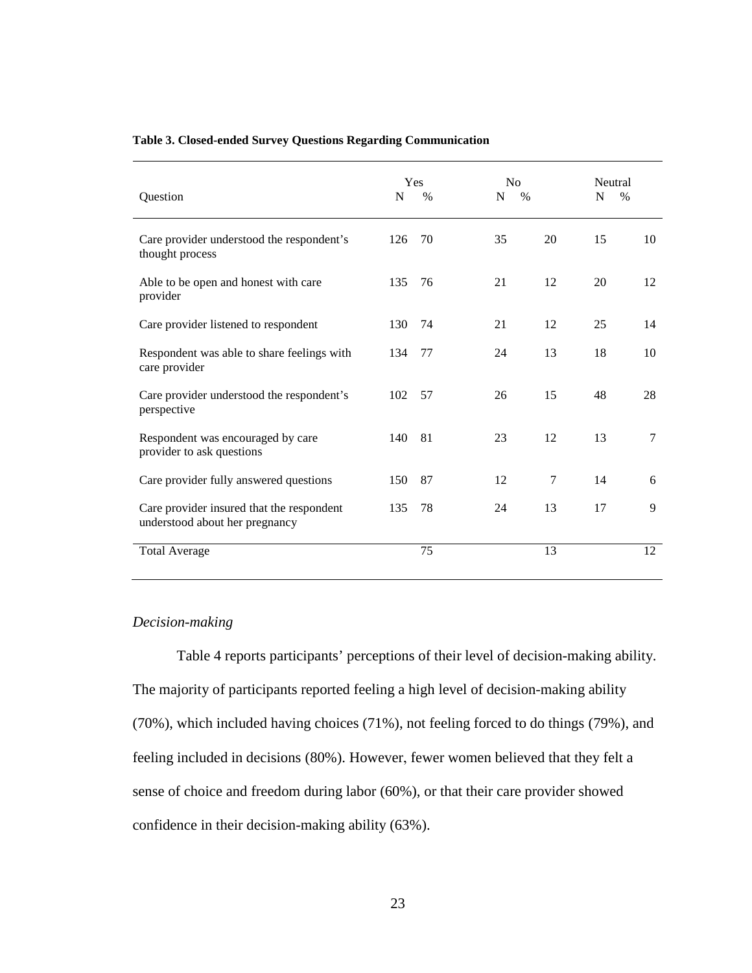| Question                                                                    | N   | <b>Yes</b><br>$\%$ | No<br>N<br>$\%$ |    | Neutral<br>N<br>$\%$ |
|-----------------------------------------------------------------------------|-----|--------------------|-----------------|----|----------------------|
|                                                                             |     |                    |                 |    |                      |
| Care provider understood the respondent's<br>thought process                | 126 | 70                 | 35              | 20 | 15<br>10             |
| Able to be open and honest with care<br>provider                            | 135 | 76                 | 21              | 12 | 20<br>12             |
| Care provider listened to respondent                                        | 130 | 74                 | 21              | 12 | 25<br>14             |
| Respondent was able to share feelings with<br>care provider                 | 134 | 77                 | 24              | 13 | 18<br>10             |
| Care provider understood the respondent's<br>perspective                    | 102 | 57                 | 26              | 15 | 48<br>28             |
| Respondent was encouraged by care<br>provider to ask questions              | 140 | 81                 | 23              | 12 | $\overline{7}$<br>13 |
| Care provider fully answered questions                                      | 150 | 87                 | 12              | 7  | 14<br>6              |
| Care provider insured that the respondent<br>understood about her pregnancy | 135 | 78                 | 24              | 13 | 17<br>9              |
| <b>Total Average</b>                                                        |     | 75                 |                 | 13 | 12                   |

#### **Table 3. Closed-ended Survey Questions Regarding Communication**

#### *Decision-making*

Table 4 reports participants' perceptions of their level of decision-making ability. The majority of participants reported feeling a high level of decision-making ability (70%), which included having choices (71%), not feeling forced to do things (79%), and feeling included in decisions (80%). However, fewer women believed that they felt a sense of choice and freedom during labor (60%), or that their care provider showed confidence in their decision-making ability (63%).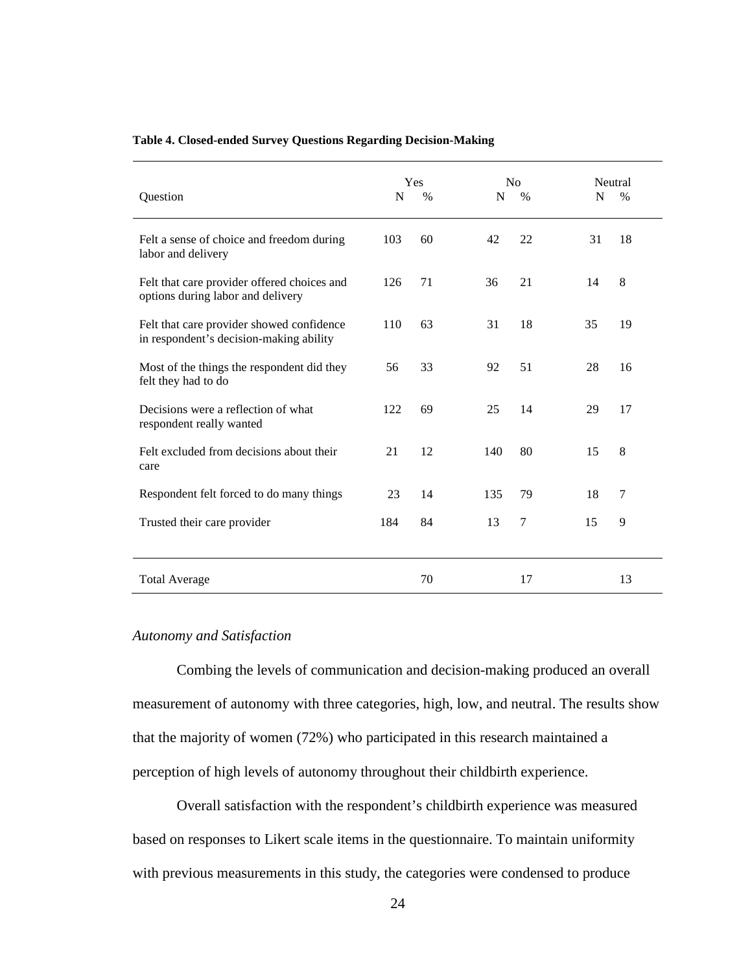| Question                                                                             | N   | Yes<br>$\%$ | N <sub>o</sub><br>N<br>$\%$ | N  | Neutral<br>$\%$ |
|--------------------------------------------------------------------------------------|-----|-------------|-----------------------------|----|-----------------|
| Felt a sense of choice and freedom during<br>labor and delivery                      | 103 | 60          | 42<br>22                    | 31 | 18              |
| Felt that care provider offered choices and<br>options during labor and delivery     | 126 | 71          | 36<br>21                    | 14 | 8               |
| Felt that care provider showed confidence<br>in respondent's decision-making ability | 110 | 63          | 31<br>18                    | 35 | 19              |
| Most of the things the respondent did they<br>felt they had to do                    | 56  | 33          | 92<br>51                    | 28 | 16              |
| Decisions were a reflection of what<br>respondent really wanted                      | 122 | 69          | 25<br>14                    | 29 | 17              |
| Felt excluded from decisions about their<br>care                                     | 21  | 12          | 140<br>80                   | 15 | 8               |
| Respondent felt forced to do many things                                             | 23  | 14          | 135<br>79                   | 18 | 7               |
| Trusted their care provider                                                          | 184 | 84          | 7<br>13                     | 15 | 9               |
| <b>Total Average</b>                                                                 |     | 70          | 17                          |    | 13              |

#### **Table 4. Closed-ended Survey Questions Regarding Decision-Making**

#### *Autonomy and Satisfaction*

Combing the levels of communication and decision-making produced an overall measurement of autonomy with three categories, high, low, and neutral. The results show that the majority of women (72%) who participated in this research maintained a perception of high levels of autonomy throughout their childbirth experience.

Overall satisfaction with the respondent's childbirth experience was measured based on responses to Likert scale items in the questionnaire. To maintain uniformity with previous measurements in this study, the categories were condensed to produce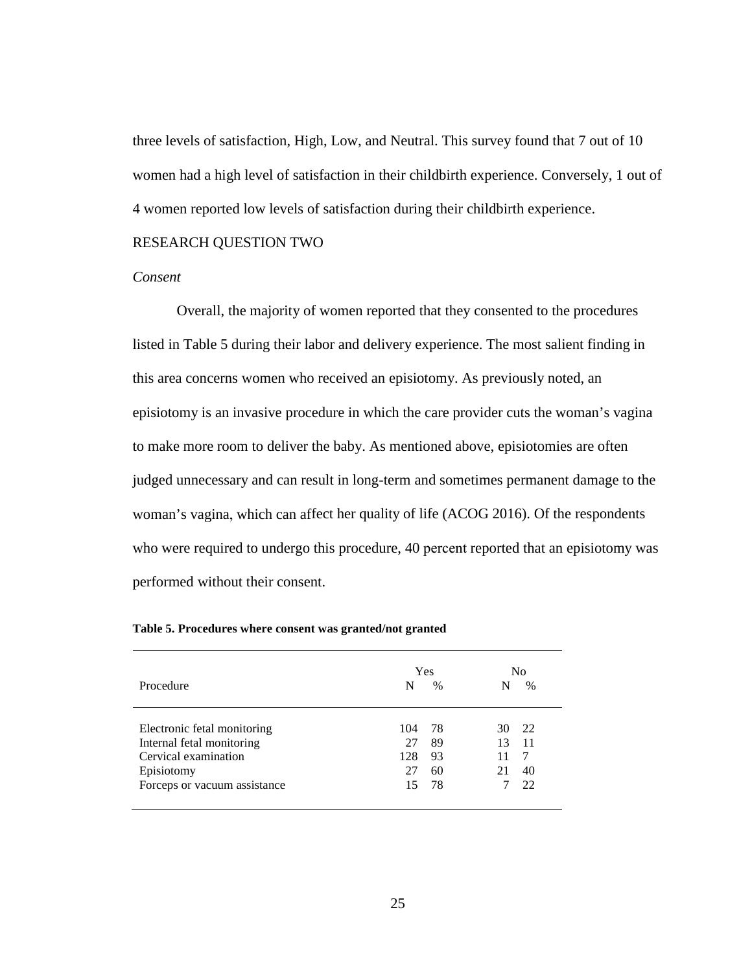three levels of satisfaction, High, Low, and Neutral. This survey found that 7 out of 10 women had a high level of satisfaction in their childbirth experience. Conversely, 1 out of 4 women reported low levels of satisfaction during their childbirth experience.

#### RESEARCH QUESTION TWO

#### *Consent*

Overall, the majority of women reported that they consented to the procedures listed in Table 5 during their labor and delivery experience. The most salient finding in this area concerns women who received an episiotomy. As previously noted, an episiotomy is an invasive procedure in which the care provider cuts the woman's vagina to make more room to deliver the baby. As mentioned above, episiotomies are often judged unnecessary and can result in long-term and sometimes permanent damage to the woman's vagina, which can affect her quality of life (ACOG 2016). Of the respondents who were required to undergo this procedure, 40 percent reported that an episiotomy was performed without their consent.

| Procedure                                                                                                                      | Yes<br>N<br>$\frac{0}{0}$                                   | No<br>%                                 |
|--------------------------------------------------------------------------------------------------------------------------------|-------------------------------------------------------------|-----------------------------------------|
| Electronic fetal monitoring<br>Internal fetal monitoring<br>Cervical examination<br>Episiotomy<br>Forceps or vacuum assistance | -78<br>104<br>89<br>27<br>128<br>93<br>27<br>60<br>78<br>15 | 22<br>30<br>13<br>-11<br>21<br>40<br>22 |

**Table 5. Procedures where consent was granted/not granted**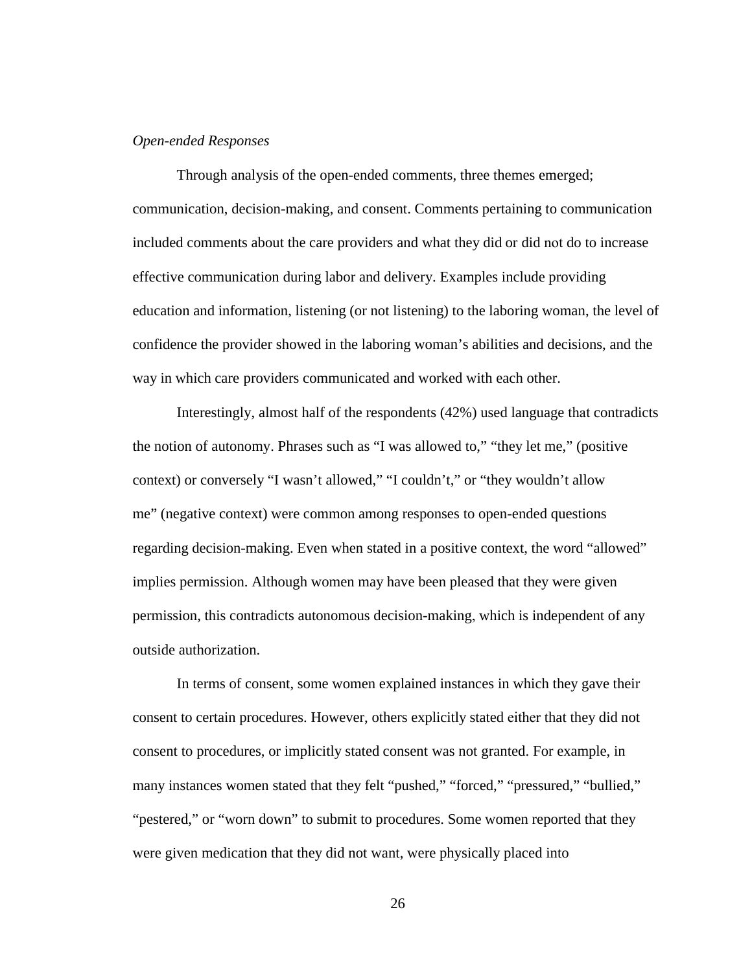#### *Open-ended Responses*

Through analysis of the open-ended comments, three themes emerged; communication, decision-making, and consent. Comments pertaining to communication included comments about the care providers and what they did or did not do to increase effective communication during labor and delivery. Examples include providing education and information, listening (or not listening) to the laboring woman, the level of confidence the provider showed in the laboring woman's abilities and decisions, and the way in which care providers communicated and worked with each other.

Interestingly, almost half of the respondents (42%) used language that contradicts the notion of autonomy. Phrases such as "I was allowed to," "they let me," (positive context) or conversely "I wasn't allowed," "I couldn't," or "they wouldn't allow me" (negative context) were common among responses to open-ended questions regarding decision-making. Even when stated in a positive context, the word "allowed" implies permission. Although women may have been pleased that they were given permission, this contradicts autonomous decision-making, which is independent of any outside authorization.

In terms of consent, some women explained instances in which they gave their consent to certain procedures. However, others explicitly stated either that they did not consent to procedures, or implicitly stated consent was not granted. For example, in many instances women stated that they felt "pushed," "forced," "pressured," "bullied," "pestered," or "worn down" to submit to procedures. Some women reported that they were given medication that they did not want, were physically placed into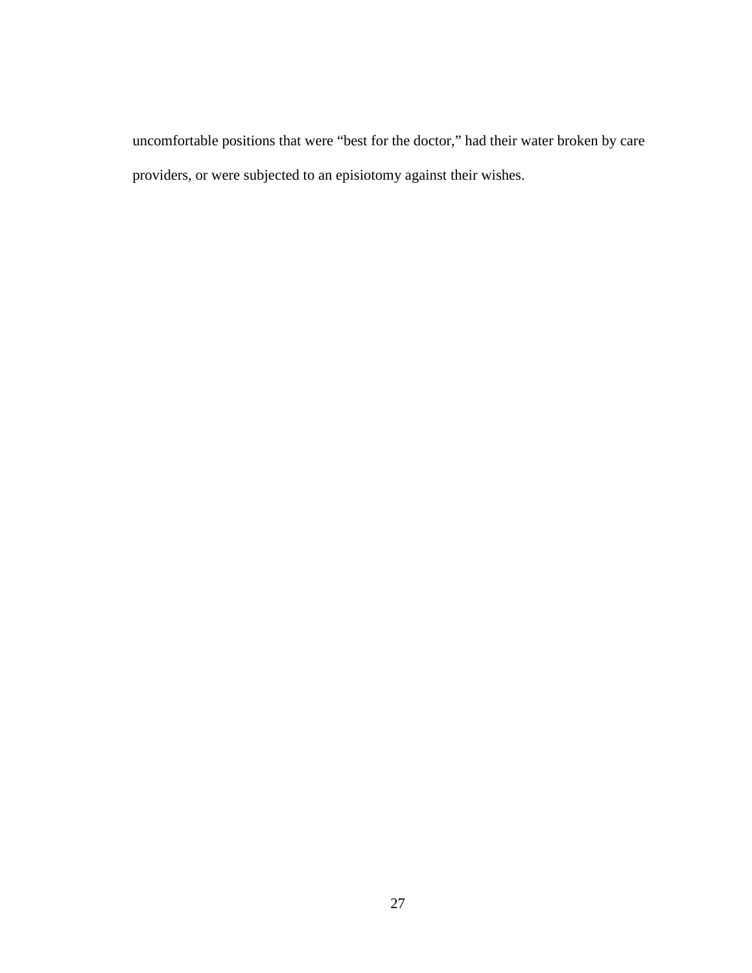uncomfortable positions that were "best for the doctor," had their water broken by care providers, or were subjected to an episiotomy against their wishes.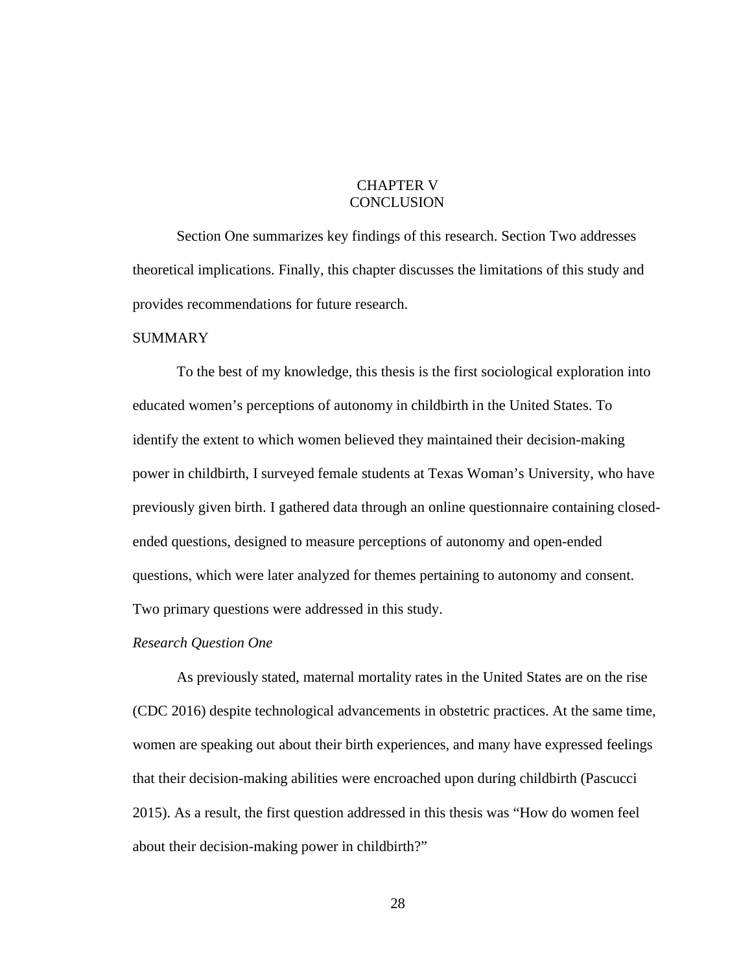## CHAPTER V **CONCLUSION**

Section One summarizes key findings of this research. Section Two addresses theoretical implications. Finally, this chapter discusses the limitations of this study and provides recommendations for future research.

#### **SUMMARY**

To the best of my knowledge, this thesis is the first sociological exploration into educated women's perceptions of autonomy in childbirth in the United States. To identify the extent to which women believed they maintained their decision-making power in childbirth, I surveyed female students at Texas Woman's University, who have previously given birth. I gathered data through an online questionnaire containing closedended questions, designed to measure perceptions of autonomy and open-ended questions, which were later analyzed for themes pertaining to autonomy and consent. Two primary questions were addressed in this study.

#### *Research Question One*

As previously stated, maternal mortality rates in the United States are on the rise (CDC 2016) despite technological advancements in obstetric practices. At the same time, women are speaking out about their birth experiences, and many have expressed feelings that their decision-making abilities were encroached upon during childbirth (Pascucci 2015). As a result, the first question addressed in this thesis was "How do women feel about their decision-making power in childbirth?"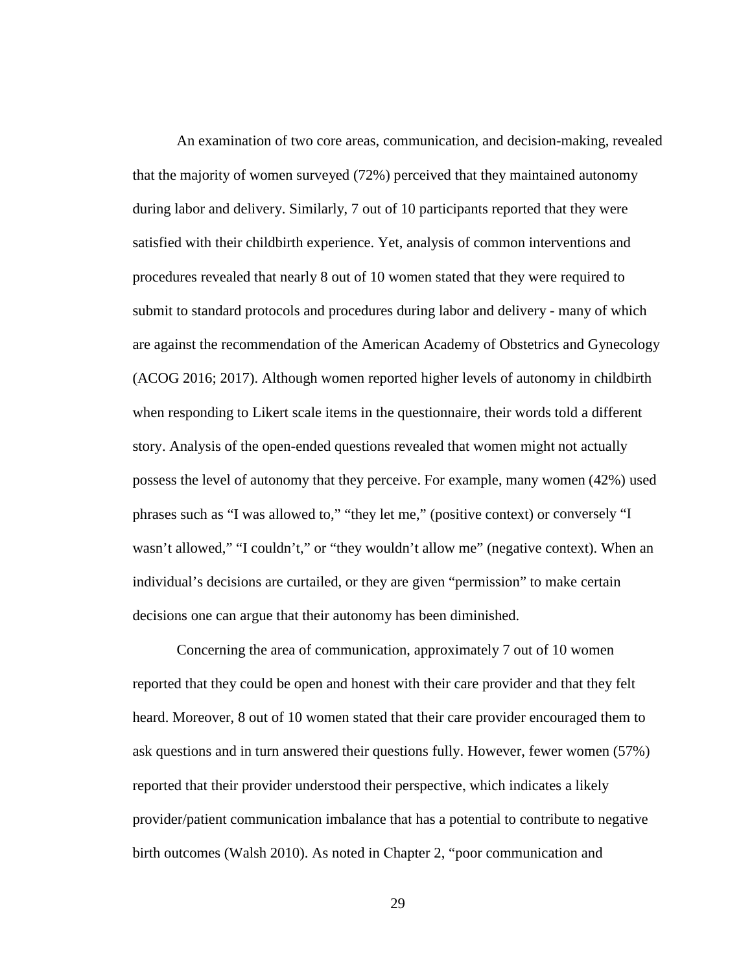An examination of two core areas, communication, and decision-making, revealed that the majority of women surveyed (72%) perceived that they maintained autonomy during labor and delivery. Similarly, 7 out of 10 participants reported that they were satisfied with their childbirth experience. Yet, analysis of common interventions and procedures revealed that nearly 8 out of 10 women stated that they were required to submit to standard protocols and procedures during labor and delivery - many of which are against the recommendation of the American Academy of Obstetrics and Gynecology (ACOG 2016; 2017). Although women reported higher levels of autonomy in childbirth when responding to Likert scale items in the questionnaire, their words told a different story. Analysis of the open-ended questions revealed that women might not actually possess the level of autonomy that they perceive. For example, many women (42%) used phrases such as "I was allowed to," "they let me," (positive context) or conversely "I wasn't allowed," "I couldn't," or "they wouldn't allow me" (negative context). When an individual's decisions are curtailed, or they are given "permission" to make certain decisions one can argue that their autonomy has been diminished.

Concerning the area of communication, approximately 7 out of 10 women reported that they could be open and honest with their care provider and that they felt heard. Moreover, 8 out of 10 women stated that their care provider encouraged them to ask questions and in turn answered their questions fully. However, fewer women (57%) reported that their provider understood their perspective, which indicates a likely provider/patient communication imbalance that has a potential to contribute to negative birth outcomes (Walsh 2010). As noted in Chapter 2, "poor communication and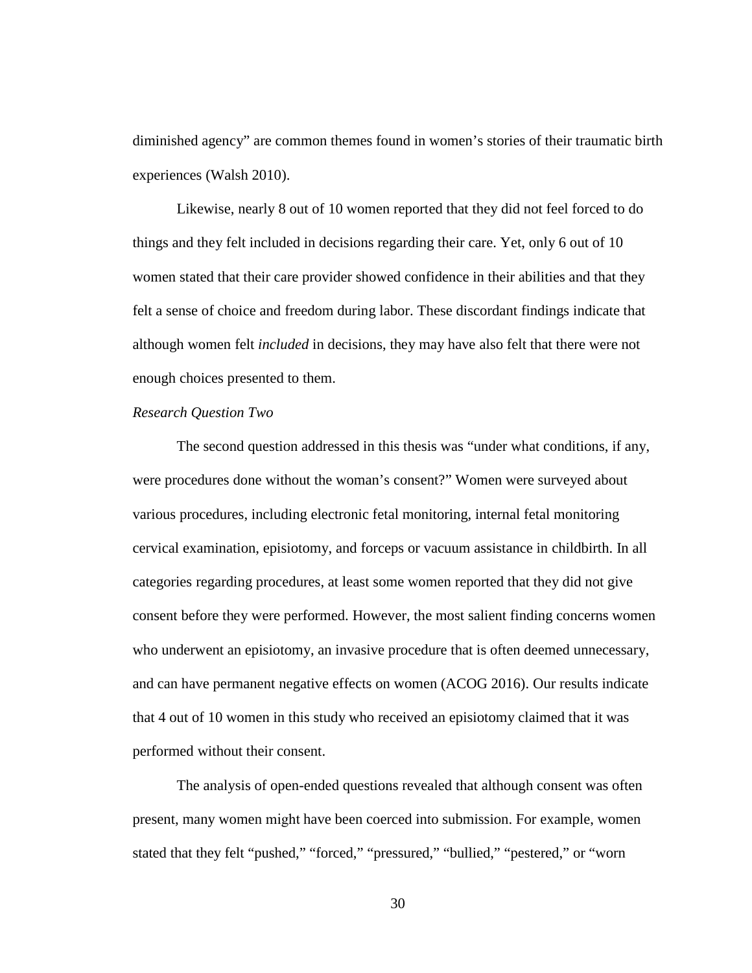diminished agency" are common themes found in women's stories of their traumatic birth experiences (Walsh 2010).

Likewise, nearly 8 out of 10 women reported that they did not feel forced to do things and they felt included in decisions regarding their care. Yet, only 6 out of 10 women stated that their care provider showed confidence in their abilities and that they felt a sense of choice and freedom during labor. These discordant findings indicate that although women felt *included* in decisions, they may have also felt that there were not enough choices presented to them.

#### *Research Question Two*

The second question addressed in this thesis was "under what conditions, if any, were procedures done without the woman's consent?" Women were surveyed about various procedures, including electronic fetal monitoring, internal fetal monitoring cervical examination, episiotomy, and forceps or vacuum assistance in childbirth. In all categories regarding procedures, at least some women reported that they did not give consent before they were performed. However, the most salient finding concerns women who underwent an episiotomy, an invasive procedure that is often deemed unnecessary, and can have permanent negative effects on women (ACOG 2016). Our results indicate that 4 out of 10 women in this study who received an episiotomy claimed that it was performed without their consent.

The analysis of open-ended questions revealed that although consent was often present, many women might have been coerced into submission. For example, women stated that they felt "pushed," "forced," "pressured," "bullied," "pestered," or "worn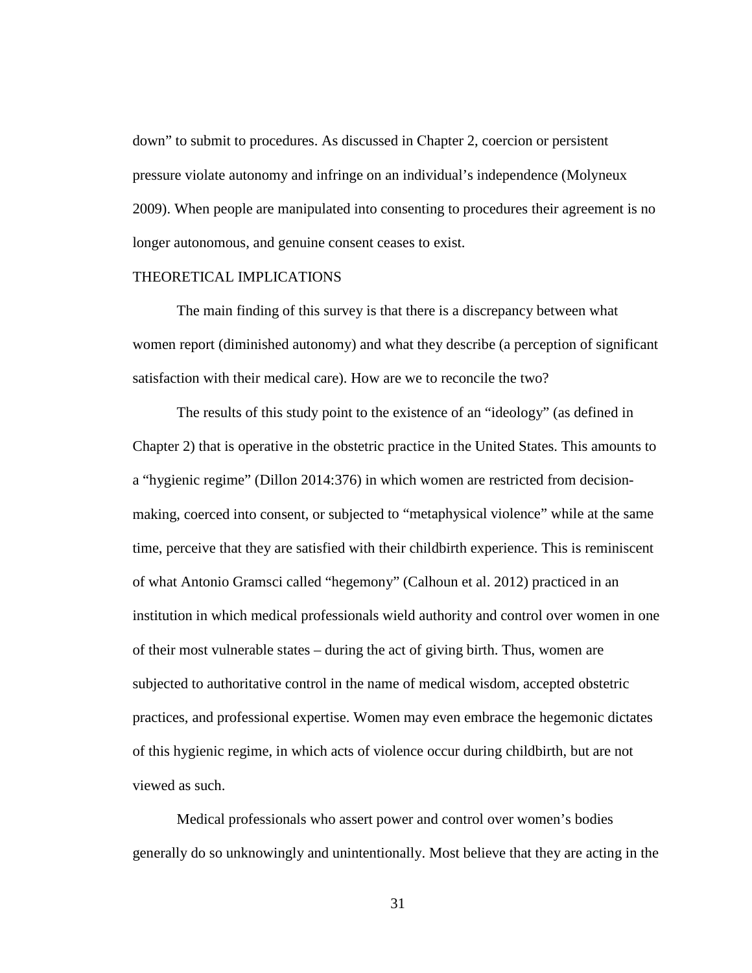down" to submit to procedures. As discussed in Chapter 2, coercion or persistent pressure violate autonomy and infringe on an individual's independence (Molyneux 2009). When people are manipulated into consenting to procedures their agreement is no longer autonomous, and genuine consent ceases to exist.

#### THEORETICAL IMPLICATIONS

The main finding of this survey is that there is a discrepancy between what women report (diminished autonomy) and what they describe (a perception of significant satisfaction with their medical care). How are we to reconcile the two?

The results of this study point to the existence of an "ideology" (as defined in Chapter 2) that is operative in the obstetric practice in the United States. This amounts to a "hygienic regime" (Dillon 2014:376) in which women are restricted from decisionmaking, coerced into consent, or subjected to "metaphysical violence" while at the same time, perceive that they are satisfied with their childbirth experience. This is reminiscent of what Antonio Gramsci called "hegemony" (Calhoun et al. 2012) practiced in an institution in which medical professionals wield authority and control over women in one of their most vulnerable states – during the act of giving birth. Thus, women are subjected to authoritative control in the name of medical wisdom, accepted obstetric practices, and professional expertise. Women may even embrace the hegemonic dictates of this hygienic regime, in which acts of violence occur during childbirth, but are not viewed as such.

Medical professionals who assert power and control over women's bodies generally do so unknowingly and unintentionally. Most believe that they are acting in the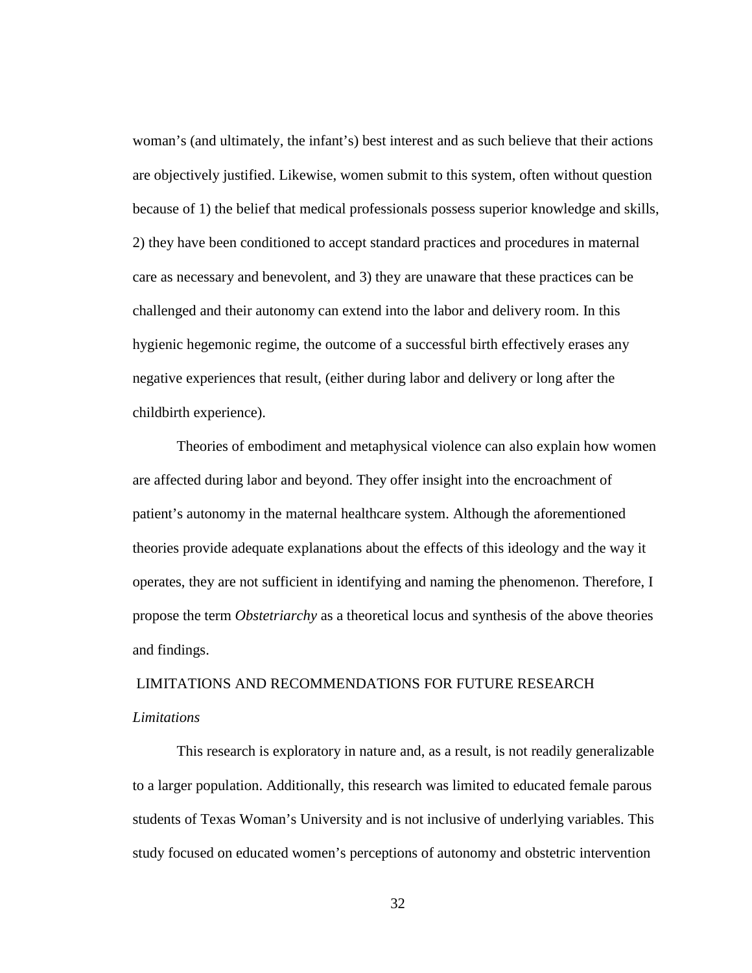woman's (and ultimately, the infant's) best interest and as such believe that their actions are objectively justified. Likewise, women submit to this system, often without question because of 1) the belief that medical professionals possess superior knowledge and skills, 2) they have been conditioned to accept standard practices and procedures in maternal care as necessary and benevolent, and 3) they are unaware that these practices can be challenged and their autonomy can extend into the labor and delivery room. In this hygienic hegemonic regime, the outcome of a successful birth effectively erases any negative experiences that result, (either during labor and delivery or long after the childbirth experience).

Theories of embodiment and metaphysical violence can also explain how women are affected during labor and beyond. They offer insight into the encroachment of patient's autonomy in the maternal healthcare system. Although the aforementioned theories provide adequate explanations about the effects of this ideology and the way it operates, they are not sufficient in identifying and naming the phenomenon. Therefore, I propose the term *Obstetriarchy* as a theoretical locus and synthesis of the above theories and findings.

## LIMITATIONS AND RECOMMENDATIONS FOR FUTURE RESEARCH *Limitations*

This research is exploratory in nature and, as a result, is not readily generalizable to a larger population. Additionally, this research was limited to educated female parous students of Texas Woman's University and is not inclusive of underlying variables. This study focused on educated women's perceptions of autonomy and obstetric intervention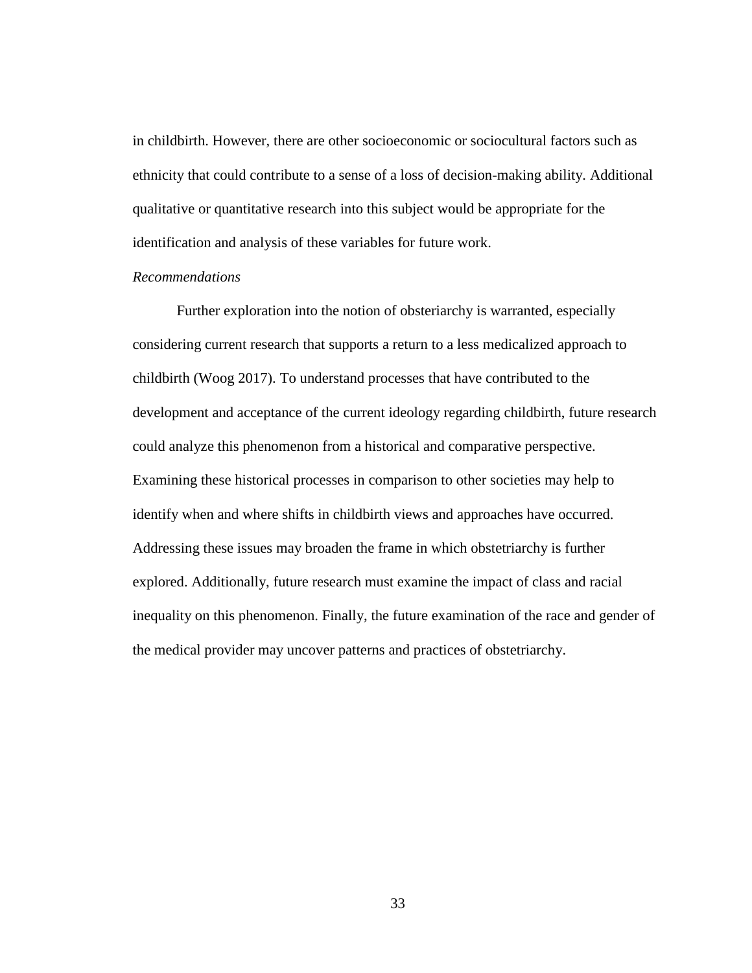in childbirth. However, there are other socioeconomic or sociocultural factors such as ethnicity that could contribute to a sense of a loss of decision-making ability. Additional qualitative or quantitative research into this subject would be appropriate for the identification and analysis of these variables for future work.

#### *Recommendations*

Further exploration into the notion of obsteriarchy is warranted, especially considering current research that supports a return to a less medicalized approach to childbirth (Woog 2017). To understand processes that have contributed to the development and acceptance of the current ideology regarding childbirth, future research could analyze this phenomenon from a historical and comparative perspective. Examining these historical processes in comparison to other societies may help to identify when and where shifts in childbirth views and approaches have occurred. Addressing these issues may broaden the frame in which obstetriarchy is further explored. Additionally, future research must examine the impact of class and racial inequality on this phenomenon. Finally, the future examination of the race and gender of the medical provider may uncover patterns and practices of obstetriarchy.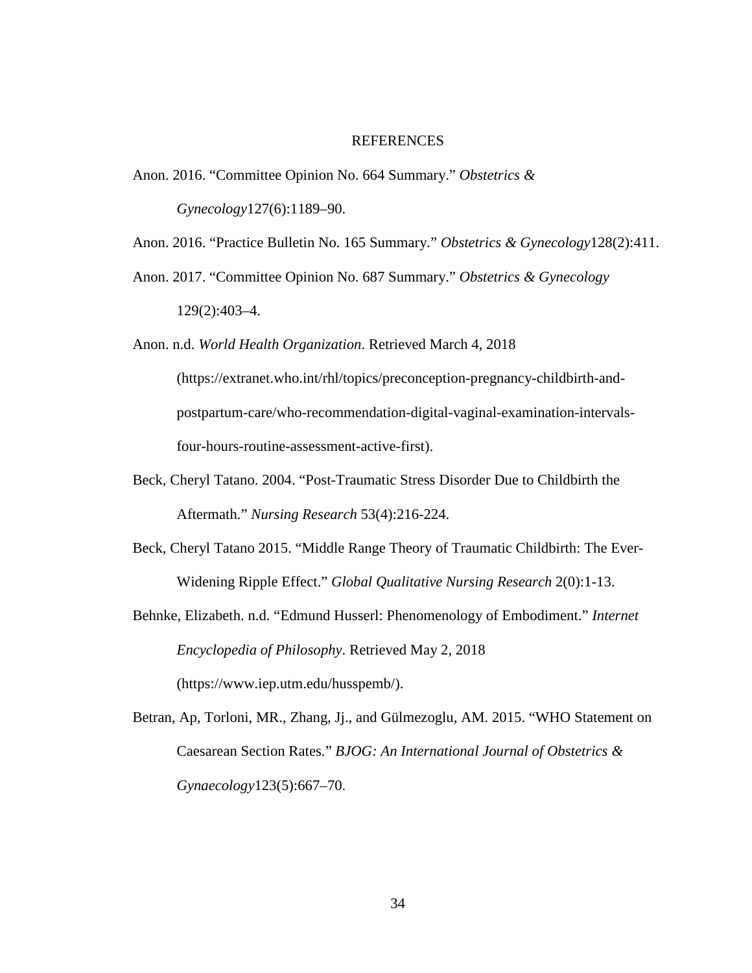#### REFERENCES

- Anon. 2016. "Committee Opinion No. 664 Summary." *Obstetrics & Gynecology*127(6):1189–90.
- Anon. 2016. "Practice Bulletin No. 165 Summary." *Obstetrics & Gynecology*128(2):411.
- Anon. 2017. "Committee Opinion No. 687 Summary." *Obstetrics & Gynecology* 129(2):403–4.

Anon. n.d. *World Health Organization*. Retrieved March 4, 2018 (https://extranet.who.int/rhl/topics/preconception-pregnancy-childbirth-andpostpartum-care/who-recommendation-digital-vaginal-examination-intervalsfour-hours-routine-assessment-active-first).

- Beck, Cheryl Tatano. 2004. "Post-Traumatic Stress Disorder Due to Childbirth the Aftermath." *Nursing Research* 53(4):216-224.
- Beck, Cheryl Tatano 2015. "Middle Range Theory of Traumatic Childbirth: The Ever-Widening Ripple Effect." *Global Qualitative Nursing Research* 2(0):1-13.
- Behnke, Elizabeth. n.d. "Edmund Husserl: Phenomenology of Embodiment." *Internet Encyclopedia of Philosophy*. Retrieved May 2, 2018 (https://www.iep.utm.edu/husspemb/).
- Betran, Ap, Torloni, MR., Zhang, Jj., and Gülmezoglu, AM. 2015. "WHO Statement on Caesarean Section Rates." *BJOG: An International Journal of Obstetrics & Gynaecology*123(5):667–70.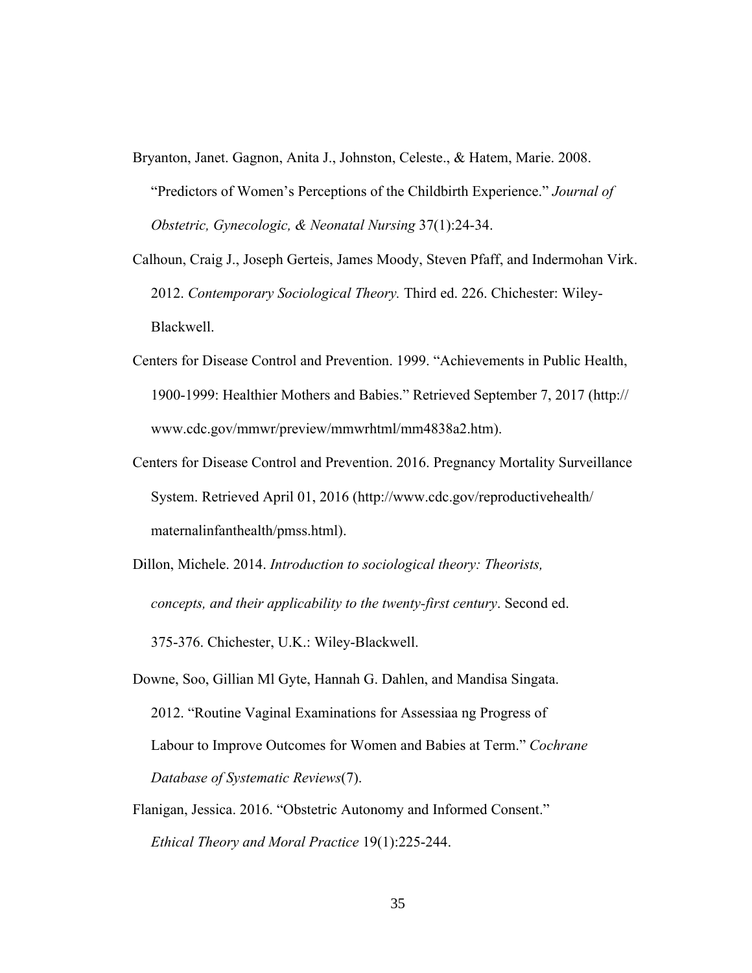- Bryanton, Janet. Gagnon, Anita J., Johnston, Celeste., & Hatem, Marie. 2008. "Predictors of Women's Perceptions of the Childbirth Experience." *Journal of Obstetric, Gynecologic, & Neonatal Nursing* 37(1):24-34.
- Calhoun, Craig J., Joseph Gerteis, James Moody, Steven Pfaff, and Indermohan Virk. 2012. *Contemporary Sociological Theory.* Third ed. 226. Chichester: Wiley- Blackwell.
- Centers for Disease Control and Prevention. 1999. "Achievements in Public Health, 1900-1999: Healthier Mothers and Babies." Retrieved September 7, 2017 (http:// www.cdc.gov/mmwr/preview/mmwrhtml/mm4838a2.htm).
- Centers for Disease Control and Prevention. 2016. Pregnancy Mortality Surveillance System. Retrieved April 01, 2016 (http://www.cdc.gov/reproductivehealth/ maternalinfanthealth/pmss.html).
- Dillon, Michele. 2014. *Introduction to sociological theory: Theorists, concepts, and their applicability to the twenty-first century*. Second ed. 375-376. Chichester, U.K.: Wiley-Blackwell.
- Downe, Soo, Gillian Ml Gyte, Hannah G. Dahlen, and Mandisa Singata. 2012. "Routine Vaginal Examinations for Assessiaa ng Progress of Labour to Improve Outcomes for Women and Babies at Term." *Cochrane Database of Systematic Reviews*(7).
- Flanigan, Jessica. 2016. "Obstetric Autonomy and Informed Consent." *Ethical Theory and Moral Practice* 19(1):225-244.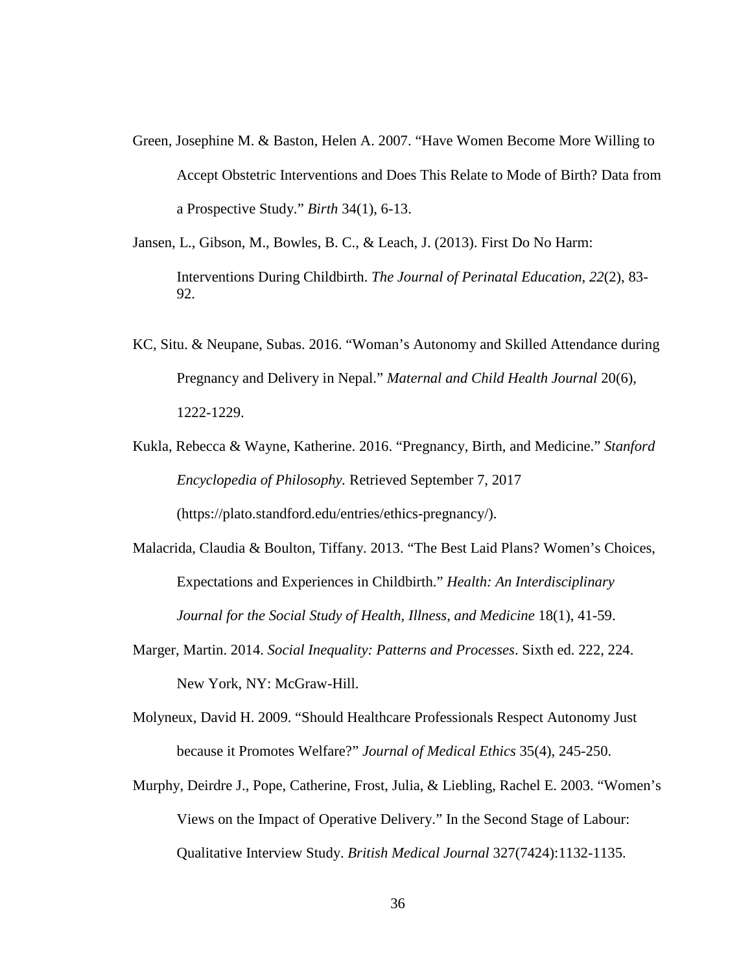- Green, Josephine M. & Baston, Helen A. 2007. "Have Women Become More Willing to Accept Obstetric Interventions and Does This Relate to Mode of Birth? Data from a Prospective Study." *Birth* 34(1), 6-13.
- Jansen, L., Gibson, M., Bowles, B. C., & Leach, J. (2013). First Do No Harm: Interventions During Childbirth. *The Journal of Perinatal Education*, *22*(2), 83- 92.
- KC, Situ. & Neupane, Subas. 2016. "Woman's Autonomy and Skilled Attendance during Pregnancy and Delivery in Nepal." *Maternal and Child Health Journal* 20(6), 1222-1229.
- Kukla, Rebecca & Wayne, Katherine. 2016. "Pregnancy, Birth, and Medicine." *Stanford Encyclopedia of Philosophy.* Retrieved September 7, 2017 (https://plato.standford.edu/entries/ethics-pregnancy/).
- Malacrida, Claudia & Boulton, Tiffany. 2013. "The Best Laid Plans? Women's Choices, Expectations and Experiences in Childbirth." *Health: An Interdisciplinary Journal for the Social Study of Health, Illness, and Medicine* 18(1), 41-59.
- Marger, Martin. 2014. *Social Inequality: Patterns and Processes*. Sixth ed. 222, 224. New York, NY: McGraw-Hill.
- Molyneux, David H. 2009. "Should Healthcare Professionals Respect Autonomy Just because it Promotes Welfare?" *Journal of Medical Ethics* 35(4), 245-250.
- Murphy, Deirdre J., Pope, Catherine, Frost, Julia, & Liebling, Rachel E. 2003. "Women's Views on the Impact of Operative Delivery." In the Second Stage of Labour: Qualitative Interview Study. *British Medical Journal* 327(7424):1132-1135.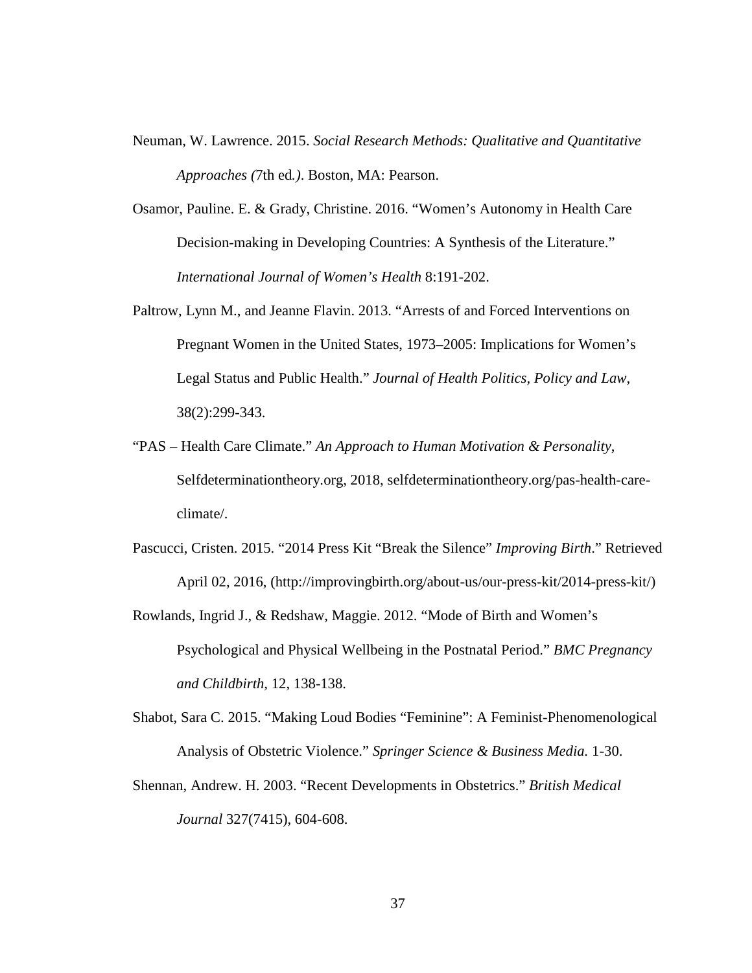- Neuman, W. Lawrence. 2015. *Social Research Methods: Qualitative and Quantitative Approaches (*7th ed*.)*. Boston, MA: Pearson.
- Osamor, Pauline. E. & Grady, Christine. 2016. "Women's Autonomy in Health Care Decision-making in Developing Countries: A Synthesis of the Literature." *International Journal of Women's Health* 8:191-202.
- Paltrow, Lynn M., and Jeanne Flavin. 2013. "Arrests of and Forced Interventions on Pregnant Women in the United States, 1973–2005: Implications for Women's Legal Status and Public Health." *Journal of Health Politics, Policy and Law*, 38(2):299-343.
- "PAS Health Care Climate." *An Approach to Human Motivation & Personality*, Selfdeterminationtheory.org, 2018, selfdeterminationtheory.org/pas-health-careclimate/.
- Pascucci, Cristen. 2015. "2014 Press Kit "Break the Silence" *Improving Birth*." Retrieved April 02, 2016, (http://improvingbirth.org/about-us/our-press-kit/2014-press-kit/)
- Rowlands, Ingrid J., & Redshaw, Maggie. 2012. "Mode of Birth and Women's Psychological and Physical Wellbeing in the Postnatal Period." *BMC Pregnancy and Childbirth,* 12, 138-138.
- Shabot, Sara C. 2015. "Making Loud Bodies "Feminine": A Feminist-Phenomenological Analysis of Obstetric Violence." *Springer Science & Business Media.* 1-30.
- Shennan, Andrew. H. 2003. "Recent Developments in Obstetrics." *British Medical Journal* 327(7415), 604-608.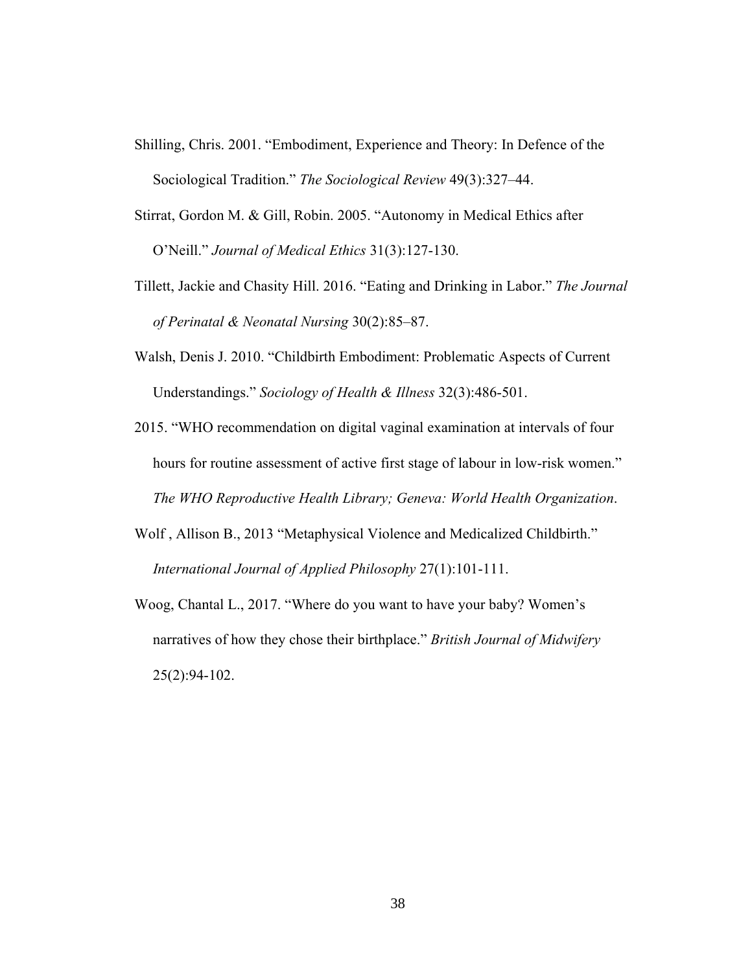- Shilling, Chris. 2001. "Embodiment, Experience and Theory: In Defence of the Sociological Tradition." *The Sociological Review* 49(3):327–44.
- Stirrat, Gordon M. & Gill, Robin. 2005. "Autonomy in Medical Ethics after O'Neill." *Journal of Medical Ethics* 31(3):127-130.
- Tillett, Jackie and Chasity Hill. 2016. "Eating and Drinking in Labor." *The Journal of Perinatal & Neonatal Nursing* 30(2):85–87.
- Walsh, Denis J. 2010. "Childbirth Embodiment: Problematic Aspects of Current Understandings." *Sociology of Health & Illness* 32(3):486-501.
- 2015. "WHO recommendation on digital vaginal examination at intervals of four hours for routine assessment of active first stage of labour in low-risk women." *The WHO Reproductive Health Library; Geneva: World Health Organization*.
- Wolf , Allison B., 2013 "Metaphysical Violence and Medicalized Childbirth."  *International Journal of Applied Philosophy* 27(1):101-111.
- Woog, Chantal L., 2017. "Where do you want to have your baby? Women's narratives of how they chose their birthplace." *British Journal of Midwifery* 25(2):94-102.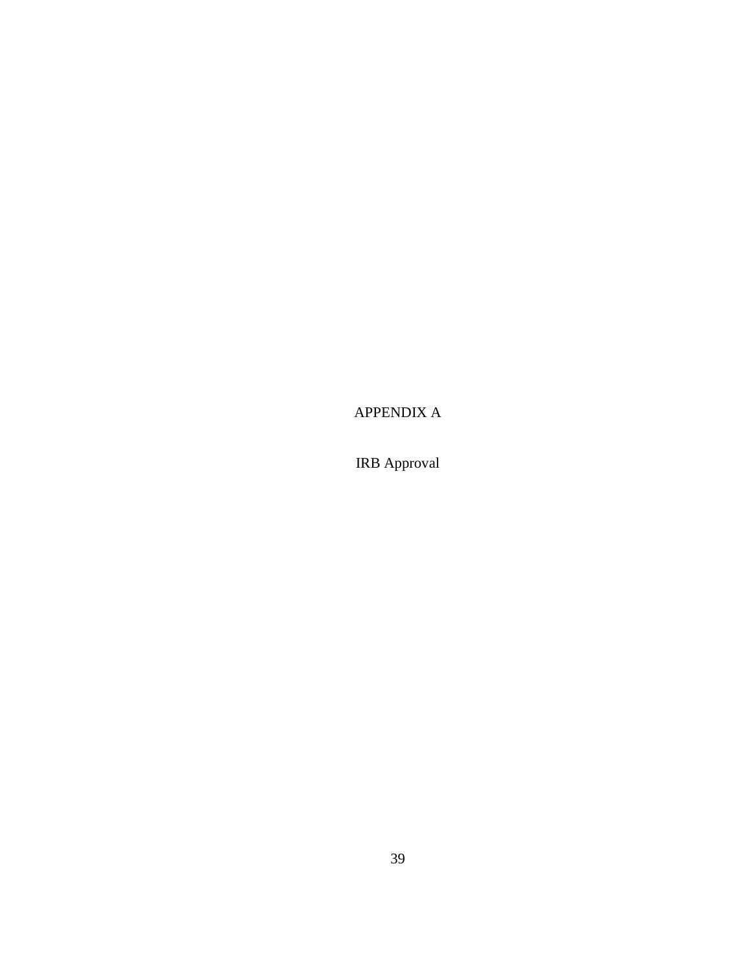APPENDIX A

IRB Approval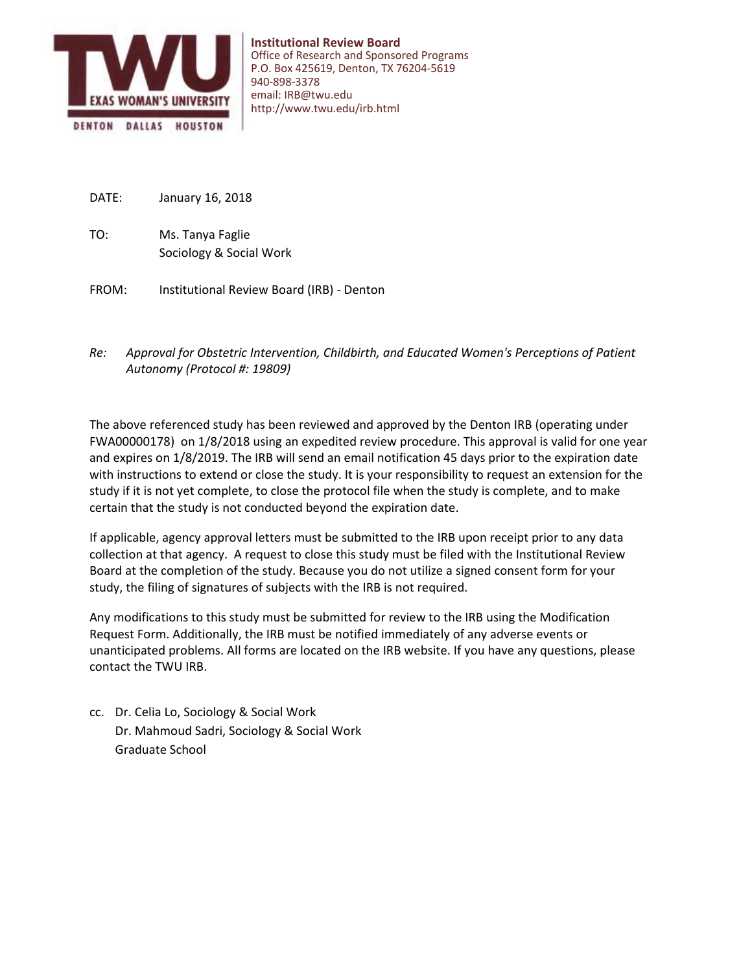

- January 16, 2018 DATE:
- Sociology & Social Work Ms. Tanya Faglie TO:
- Institutional Review Board (IRB) Denton FROM:
- *Approval for Obstetric Intervention, Childbirth, and Educated Women's Perceptions of Patient Autonomy (Protocol #: 19809) Re:*

The above referenced study has been reviewed and approved by the Denton IRB (operating under FWA00000178) on 1/8/2018 using an expedited review procedure. This approval is valid for one year and expires on 1/8/2019. The IRB will send an email notification 45 days prior to the expiration date with instructions to extend or close the study. It is your responsibility to request an extension for the study if it is not yet complete, to close the protocol file when the study is complete, and to make certain that the study is not conducted beyond the expiration date.

If applicable, agency approval letters must be submitted to the IRB upon receipt prior to any data collection at that agency. A request to close this study must be filed with the Institutional Review Board at the completion of the study. Because you do not utilize a signed consent form for your study, the filing of signatures of subjects with the IRB is not required.

Any modifications to this study must be submitted for review to the IRB using the Modification Request Form. Additionally, the IRB must be notified immediately of any adverse events or unanticipated problems. All forms are located on the IRB website. If you have any questions, please contact the TWU IRB.

Dr. Mahmoud Sadri, Sociology & Social Work cc. Dr. Celia Lo, Sociology & Social Work Graduate School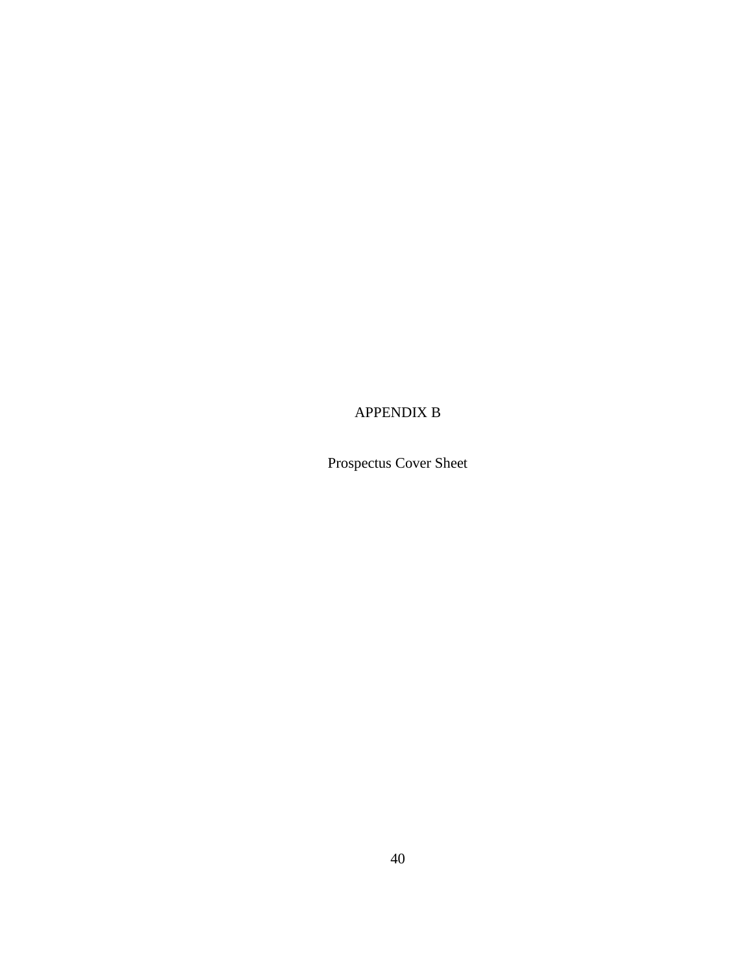## APPENDIX B

Prospectus Cover Sheet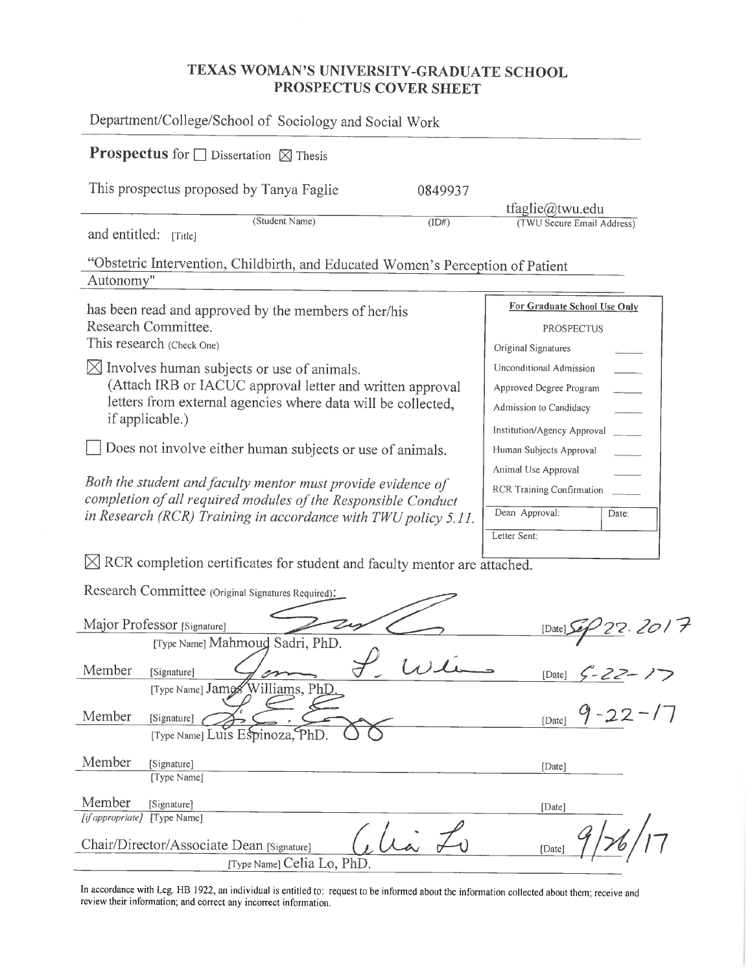## TEXAS WOMAN'S UNIVERSITY-GRADUATE SCHOOL PROSPECTUS COVER SHEET

| Department/College/School of Sociology and Social Work                                                                                                                                                                                                       |         |                                                                                                                         |
|--------------------------------------------------------------------------------------------------------------------------------------------------------------------------------------------------------------------------------------------------------------|---------|-------------------------------------------------------------------------------------------------------------------------|
| <b>Prospectus</b> for $\Box$ Dissertation $\boxtimes$ Thesis                                                                                                                                                                                                 |         |                                                                                                                         |
| This prospectus proposed by Tanya Faglie                                                                                                                                                                                                                     | 0849937 |                                                                                                                         |
| (Student Name)<br>and entitled:<br>[Title]                                                                                                                                                                                                                   | (ID#)   | tfaglie@twu.edu<br>(TWU Secure Email Address)                                                                           |
| "Obstetric Intervention, Childbirth, and Educated Women's Perception of Patient<br>Autonomy"                                                                                                                                                                 |         |                                                                                                                         |
| has been read and approved by the members of her/his<br>Research Committee.<br>This research (Check One)<br>$\boxtimes$ Involves human subjects or use of animals.<br>(Attach IRB or IACUC approval letter and written approval                              |         | For Graduate School Use Only<br>PROSPECTUS<br>Original Signatures<br>Unconditional Admission<br>Approved Degree Program |
| letters from external agencies where data will be collected,<br>if applicable.)                                                                                                                                                                              |         | Admission to Candidacy<br>Institution/Agency Approval                                                                   |
| Does not involve either human subjects or use of animals.<br>Both the student and faculty mentor must provide evidence of<br>completion of all required modules of the Responsible Conduct<br>in Research (RCR) Training in accordance with TWU policy 5.11. |         | Human Subjects Approval<br>Animal Use Approval<br>RCR Training Confirmation<br>Dean Approval:<br>Date:<br>Letter Sent:  |
| $\boxtimes$ RCR completion certificates for student and faculty mentor are attached.                                                                                                                                                                         |         |                                                                                                                         |
| Research Committee (Original Signatures Required):                                                                                                                                                                                                           |         |                                                                                                                         |
| Major Professor [Signature]<br>[Type Name] Mahmoud Sadri, PhD.                                                                                                                                                                                               |         | 22. LO 1<br>[Date]                                                                                                      |
| Member<br>[Signature]<br>[Type Name] James Williams, PhD                                                                                                                                                                                                     | 1/1     | $-22-$<br>[Date]                                                                                                        |
| Member<br>[Signature]<br>[Type Name] Luis Espinoza, PhD                                                                                                                                                                                                      |         | [Date]                                                                                                                  |
| Member<br>[Signature]<br>[Type Name]                                                                                                                                                                                                                         |         | [Date]                                                                                                                  |
| Member<br>[Signature]<br>[Type Name]<br>[if appropriate]                                                                                                                                                                                                     |         | [Date]                                                                                                                  |
| Chair/Director/Associate Dean [Signature]<br>[Type Name] Celia Lo, PhD.                                                                                                                                                                                      |         | [Date]                                                                                                                  |

In accordance with Leg. HB 1922, an individual is entitled to: request to be informed about the information collected about them; receive and review their information; and correct any incorrect information.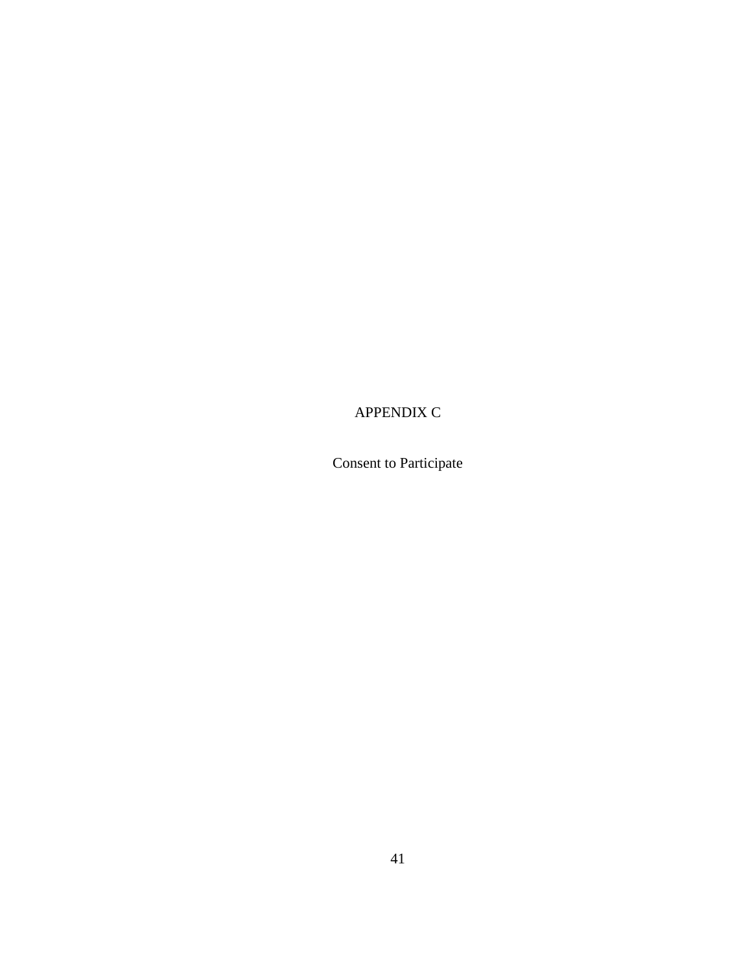## APPENDIX C

Consent to Participate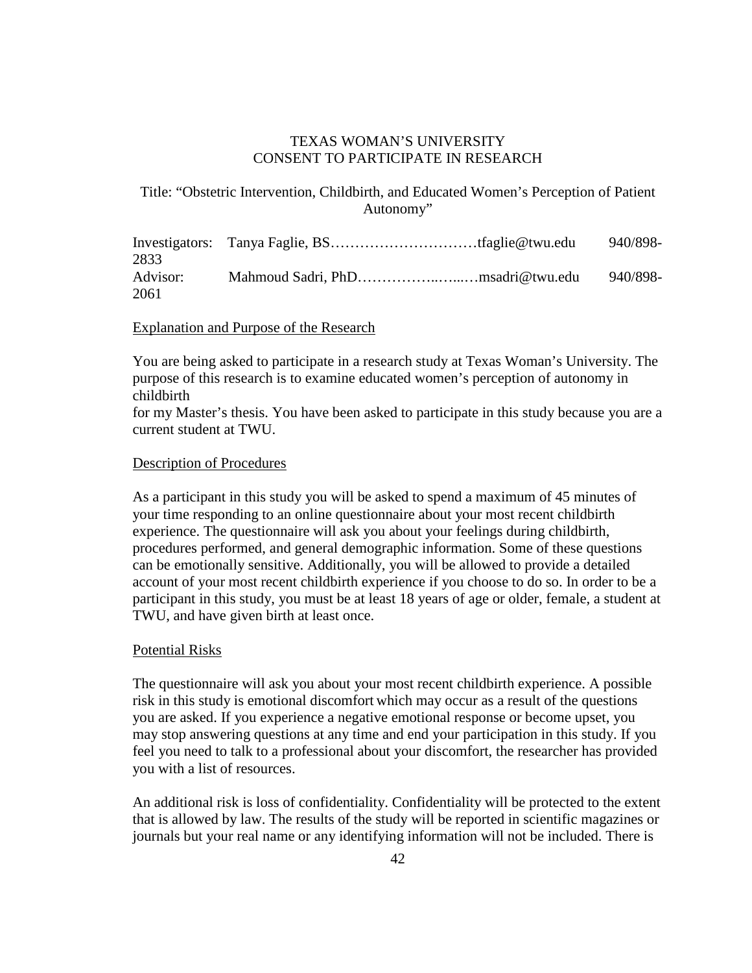#### TEXAS WOMAN'S UNIVERSITY CONSENT TO PARTICIPATE IN RESEARCH

Title: "Obstetric Intervention, Childbirth, and Educated Women's Perception of Patient Autonomy"

|          |  | 940/898- |
|----------|--|----------|
| 2833     |  |          |
| Advisor: |  | 940/898- |
| 2061     |  |          |

#### Explanation and Purpose of the Research

You are being asked to participate in a research study at Texas Woman's University. The purpose of this research is to examine educated women's perception of autonomy in childbirth

for my Master's thesis. You have been asked to participate in this study because you are a current student at TWU.

#### Description of Procedures

As a participant in this study you will be asked to spend a maximum of 45 minutes of your time responding to an online questionnaire about your most recent childbirth experience. The questionnaire will ask you about your feelings during childbirth, procedures performed, and general demographic information. Some of these questions can be emotionally sensitive. Additionally, you will be allowed to provide a detailed account of your most recent childbirth experience if you choose to do so. In order to be a participant in this study, you must be at least 18 years of age or older, female, a student at TWU, and have given birth at least once.

#### Potential Risks

The questionnaire will ask you about your most recent childbirth experience. A possible risk in this study is emotional discomfort which may occur as a result of the questions you are asked. If you experience a negative emotional response or become upset, you may stop answering questions at any time and end your participation in this study. If you feel you need to talk to a professional about your discomfort, the researcher has provided you with a list of resources.

An additional risk is loss of confidentiality. Confidentiality will be protected to the extent that is allowed by law. The results of the study will be reported in scientific magazines or journals but your real name or any identifying information will not be included. There is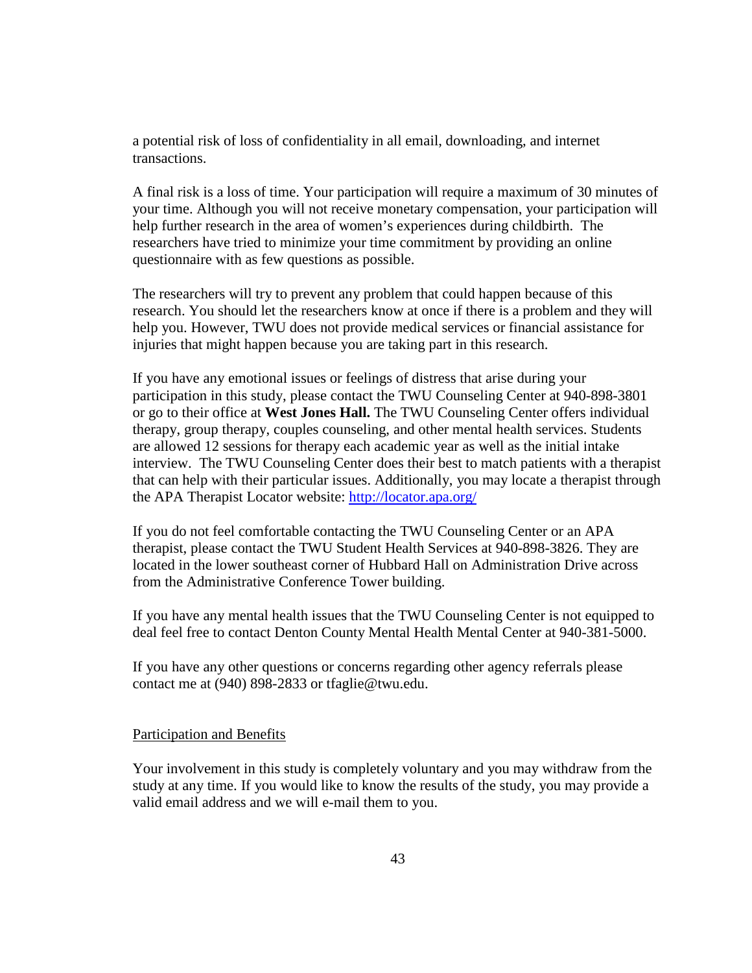a potential risk of loss of confidentiality in all email, downloading, and internet transactions.

A final risk is a loss of time. Your participation will require a maximum of 30 minutes of your time. Although you will not receive monetary compensation, your participation will help further research in the area of women's experiences during childbirth. The researchers have tried to minimize your time commitment by providing an online questionnaire with as few questions as possible.

The researchers will try to prevent any problem that could happen because of this research. You should let the researchers know at once if there is a problem and they will help you. However, TWU does not provide medical services or financial assistance for injuries that might happen because you are taking part in this research.

If you have any emotional issues or feelings of distress that arise during your participation in this study, please contact the TWU Counseling Center at 940-898-3801 or go to their office at **West Jones Hall.** The TWU Counseling Center offers individual therapy, group therapy, couples counseling, and other mental health services. Students are allowed 12 sessions for therapy each academic year as well as the initial intake interview. The TWU Counseling Center does their best to match patients with a therapist that can help with their particular issues. Additionally, you may locate a therapist through the APA Therapist Locator website:<http://locator.apa.org/>

If you do not feel comfortable contacting the TWU Counseling Center or an APA therapist, please contact the TWU Student Health Services at 940-898-3826. They are located in the lower southeast corner of Hubbard Hall on Administration Drive across from the Administrative Conference Tower building.

If you have any mental health issues that the TWU Counseling Center is not equipped to deal feel free to contact Denton County Mental Health Mental Center at 940-381-5000.

If you have any other questions or concerns regarding other agency referrals please contact me at (940) 898-2833 or tfaglie@twu.edu.

#### Participation and Benefits

Your involvement in this study is completely voluntary and you may withdraw from the study at any time. If you would like to know the results of the study, you may provide a valid email address and we will e-mail them to you.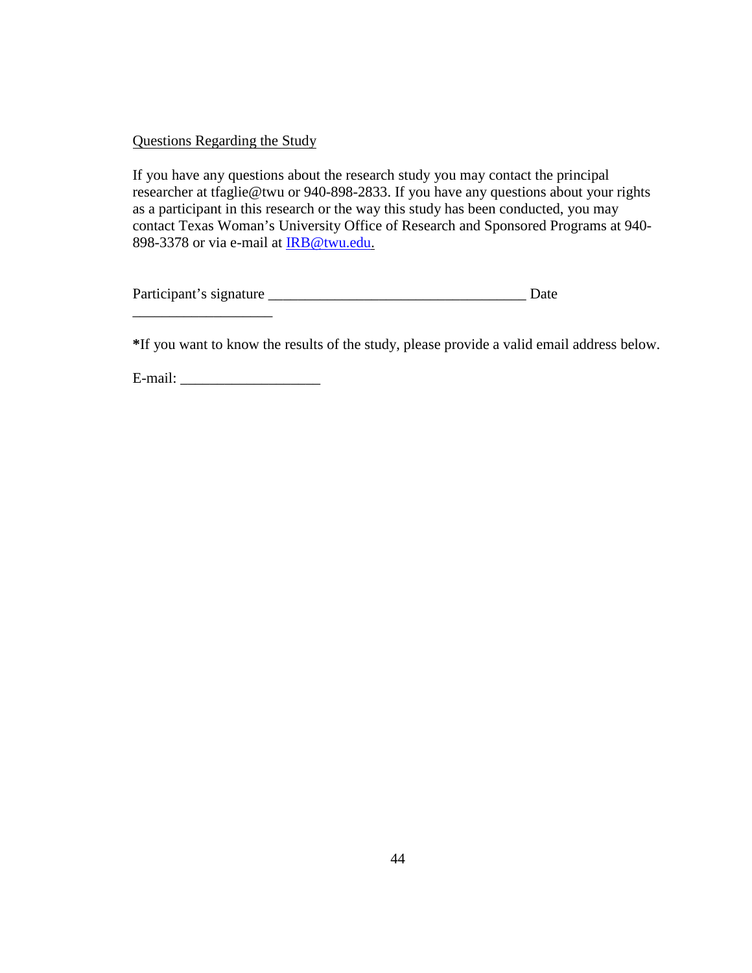#### Questions Regarding the Study

If you have any questions about the research study you may contact the principal researcher at tfaglie@twu or 940-898-2833. If you have any questions about your rights as a participant in this research or the way this study has been conducted, you may contact Texas Woman's University Office of Research and Sponsored Programs at 940- 898-3378 or via e-mail at [IRB@twu.edu.](mailto:IRB@twu.edu)

| Participant's signature | Date |
|-------------------------|------|
|                         |      |

**\***If you want to know the results of the study, please provide a valid email address below.

E-mail: \_\_\_\_\_\_\_\_\_\_\_\_\_\_\_\_\_\_\_

\_\_\_\_\_\_\_\_\_\_\_\_\_\_\_\_\_\_\_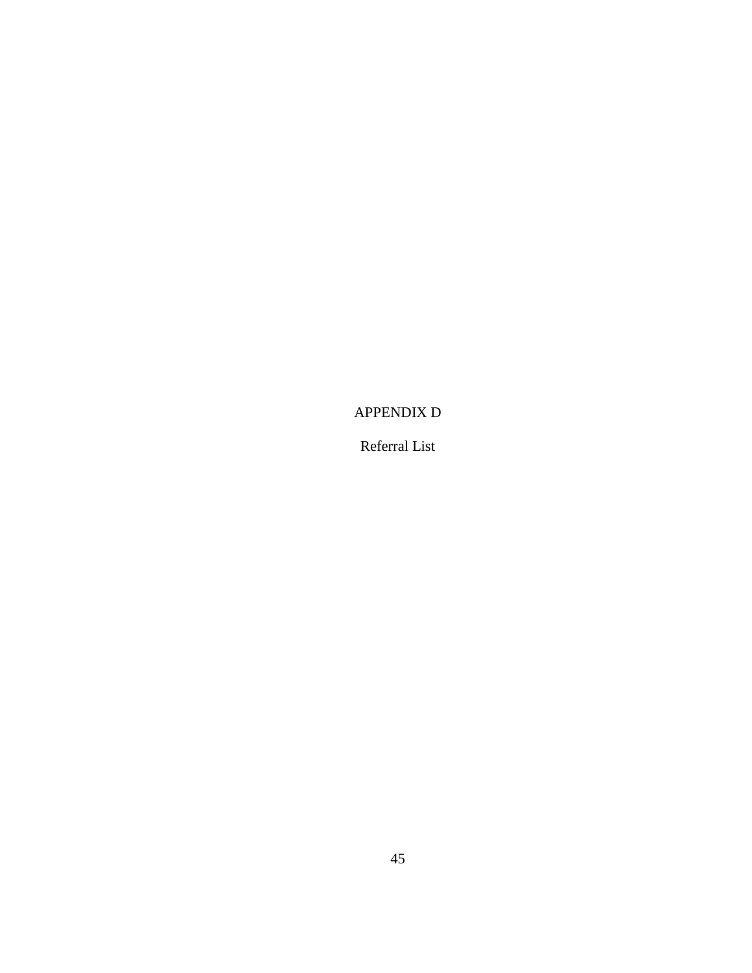## APPENDIX D

Referral List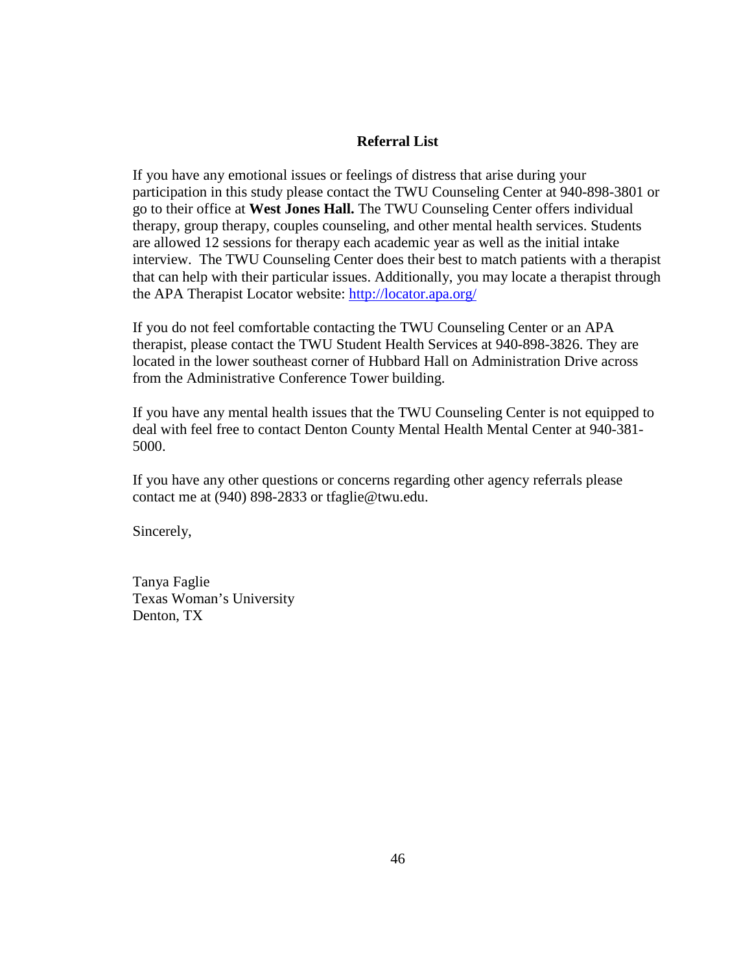#### **Referral List**

If you have any emotional issues or feelings of distress that arise during your participation in this study please contact the TWU Counseling Center at 940-898-3801 or go to their office at **West Jones Hall.** The TWU Counseling Center offers individual therapy, group therapy, couples counseling, and other mental health services. Students are allowed 12 sessions for therapy each academic year as well as the initial intake interview. The TWU Counseling Center does their best to match patients with a therapist that can help with their particular issues. Additionally, you may locate a therapist through the APA Therapist Locator website:<http://locator.apa.org/>

If you do not feel comfortable contacting the TWU Counseling Center or an APA therapist, please contact the TWU Student Health Services at 940-898-3826. They are located in the lower southeast corner of Hubbard Hall on Administration Drive across from the Administrative Conference Tower building.

If you have any mental health issues that the TWU Counseling Center is not equipped to deal with feel free to contact Denton County Mental Health Mental Center at 940-381- 5000.

If you have any other questions or concerns regarding other agency referrals please contact me at (940) 898-2833 or tfaglie@twu.edu.

Sincerely,

Tanya Faglie Texas Woman's University Denton, TX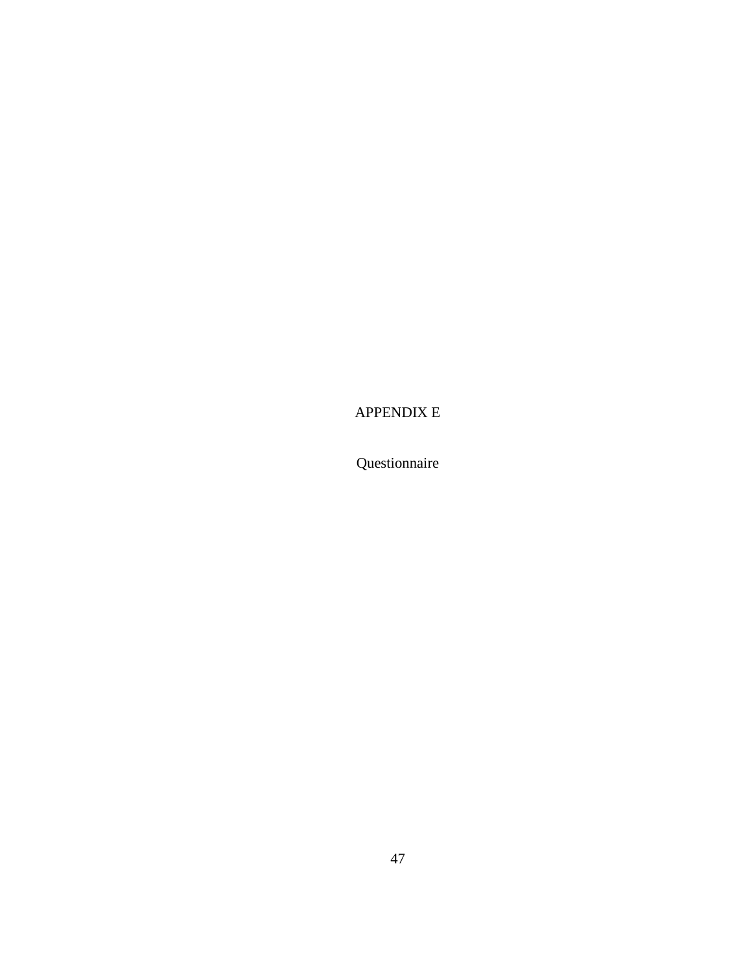APPENDIX E

Questionnaire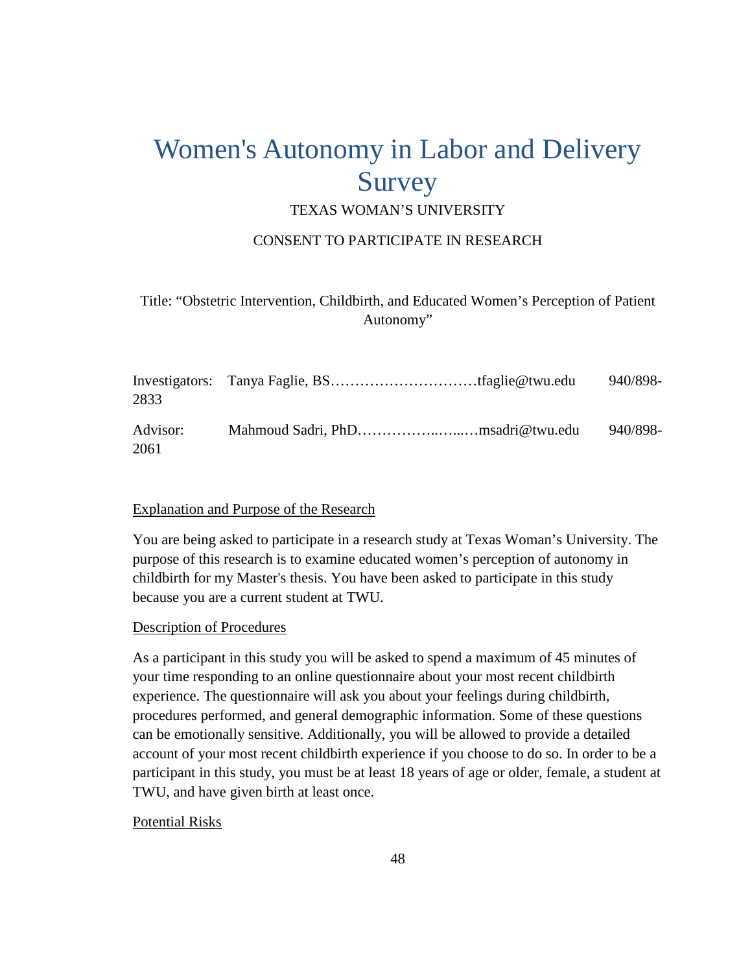# Women's Autonomy in Labor and Delivery Survey

## TEXAS WOMAN'S UNIVERSITY

#### CONSENT TO PARTICIPATE IN RESEARCH

## Title: "Obstetric Intervention, Childbirth, and Educated Women's Perception of Patient Autonomy"

| 2833             |  | 940/898- |
|------------------|--|----------|
| Advisor:<br>2061 |  | 940/898- |

#### Explanation and Purpose of the Research

You are being asked to participate in a research study at Texas Woman's University. The purpose of this research is to examine educated women's perception of autonomy in childbirth for my Master's thesis. You have been asked to participate in this study because you are a current student at TWU.

#### Description of Procedures

As a participant in this study you will be asked to spend a maximum of 45 minutes of your time responding to an online questionnaire about your most recent childbirth experience. The questionnaire will ask you about your feelings during childbirth, procedures performed, and general demographic information. Some of these questions can be emotionally sensitive. Additionally, you will be allowed to provide a detailed account of your most recent childbirth experience if you choose to do so. In order to be a participant in this study, you must be at least 18 years of age or older, female, a student at TWU, and have given birth at least once.

#### Potential Risks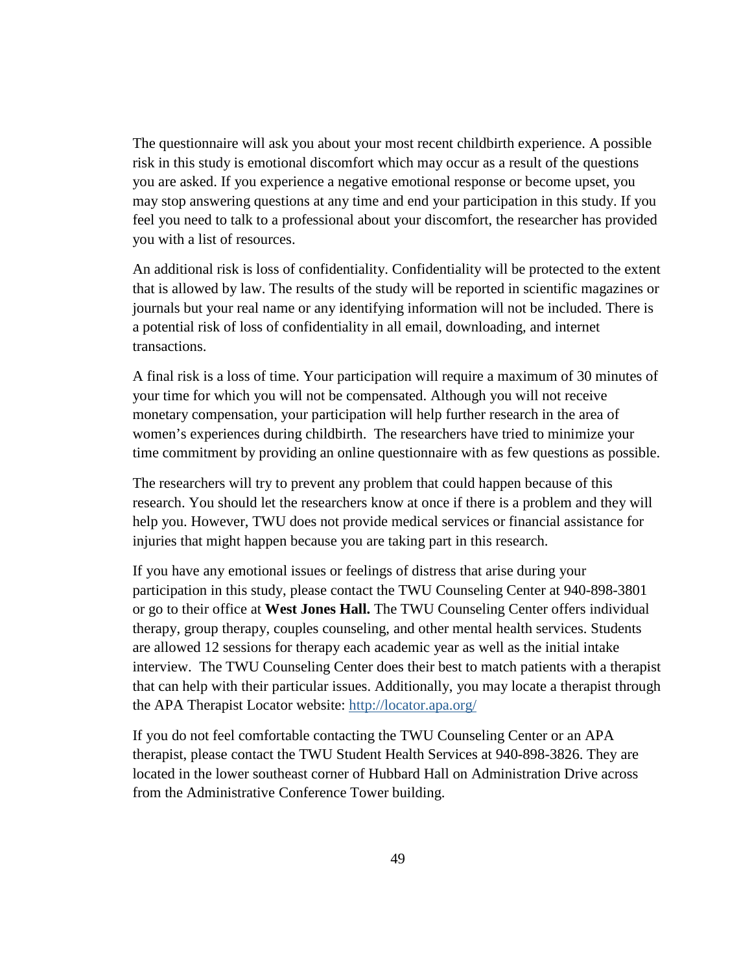The questionnaire will ask you about your most recent childbirth experience. A possible risk in this study is emotional discomfort which may occur as a result of the questions you are asked. If you experience a negative emotional response or become upset, you may stop answering questions at any time and end your participation in this study. If you feel you need to talk to a professional about your discomfort, the researcher has provided you with a list of resources.

An additional risk is loss of confidentiality. Confidentiality will be protected to the extent that is allowed by law. The results of the study will be reported in scientific magazines or journals but your real name or any identifying information will not be included. There is a potential risk of loss of confidentiality in all email, downloading, and internet transactions.

A final risk is a loss of time. Your participation will require a maximum of 30 minutes of your time for which you will not be compensated. Although you will not receive monetary compensation, your participation will help further research in the area of women's experiences during childbirth. The researchers have tried to minimize your time commitment by providing an online questionnaire with as few questions as possible.

The researchers will try to prevent any problem that could happen because of this research. You should let the researchers know at once if there is a problem and they will help you. However, TWU does not provide medical services or financial assistance for injuries that might happen because you are taking part in this research.

If you have any emotional issues or feelings of distress that arise during your participation in this study, please contact the TWU Counseling Center at 940-898-3801 or go to their office at **West Jones Hall.** The TWU Counseling Center offers individual therapy, group therapy, couples counseling, and other mental health services. Students are allowed 12 sessions for therapy each academic year as well as the initial intake interview. The TWU Counseling Center does their best to match patients with a therapist that can help with their particular issues. Additionally, you may locate a therapist through the APA Therapist Locator website: <http://locator.apa.org/>

If you do not feel comfortable contacting the TWU Counseling Center or an APA therapist, please contact the TWU Student Health Services at 940-898-3826. They are located in the lower southeast corner of Hubbard Hall on Administration Drive across from the Administrative Conference Tower building.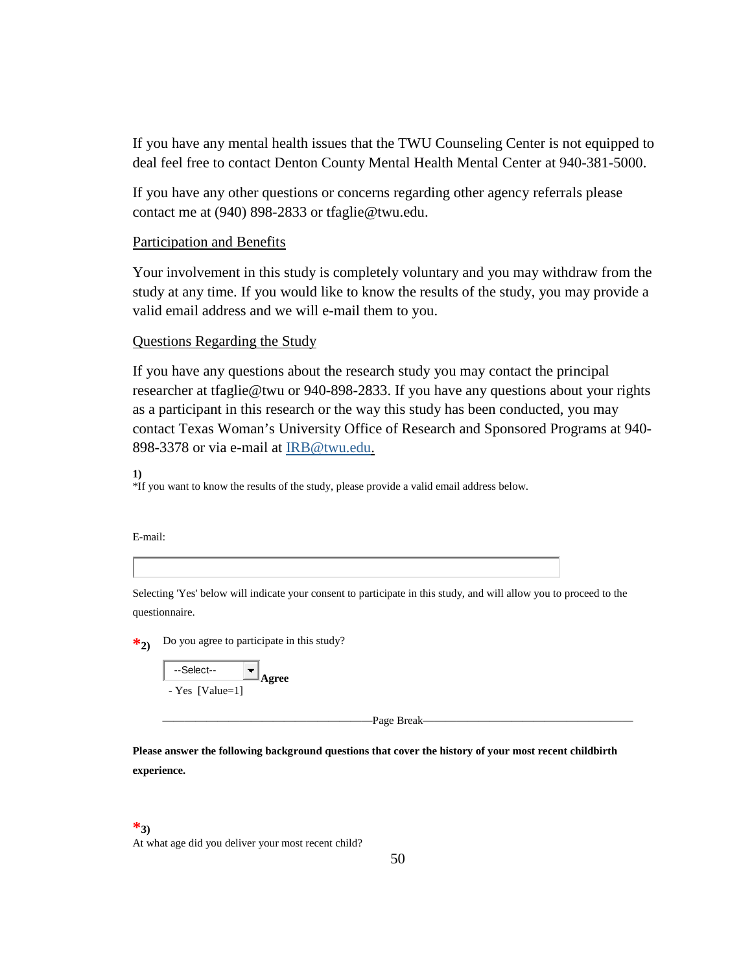If you have any mental health issues that the TWU Counseling Center is not equipped to deal feel free to contact Denton County Mental Health Mental Center at 940-381-5000.

If you have any other questions or concerns regarding other agency referrals please contact me at (940) 898-2833 or tfaglie@twu.edu.

#### Participation and Benefits

Your involvement in this study is completely voluntary and you may withdraw from the study at any time. If you would like to know the results of the study, you may provide a valid email address and we will e-mail them to you.

#### Questions Regarding the Study

If you have any questions about the research study you may contact the principal researcher at tfaglie@twu or 940-898-2833. If you have any questions about your rights as a participant in this research or the way this study has been conducted, you may contact Texas Woman's University Office of Research and Sponsored Programs at 940- 898-3378 or via e-mail at [IRB@twu.edu.](mailto:IRB@twu.edu)

**1)**

\*If you want to know the results of the study, please provide a valid email address below.

E-mail:

Selecting 'Yes' below will indicate your consent to participate in this study, and will allow you to proceed to the questionnaire.

\*2) Do you agree to participate in this study?

| --Select--        | Agree |
|-------------------|-------|
| - Yes $[Value=1]$ |       |

———————————————————Page Break———————————————————

**Please answer the following background questions that cover the history of your most recent childbirth experience.**

#### **\*3)**

At what age did you deliver your most recent child?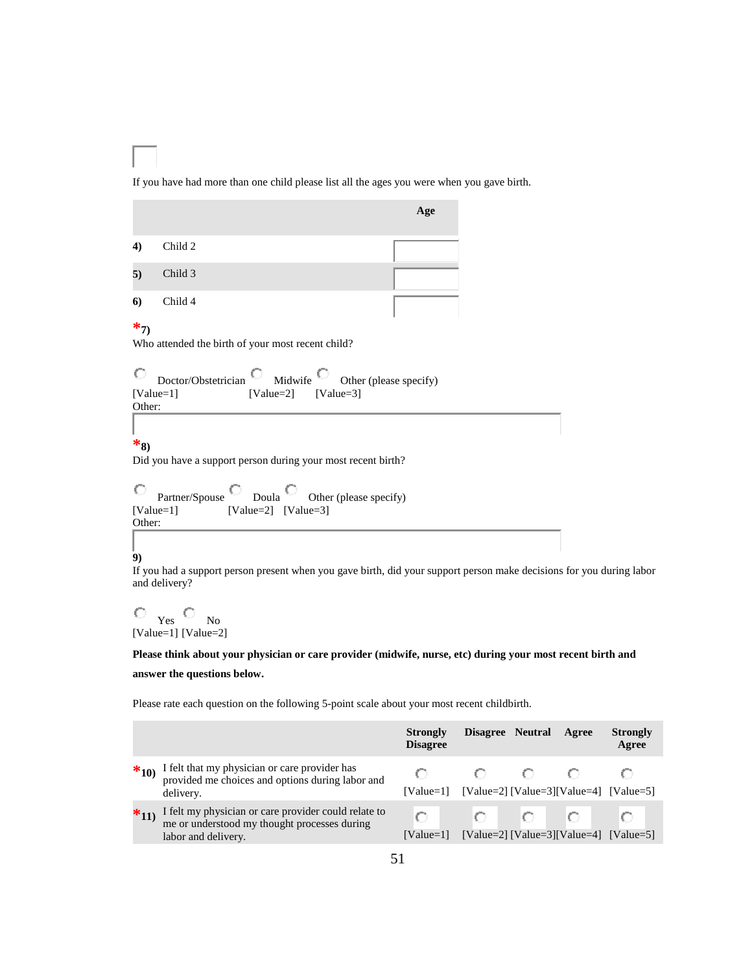If you have had more than one child please list all the ages you were when you gave birth.

| Child 2<br>4)<br>5)<br>Child 3<br>Child 4<br>6)<br>$*_{7}$<br>Who attended the birth of your most recent child?<br>О<br>Doctor/Obstetrician $\Box$ Midwife $\Box$ Other (please specify) | Age |
|------------------------------------------------------------------------------------------------------------------------------------------------------------------------------------------|-----|
|                                                                                                                                                                                          |     |
|                                                                                                                                                                                          |     |
|                                                                                                                                                                                          |     |
| $[Value=1]$ $[Value=2]$ $[Value=3]$<br>Other:                                                                                                                                            |     |
|                                                                                                                                                                                          |     |
| $*_{8}$<br>Did you have a support person during your most recent birth?                                                                                                                  |     |

5, Partner/Spouse Doula Other (please specify) The Contract [Value=1] [Value=2] [Value=3] Other:

#### **9)**

If you had a support person present when you gave birth, did your support person make decisions for you during labor and delivery?

 $\hfill\ensuremath{\circ}\xspace$   $\hfill\ensuremath{\mathsf{Yes}}\xspace$   $\hfill\ensuremath{\mathsf{O}}\xspace$ [Value=1] [Value=2] No

**Please think about your physician or care provider (midwife, nurse, etc) during your most recent birth and** 

#### **answer the questions below.**

Please rate each question on the following 5-point scale about your most recent childbirth.

|          |                                                                                                                             | <b>Strongly</b><br><b>Disagree</b> |                                                   | Disagree Neutral Agree | <b>Strongly</b><br>Agree                  |
|----------|-----------------------------------------------------------------------------------------------------------------------------|------------------------------------|---------------------------------------------------|------------------------|-------------------------------------------|
| $*_{10}$ | I felt that my physician or care provider has<br>provided me choices and options during labor and<br>delivery.              |                                    | [Value=1] [Value=2] [Value=3] [Value=4] [Value=5] |                        |                                           |
| $*_{11}$ | I felt my physician or care provider could relate to<br>me or understood my thought processes during<br>labor and delivery. | $Value=11$                         |                                                   |                        | $[Value=2] [Value=3] [Value=4] [Value=5]$ |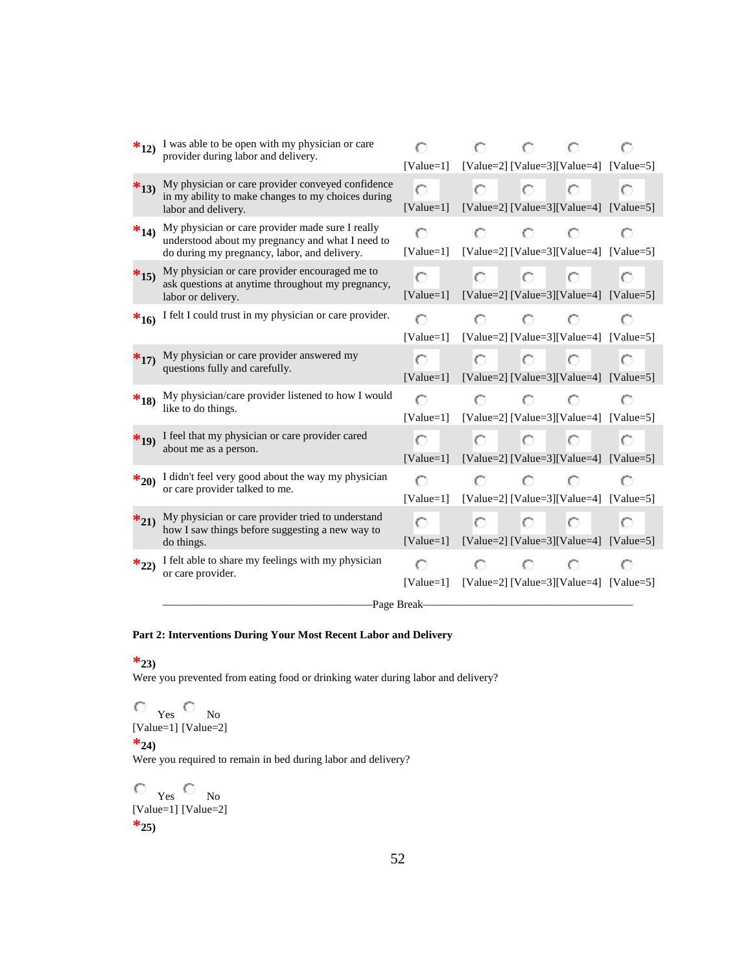| $*_{12}$ | I was able to be open with my physician or care<br>provider during labor and delivery.                                                               | $[Value=1]$                                            |    | O               | [Value=2] [Value=3] [Value=4] [Value=5]           |   |
|----------|------------------------------------------------------------------------------------------------------------------------------------------------------|--------------------------------------------------------|----|-----------------|---------------------------------------------------|---|
| $*_{13}$ | My physician or care provider conveyed confidence<br>in my ability to make changes to my choices during<br>labor and delivery.                       | Ō<br>$[Value=1]$                                       | O  | Ю.              | $\circ$<br>[Value=2] [Value=3][Value=4] [Value=5] | O |
| $*_{14}$ | My physician or care provider made sure I really<br>understood about my pregnancy and what I need to<br>do during my pregnancy, labor, and delivery. | O<br>$[Value=1]$                                       | O  | o               | O<br>[Value=2] [Value=3][Value=4] [Value=5]       |   |
| $*_{15}$ | My physician or care provider encouraged me to<br>ask questions at anytime throughout my pregnancy,<br>labor or delivery.                            | О<br>$[Value=1]$                                       | O. | $-0$ 0          | [Value=2] [Value=3][Value=4] [Value=5]            | O |
| $*_{16}$ | I felt I could trust in my physician or care provider.                                                                                               | O<br>$[Value=1]$                                       | O  | $\mathbb{C}$    | O<br>[Value=2] [Value=3][Value=4] [Value=5]       |   |
| $*_{17}$ | My physician or care provider answered my<br>questions fully and carefully.                                                                          | О<br>$[Value=1]$                                       | O. | Ю.,             | Ю<br>[Value=2] [Value=3][Value=4] [Value=5]       | O |
| $*_{18}$ | My physician/care provider listened to how I would<br>like to do things.                                                                             | O<br>[Value=1] [Value=2] [Value=3] [Value=4] [Value=5] | O  | O.              | O                                                 |   |
| $*_{19}$ | I feel that my physician or care provider cared<br>about me as a person.                                                                             | O<br>[Value=1] [Value=2] [Value=3] [Value=4] [Value=5] |    | $0 - 0 -$       | O                                                 |   |
| $*_{20}$ | I didn't feel very good about the way my physician<br>or care provider talked to me.                                                                 | O<br>$[Value=1]$                                       | 0. |                 | O<br>[Value=2] [Value=3][Value=4] [Value=5]       |   |
| $*_{21}$ | My physician or care provider tried to understand<br>how I saw things before suggesting a new way to<br>do things.                                   | O<br>[Value=1] [Value=2] [Value=3] [Value=4] [Value=5] | 0. | $\circ$ $\circ$ | Ю                                                 | О |
| $*_{22}$ | I felt able to share my feelings with my physician<br>or care provider.                                                                              | [Value=1] [Value=2] [Value=3] [Value=4] [Value=5]      |    | O               |                                                   |   |
|          |                                                                                                                                                      | -Page Break-                                           |    |                 |                                                   |   |

#### **Part 2: Interventions During Your Most Recent Labor and Delivery**

#### **\*23)**

Were you prevented from eating food or drinking water during labor and delivery?

Yes [Value=1] No [Value=2]

#### $*_{24}$

Were you required to remain in bed during labor and delivery?

Yes [Value=1] No [Value=2] **\*25)**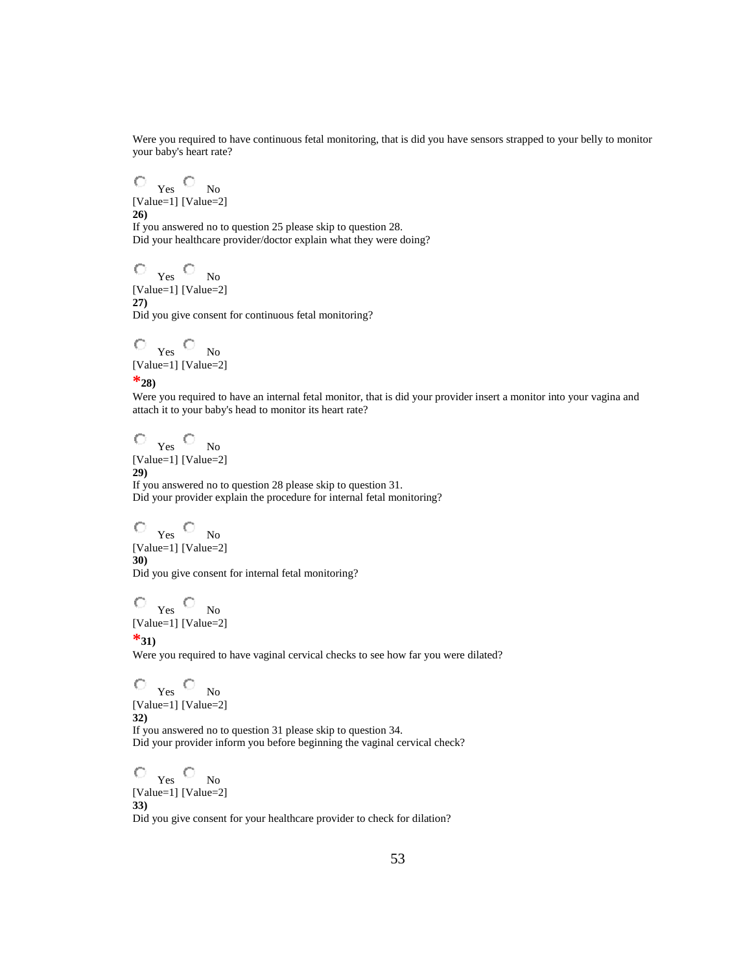Were you required to have continuous fetal monitoring, that is did you have sensors strapped to your belly to monitor your baby's heart rate?

Yes No [Value=1] [Value=2] **26)** If you answered no to question 25 please skip to question 28. Did your healthcare provider/doctor explain what they were doing?

Yes No [Value=1] [Value=2] **27)** Did you give consent for continuous fetal monitoring?

Yes No [Value=1] [Value=2]

**\*28)**

Were you required to have an internal fetal monitor, that is did your provider insert a monitor into your vagina and attach it to your baby's head to monitor its heart rate?

Yes No [Value=1] [Value=2] **29)** If you answered no to question 28 please skip to question 31. Did your provider explain the procedure for internal fetal monitoring?

Yes No [Value=1] [Value=2] **30)** Did you give consent for internal fetal monitoring?

Yes No [Value=1] [Value=2]

**\*31)**

Were you required to have vaginal cervical checks to see how far you were dilated?

Yes No [Value=1] [Value=2] **32)** If you answered no to question 31 please skip to question 34. Did your provider inform you before beginning the vaginal cervical check?

Yes No [Value=1] [Value=2] **33)**

Did you give consent for your healthcare provider to check for dilation?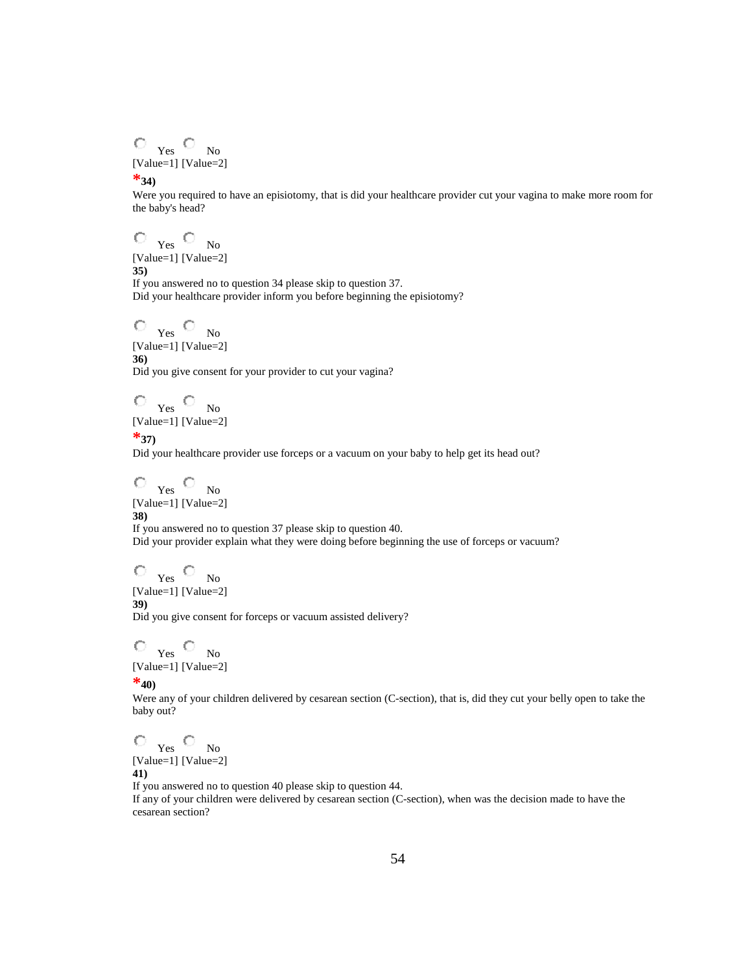$\hfill\ensuremath{\circ}\xspace$   $\hfill\ensuremath{\mathsf{Yes}}\xspace$   $\hfill\ensuremath{\mathsf{O}}\xspace$ [Value=1] [Value=2] No

#### **\*34)**

Were you required to have an episiotomy, that is did your healthcare provider cut your vagina to make more room for the baby's head?

Yes No [Value=1] [Value=2]

**35)**

If you answered no to question 34 please skip to question 37. Did your healthcare provider inform you before beginning the episiotomy?

Yes No [Value=1] [Value=2] **36)**

Did you give consent for your provider to cut your vagina?

Yes No [Value=1] [Value=2]

**\*37)**

Did your healthcare provider use forceps or a vacuum on your baby to help get its head out?

Yes No [Value=1] [Value=2] **38)** If you answered no to question 37 please skip to question 40.

Did your provider explain what they were doing before beginning the use of forceps or vacuum?

 $\circ$   $_{\text{Yes}}$   $\circ$ [Value=1] [Value=2] No **39)**

Did you give consent for forceps or vacuum assisted delivery?

Yes No [Value=1] [Value=2]

**\*40)**

Were any of your children delivered by cesarean section (C-section), that is, did they cut your belly open to take the baby out?

Yes No

[Value=1] [Value=2] **41)**

If you answered no to question 40 please skip to question 44.

If any of your children were delivered by cesarean section (C-section), when was the decision made to have the cesarean section?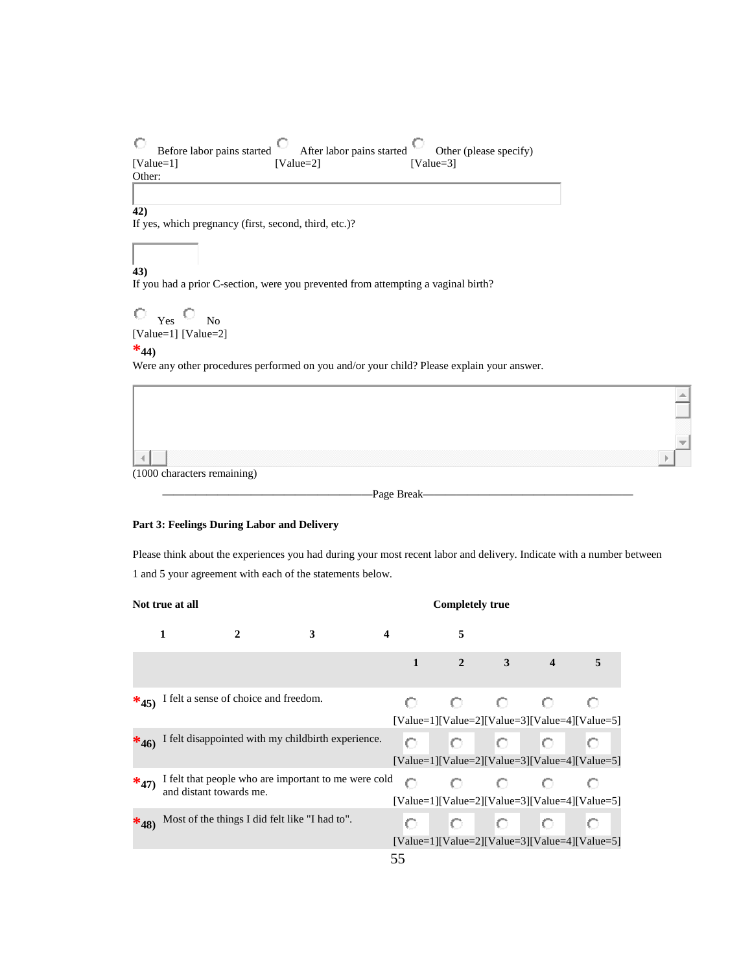$\circ$ After labor pains started Before labor pains started Other (please specify) [Value=1] [Value=2] [Value=3] Other:

#### **42)**

If yes, which pregnancy (first, second, third, etc.)?

## **43)**

If you had a prior C-section, were you prevented from attempting a vaginal birth?

$$
\begin{array}{c}\n\bigcirc \quad\n_{\text{Yes}}\n\bigcirc \quad\n_{\text{No}} \\
[\text{Value=1}]\,\,[\text{Value=2}]\n\end{array}
$$

#### $*_{44}$

Were any other procedures performed on you and/or your child? Please explain your answer.



-<br>Page Break-

#### **Part 3: Feelings During Labor and Delivery**

Please think about the experiences you had during your most recent labor and delivery. Indicate with a number between 1 and 5 your agreement with each of the statements below.

|          | Not true at all<br><b>Completely true</b> |                                                |                                                      |                  |                |                                                                |                |          |
|----------|-------------------------------------------|------------------------------------------------|------------------------------------------------------|------------------|----------------|----------------------------------------------------------------|----------------|----------|
|          | 1                                         | $\mathbf{2}$                                   | 3                                                    | $\boldsymbol{4}$ | 5              |                                                                |                |          |
|          |                                           |                                                |                                                      | $\mathbf{1}$     | $\overline{2}$ | $3 \quad \blacksquare$                                         | $\overline{4}$ | $\sim$ 5 |
|          |                                           | $*_{45}$ I felt a sense of choice and freedom. |                                                      |                  |                | $O$ $O$ $O$<br>$[Value=1][Value=2][Value=3][Value=4][Value=5]$ |                | o        |
| $*_{46}$ |                                           |                                                | I felt disappointed with my childbirth experience.   | О                |                | $O$ $O$ $O$<br>$[Value=1][Value=2][Value=3][Value=4][Value=5]$ |                | О        |
| $*_{47}$ | and distant towards me.                   |                                                | I felt that people who are important to me were cold | O                |                | 000<br>$[Value=1][Value=2][Value=3][Value=4][Value=5]$         |                | О        |
| $*_{48}$ |                                           | Most of the things I did felt like "I had to". |                                                      |                  |                | $O$ $O$ $O$<br>$[Value=1][Value=2][Value=3][Value=4][Value=5]$ | О.             | О        |
|          |                                           |                                                |                                                      | 55               |                |                                                                |                |          |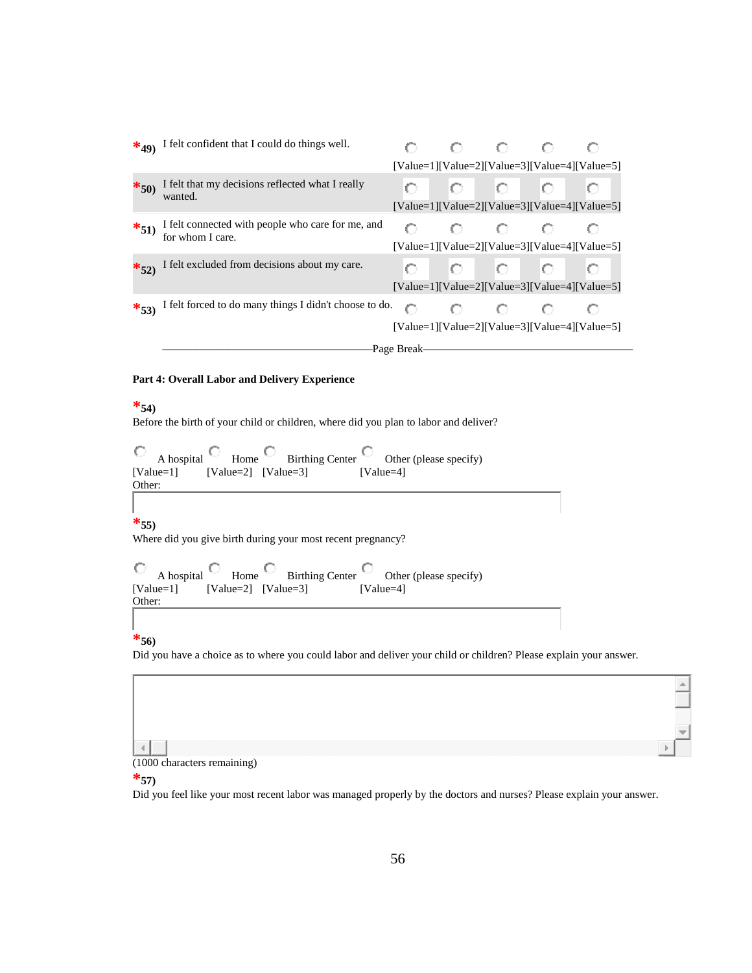|          | $*_{49}$ I felt confident that I could do things well.                |                                                 | 0 O       |                   | ЮD  |   |
|----------|-----------------------------------------------------------------------|-------------------------------------------------|-----------|-------------------|-----|---|
|          |                                                                       | $[Value=1][Value=2][Value=3][Value=4][Value=5]$ |           |                   |     |   |
| $*_{50}$ | I felt that my decisions reflected what I really<br>wanted.           |                                                 | $\circ$   | $\sim$ 0.1 $\sim$ | IO. | O |
|          |                                                                       | $[Value=1][Value=2][Value=3][Value=4][Value=5]$ |           |                   |     |   |
| $*_{51}$ | I felt connected with people who care for me, and<br>for whom I care. |                                                 |           | 00                | o   |   |
|          |                                                                       | $[Value=1][Value=2][Value=3][Value=4][Value=5]$ |           |                   |     |   |
|          | $\frac{*}{52}$ I felt excluded from decisions about my care.          |                                                 | $0$ 0 0 0 |                   |     |   |
|          |                                                                       | $[Value=1][Value=2][Value=3][Value=4][Value=5]$ |           |                   |     |   |
|          | *53) I felt forced to do many things I didn't choose to do.           | o                                               |           |                   |     |   |
|          |                                                                       | $[Value=1][Value=2][Value=3][Value=4][Value=5]$ |           |                   |     |   |
|          |                                                                       | -Page Break-                                    |           |                   |     |   |

#### **Part 4: Overall Labor and Delivery Experience**

#### **\*54)**

Before the birth of your child or children, where did you plan to labor and deliver?

|                                               |  | A hospital $\bigcirc$ Home $\bigcirc$ Birthing Center $\bigcirc$ Other (please specify) |
|-----------------------------------------------|--|-----------------------------------------------------------------------------------------|
| $[Value=1]$ $[Value=2]$ $[Value=3]$<br>Other: |  | $[Value=4]$                                                                             |

#### **\*55)**

Where did you give birth during your most recent pregnancy?

| Ю                   |                         | A hospital $\Box$ Home $\Box$ Birthing Center $\Box$ Other (please specify) |
|---------------------|-------------------------|-----------------------------------------------------------------------------|
| [Value=1]<br>Other: | $[Value=2]$ $[Value=3]$ | [Value=4]                                                                   |

#### **\*56)**

Did you have a choice as to where you could labor and deliver your child or children? Please explain your answer.

## $\left\vert 1\right\rangle$

(1000 characters remaining)

#### **\*57)**

Did you feel like your most recent labor was managed properly by the doctors and nurses? Please explain your answer.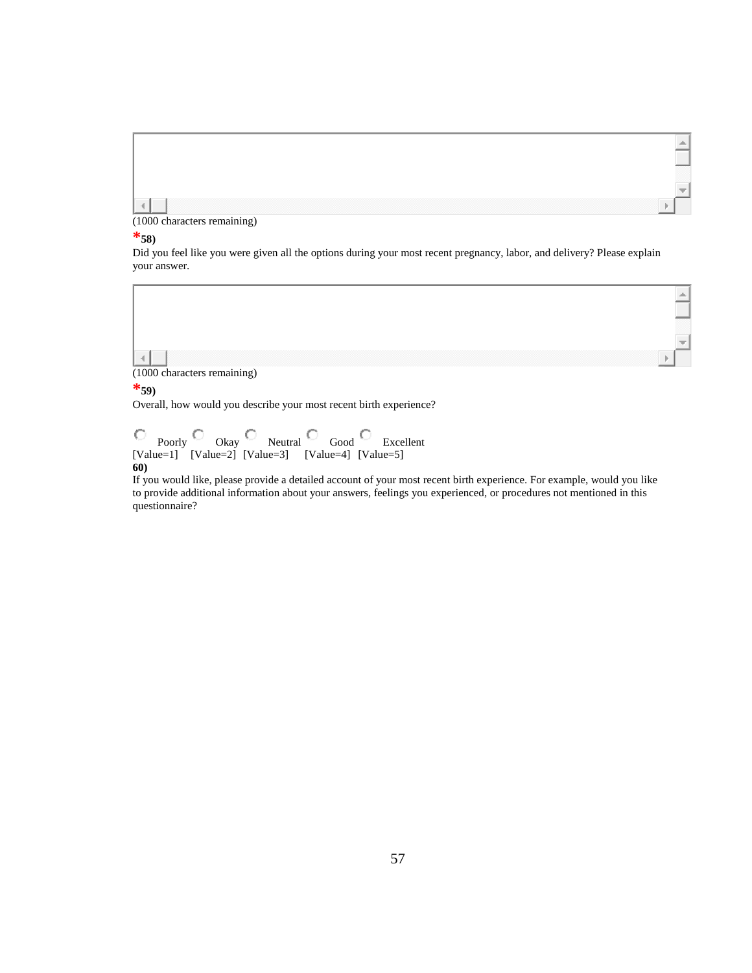

(1000 characters remaining)

#### **\*58)**

Did you feel like you were given all the options during your most recent pregnancy, labor, and delivery? Please explain your answer.



#### **\*59)**

Overall, how would you describe your most recent birth experience?

Poorly [Value=1] Okay [Value=2] Neutral [Value=3] Good [Value=4] Excellent [Value=5] **60)**

If you would like, please provide a detailed account of your most recent birth experience. For example, would you like to provide additional information about your answers, feelings you experienced, or procedures not mentioned in this questionnaire?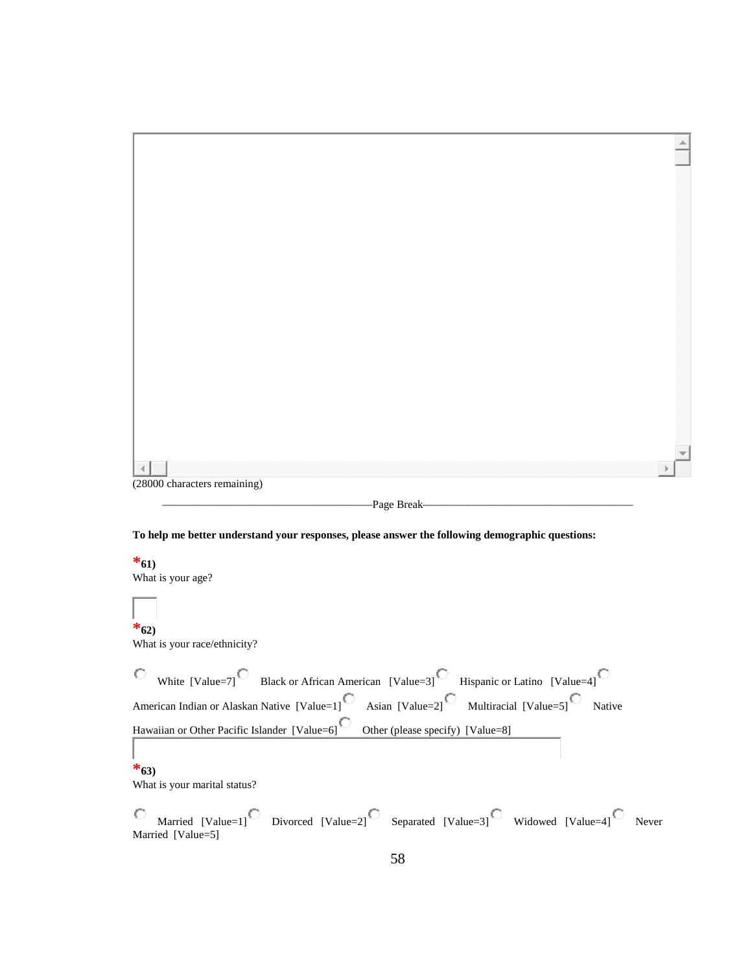| $\mathcal{A}$                |  |
|------------------------------|--|
| (28000 characters remaining) |  |

———————————————————Page Break———————————————————

**To help me better understand your responses, please answer the following demographic questions:**

**\*61)**

What is your age?

## **\*62)**

What is your race/ethnicity?

| $\circ$ White [Value=7] Black or African American [Value=3] Hispanic or Latino [Value=4]                                                                                                    |  |  |  |
|---------------------------------------------------------------------------------------------------------------------------------------------------------------------------------------------|--|--|--|
| American Indian or Alaskan Native [Value=1] <sup><math>\bigcirc</math></sup> Asian [Value=2] <sup><math>\bigcirc</math></sup> Multiracial [Value=5] <sup><math>\bigcirc</math></sup> Native |  |  |  |
| Hawaiian or Other Pacific Islander [Value=6] Other (please specify) [Value=8]                                                                                                               |  |  |  |
|                                                                                                                                                                                             |  |  |  |
| $*_{63}$                                                                                                                                                                                    |  |  |  |
| What is your marital status?                                                                                                                                                                |  |  |  |
| $\textcircled{S}$ Married [Value=1] $\textcircled{S}$ Divorced [Value=2] $\textcircled{S}$ Separated [Value=3] Widowed [Value=4] Never                                                      |  |  |  |

Married [Value=5]